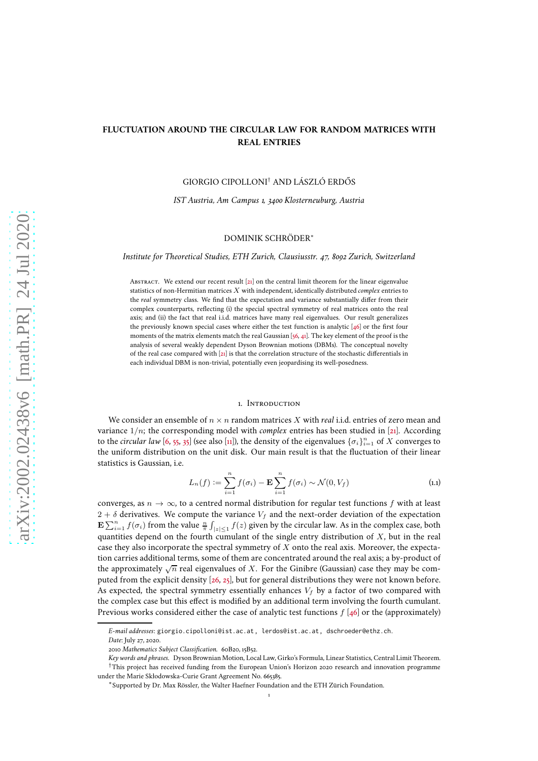# **FLUCTUATION AROUND THE CIRCULAR LAW FOR RANDOM MATRICES WITH REAL ENTRIES**

GIORGIO CIPOLLONI† AND LÁSZLÓ ERDŐS

*IST Austria, Am Campus 1, 3400 Klosterneuburg, Austria*

## DOMINIK SCHRÖDER<sup>∗</sup>

*Institute for Theoretical Studies, ETH Zurich, Clausiusstr. 47, 8092 Zurich, Switzerland*

Abstract. We extend our recent result [\[21](#page-47-0)] on the central limit theorem for the linear eigenvalue statistics of non-Hermitian matrices X with independent, identically distributed *complex* entries to the *real* symmetry class. We find that the expectation and variance substantially differ from their complex counterparts, reflecting (i) the special spectral symmetry of real matrices onto the real axis; and (ii) the fact that real i.i.d. matrices have many real eigenvalues. Our result generalizes the previously known special cases where either the test function is analytic [\[46](#page-48-0)] or the first four moments of the matrix elements match the real Gaussian [\[56,](#page-49-0) [41\]](#page-48-1). The key element of the proof is the analysis of several weakly dependent Dyson Brownian motions (DBMs). The conceptual novelty of the real case compared with [\[21](#page-47-0)] is that the correlation structure of the stochastic differentials in each individual DBM is non-trivial, potentially even jeopardising its well-posedness.

### 1. Introduction

We consider an ensemble of  $n \times n$  random matrices X with *real* i.i.d. entries of zero mean and variance  $1/n$ ; the corresponding model with *complex* entries has been studied in [\[21](#page-47-0)]. According to the *circular law* [\[6,](#page-47-1) [55](#page-49-1), [35](#page-48-2)] (see also [\[11\]](#page-47-2)), the density of the eigenvalues  $\{\sigma_i\}_{i=1}^n$  of X converges to the uniform distribution on the unit disk. Our main result is that the fluctuation of their linear statistics is Gaussian, i.e.

<span id="page-0-0"></span>
$$
L_n(f) := \sum_{i=1}^n f(\sigma_i) - \mathbf{E} \sum_{i=1}^n f(\sigma_i) \sim \mathcal{N}(0, V_f)
$$
\n(1.1)

converges, as  $n \to \infty$ , to a centred normal distribution for regular test functions f with at least  $2 + \delta$  derivatives. We compute the variance  $V_f$  and the next-order deviation of the expectation  $\mathbf{E} \sum_{i=1}^n f(\sigma_i)$  from the value  $\frac{n}{\pi} \int_{|z| \le 1} f(z)$  given by the circular law. As in the complex case, both quantities depend on the fourth cumulant of the single entry distribution of  $X$ , but in the real case they also incorporate the spectral symmetry of  $X$  onto the real axis. Moreover, the expectation carries additional terms, some of them are concentrated around the real axis; a by-product of the approximately  $\sqrt{n}$  real eigenvalues of X. For the Ginibre (Gaussian) case they may be computed from the explicit density [\[26](#page-47-3), [25\]](#page-47-4), but for general distributions they were not known before. As expected, the spectral symmetry essentially enhances  $V_f$  by a factor of two compared with the complex case but this effect is modified by an additional term involving the fourth cumulant. Previous works considered either the case of analytic test functions  $f$  [\[46](#page-48-0)] or the (approximately)

*E-mail addresses*: giorgio.cipolloni@ist.ac.at, lerdos@ist.ac.at, dschroeder@ethz.ch.

*Date*: July 27, 2020.

<sup>2010</sup> *Mathematics Subject Classification.* 60B20, 15B52.

*Key words and phrases.* Dyson Brownian Motion, Local Law, Girko's Formula, Linear Statistics, Central Limit Theorem. †This project has received funding from the European Union's Horizon 2020 research and innovation programme under the Marie Skłodowska-Curie Grant Agreement No. 665385.

<sup>∗</sup>Supported by Dr. Max Rössler, the Walter Haefner Foundation and the ETH Zürich Foundation.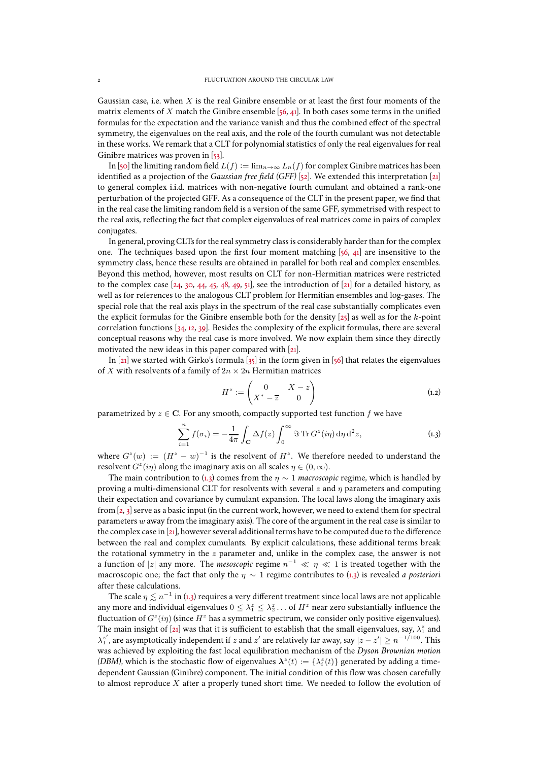Gaussian case, i.e. when  $X$  is the real Ginibre ensemble or at least the first four moments of the matrix elements of X match the Ginibre ensemble [\[56,](#page-49-0) [41](#page-48-1)]. In both cases some terms in the unified formulas for the expectation and the variance vanish and thus the combined effect of the spectral symmetry, the eigenvalues on the real axis, and the role of the fourth cumulant was not detectable in these works. We remark that a CLT for polynomial statistics of only the real eigenvalues for real Ginibre matrices was proven in [\[53](#page-48-3)].

In [\[50](#page-48-4)] the limiting random field  $L(f) := \lim_{n \to \infty} L_n(f)$  for complex Ginibre matrices has been identified as a projection of the *Gaussian free field (GFF)* [\[52](#page-48-5)]. We extended this interpretation [\[21\]](#page-47-0) to general complex i.i.d. matrices with non-negative fourth cumulant and obtained a rank-one perturbation of the projected GFF. As a consequence of the CLT in the present paper, we find that in the real case the limiting random field is a version of the same GFF, symmetrised with respect to the real axis, reflecting the fact that complex eigenvalues of real matrices come in pairs of complex conjugates.

In general, proving CLTs for the real symmetry class is considerably harder than for the complex one. The techniques based upon the first four moment matching [\[56,](#page-49-0) [41](#page-48-1)] are insensitive to the symmetry class, hence these results are obtained in parallel for both real and complex ensembles. Beyond this method, however, most results on CLT for non-Hermitian matrices were restricted to the complex case [\[24,](#page-47-5) [30](#page-48-6), [44,](#page-48-7) [45](#page-48-8), [48](#page-48-9), [49,](#page-48-10) [51\]](#page-48-11), see the introduction of [\[21\]](#page-47-0) for a detailed history, as well as for references to the analogous CLT problem for Hermitian ensembles and log-gases. The special role that the real axis plays in the spectrum of the real case substantially complicates even the explicit formulas for the Ginibre ensemble both for the density  $[z_5]$  as well as for the k-point correlation functions [\[34](#page-48-12), [12](#page-47-6), [39\]](#page-48-13). Besides the complexity of the explicit formulas, there are several conceptual reasons why the real case is more involved. We now explain them since they directly motivated the new ideas in this paper compared with [\[21\]](#page-47-0).

In [\[21](#page-47-0)] we started with Girko's formula  $[35]$  in the form given in [\[56](#page-49-0)] that relates the eigenvalues of  $X$  with resolvents of a family of  $2n\times 2n$  Hermitian matrices

<span id="page-1-1"></span>
$$
H^z := \begin{pmatrix} 0 & X - z \\ X^* - \overline{z} & 0 \end{pmatrix}
$$
 (1.2)

parametrized by  $z \in \mathbb{C}$ . For any smooth, compactly supported test function f we have

<span id="page-1-0"></span>
$$
\sum_{i=1}^{n} f(\sigma_i) = -\frac{1}{4\pi} \int_{\mathbf{C}} \Delta f(z) \int_0^{\infty} \Im \operatorname{Tr} G^z(i\eta) d\eta d^2 z,
$$
\n(1.3)

where  $G^{z}(w) := (H^{z} - w)^{-1}$  is the resolvent of  $H^{z}$ . We therefore needed to understand the resolvent  $G^z(i\eta)$  along the imaginary axis on all scales  $\eta \in (0,\infty)$ .

The main contribution to [\(1.3\)](#page-1-0) comes from the  $\eta \sim 1$  *macroscopic* regime, which is handled by proving a multi-dimensional CLT for resolvents with several  $z$  and  $\eta$  parameters and computing their expectation and covariance by cumulant expansion. The local laws along the imaginary axis from [\[2,](#page-47-7) [3\]](#page-47-8) serve as a basic input (in the current work, however, we need to extend them for spectral parameters  $w$  away from the imaginary axis). The core of the argument in the real case is similar to the complex case in [\[21\]](#page-47-0), however several additional terms have to be computed due to the difference between the real and complex cumulants. By explicit calculations, these additional terms break the rotational symmetry in the  $z$  parameter and, unlike in the complex case, the answer is not a function of  $|z|$  any more. The *mesoscopic* regime  $n^{-1} \ll \eta \ll 1$  is treated together with the macroscopic one; the fact that only the η ∼ 1 regime contributes to [\(1.3\)](#page-1-0) is revealed *a posteriori* after these calculations.

The scale  $\eta \lesssim n^{-1}$  in [\(1.3\)](#page-1-0) requires a very different treatment since local laws are not applicable any more and individual eigenvalues  $0 \leq \lambda_1^z \leq \lambda_2^z \ldots$  of  $H^z$  near zero substantially influence the fluctuation of  $G^z(i\eta)$  (since  $H^z$  has a symmetric spectrum, we consider only positive eigenvalues). The main insight of [\[21](#page-47-0)] was that it is sufficient to establish that the small eigenvalues, say,  $\lambda_1^z$  and  $\lambda_1^z'$ , are asymptotically independent if z and z' are relatively far away, say  $|z-z'| \ge n^{-1/100}$ . This was achieved by exploiting the fast local equilibration mechanism of the *Dyson Brownian motion* (DBM), which is the stochastic flow of eigenvalues  $\lambda^z(t) := \{\lambda_i^z(t)\}$  generated by adding a timedependent Gaussian (Ginibre) component. The initial condition of this flow was chosen carefully to almost reproduce  $X$  after a properly tuned short time. We needed to follow the evolution of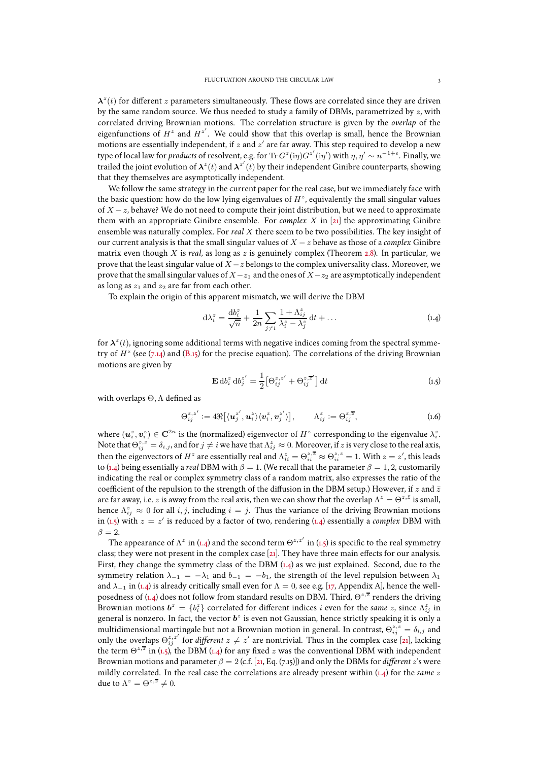$\lambda^z(t)$  for different z parameters simultaneously. These flows are correlated since they are driven by the same random source. We thus needed to study a family of DBMs, parametrized by  $z$ , with correlated driving Brownian motions. The correlation structure is given by the *overlap* of the eigenfunctions of  $H^z$  and  $H^{z'}$ . We could show that this overlap is small, hence the Brownian motions are essentially independent, if  $z$  and  $z^\prime$  are far away. This step required to develop a new type of local law for *products* of resolvent, e.g. for Tr  $G^z(i\eta)G^{z'}(i\eta')$  with  $\eta, \eta' \sim n^{-1+\epsilon}$ . Finally, we trailed the joint evolution of  $\lambda^z(t)$  and  $\lambda^{z'}(t)$  by their independent Ginibre counterparts, showing that they themselves are asymptotically independent.

We follow the same strategy in the current paper for the real case, but we immediately face with the basic question: how do the low lying eigenvalues of  $H^z$ , equivalently the small singular values of  $X - z$ , behave? We do not need to compute their joint distribution, but we need to approximate them with an appropriate Ginibre ensemble. For *complex* X in [\[21\]](#page-47-0) the approximating Ginibre ensemble was naturally complex. For *real* X there seem to be two possibilities. The key insight of our current analysis is that the small singular values of X − z behave as those of a *complex* Ginibre matrix even though X is *real*, as long as z is genuinely complex (Theorem [2.8\)](#page-7-0). In particular, we prove that the least singular value of  $X - z$  belongs to the complex universality class. Moreover, we prove that the small singular values of  $X-z_1$  and the ones of  $X-z_2$  are asymptotically independent as long as  $z_1$  and  $z_2$  are far from each other.

To explain the origin of this apparent mismatch, we will derive the DBM

<span id="page-2-0"></span>
$$
d\lambda_i^z = \frac{db_i^z}{\sqrt{n}} + \frac{1}{2n} \sum_{j \neq i} \frac{1 + \Lambda_{ij}^z}{\lambda_i^z - \lambda_j^z} dt + \dots
$$
 (1.4)

for  $\mathbf{\lambda}^z(t)$ , ignoring some additional terms with negative indices coming from the spectral symmetry of  $H^z$  (see [\(7.14\)](#page-25-0) and [\(B.15\)](#page-46-0) for the precise equation). The correlations of the driving Brownian motions are given by

<span id="page-2-1"></span>
$$
\mathbf{E} \, \mathrm{d}b_i^z \, \mathrm{d}b_j^{z'} = \frac{1}{2} \big[ \Theta_{ij}^{z,z'} + \Theta_{ij}^{z,\overline{z}'} \big] \, \mathrm{d}t \tag{1.5}
$$

with overlaps Θ, Λ defined as

<span id="page-2-2"></span>
$$
\Theta_{ij}^{z,z'} := 4\Re\big[\langle \boldsymbol{u}_j^{z'}, \boldsymbol{u}_i^{z}\rangle \langle \boldsymbol{v}_i^{z}, \boldsymbol{v}_j^{z'}\rangle\big], \qquad \Lambda_{ij}^{z} := \Theta_{ij}^{z,\overline{z}}, \tag{1.6}
$$

where  $(u_i^z, v_i^z) \in \mathbf{C}^{2n}$  is the (normalized) eigenvector of  $H^z$  corresponding to the eigenvalue  $\lambda_i^z$ . Note that  $\Theta_{ij}^{z,z} = \delta_{i,j}$ , and for  $j \neq i$  we have that  $\Lambda_{ij}^z \approx 0$ . Moreover, if z is very close to the real axis, then the eigenvectors of  $H^z$  are essentially real and  $\Lambda_{ii}^z = \Theta_{ii}^{z,\overline{z}} \approx \Theta_{ii}^{z,z} = 1$ . With  $z=z'$ , this leads to [\(1.4\)](#page-2-0) being essentially a *real* DBM with  $\beta = 1$ . (We recall that the parameter  $\beta = 1, 2$ , customarily indicating the real or complex symmetry class of a random matrix, also expresses the ratio of the coefficient of the repulsion to the strength of the diffusion in the DBM setup.) However, if z and  $\bar{z}$ are far away, i.e.  $z$  is away from the real axis, then we can show that the overlap  $\Lambda^z=\Theta^{z,\bar{z}}$  is small, hence  $\Lambda_{ij}^z \approx 0$  for all  $i, j$ , including  $i = j$ . Thus the variance of the driving Brownian motions in [\(1.5\)](#page-2-1) with  $z = z'$  is reduced by a factor of two, rendering [\(1.4\)](#page-2-0) essentially a *complex* DBM with  $\beta = 2.$ 

The appearance of  $\Lambda^z$  in [\(1.4\)](#page-2-0) and the second term  $\Theta^{z,\overline{z}'}$  in [\(1.5\)](#page-2-1) is specific to the real symmetry class; they were not present in the complex case [\[21\]](#page-47-0). They have three main effects for our analysis. First, they change the symmetry class of the DBM [\(1.4\)](#page-2-0) as we just explained. Second, due to the symmetry relation  $\lambda_{-1} = -\lambda_1$  and  $b_{-1} = -b_1$ , the strength of the level repulsion between  $\lambda_1$ and  $\lambda_{-1}$  in [\(1.4\)](#page-2-0) is already critically small even for  $\Lambda = 0$ , see e.g. [\[17,](#page-47-9) Appendix A], hence the well-posedness of [\(1.4\)](#page-2-0) does not follow from standard results on DBM. Third,  $\Theta^{z,\overline{z}}$  renders the driving Brownian motions  $b^z = \{b_i^z\}$  correlated for different indices i even for the *same* z, since  $\Lambda_{ij}^z$  in general is nonzero. In fact, the vector  $\bm{b}^z$  is even not Gaussian, hence strictly speaking it is only a multidimensional martingale but not a Brownian motion in general. In contrast,  $\Theta_{ij}^{z,z} = \delta_{i,j}$  and only the overlaps  $\Theta_{ij}^{z,z'}$  for *different*  $z \neq z'$  are nontrivial. Thus in the complex case [\[21\]](#page-47-0), lacking the term  $\Theta^{z,\overline{z}}$  in [\(1.5\)](#page-2-1), the DBM [\(1.4\)](#page-2-0) for any fixed z was the conventional DBM with independent Brownian motions and parameter  $\beta = 2$  (c.f. [\[21,](#page-47-0) Eq. [\(7.15\)](#page-25-1)]) and only the DBMs for *different* z's were mildly correlated. In the real case the correlations are already present within [\(1.4\)](#page-2-0) for the *same* z due to  $\Lambda^z = \Theta^{z,\overline{z}} \neq 0$ .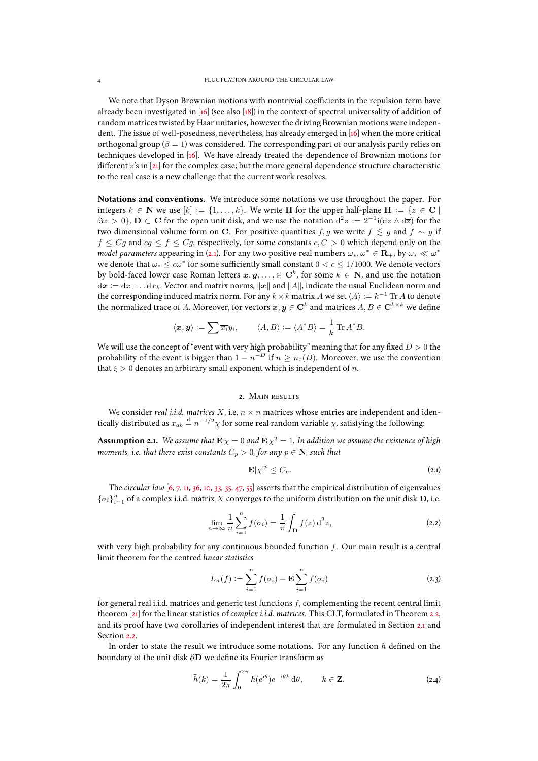We note that Dyson Brownian motions with nontrivial coefficients in the repulsion term have already been investigated in [\[16](#page-47-10)] (see also [\[18\]](#page-47-11)) in the context of spectral universality of addition of random matrices twisted by Haar unitaries, however the driving Brownian motions were independent. The issue of well-posedness, nevertheless, has already emerged in [\[16](#page-47-10)] when the more critical orthogonal group ( $\beta = 1$ ) was considered. The corresponding part of our analysis partly relies on techniques developed in [\[16](#page-47-10)]. We have already treated the dependence of Brownian motions for different  $z$ 's in [\[21](#page-47-0)] for the complex case; but the more general dependence structure characteristic to the real case is a new challenge that the current work resolves.

**Notations and conventions.** We introduce some notations we use throughout the paper. For integers  $k \in \mathbb{N}$  we use  $[k] := \{1, \ldots, k\}$ . We write H for the upper half-plane H :=  $\{z \in \mathbb{C} \mid$  $\Im z > 0$ ,  $\mathbf{D} \subset \mathbf{C}$  for the open unit disk, and we use the notation  $d^2 z := 2^{-1} i (dz \wedge d\overline{z})$  for the two dimensional volume form on C. For positive quantities f, g we write  $f \lesssim g$  and  $f \sim g$  if  $f \leq Cg$  and  $cg \leq f \leq Cg$ , respectively, for some constants  $c, C > 0$  which depend only on the *model parameters* appearing in [\(2.1\)](#page-3-0). For any two positive real numbers  $\omega_*,\omega^*\in\mathbf{R}_+$ , by  $\omega_*\ll\omega^*$ we denote that  $\omega_* \leq c\omega^*$  for some sufficiently small constant  $0 < c \leq 1/1000$ . We denote vectors by bold-faced lower case Roman letters  $x, y, ..., \in \mathbf{C}^k$ , for some  $k \in \mathbf{N}$ , and use the notation  $dx := dx_1 \dots dx_k$ . Vector and matrix norms,  $||x||$  and  $||A||$ , indicate the usual Euclidean norm and the corresponding induced matrix norm. For any  $k \times k$  matrix A we set  $\langle A \rangle := k^{-1} \operatorname{Tr} A$  to denote the normalized trace of A. Moreover, for vectors  $x, y \in \mathbf{C}^k$  and matrices  $A, B \in \mathbf{C}^{k \times k}$  we define

$$
\langle x, y \rangle := \sum \overline{x_i} y_i, \qquad \langle A, B \rangle := \langle A^* B \rangle = \frac{1}{k} \operatorname{Tr} A^* B.
$$

We will use the concept of "event with very high probability" meaning that for any fixed  $D > 0$  the probability of the event is bigger than  $1 - n^{-D}$  if  $n \ge n_0(D)$ . Moreover, we use the convention that  $\xi > 0$  denotes an arbitrary small exponent which is independent of *n*.

## 2. Main results

We consider *real i.i.d. matrices*  $X$ , i.e.  $n \times n$  matrices whose entries are independent and identically distributed as  $x_{ab} \stackrel{d}{=} n^{-1/2}\chi$  for some real random variable  $\chi$ , satisfying the following:

<span id="page-3-1"></span>**Assumption 2.1.** We assume that  $\mathbf{E}\,\chi=0$  and  $\mathbf{E}\,\chi^2=1$ . In addition we assume the existence of high *moments, i.e. that there exist constants*  $C_p > 0$ *, for any*  $p \in \mathbb{N}$ *, such that* 

<span id="page-3-0"></span>
$$
\mathbf{E}|\chi|^p \leq C_p. \tag{2.1}
$$

The *circular law* [\[6,](#page-47-1) [7](#page-47-12), [11,](#page-47-2) [36](#page-48-14), [10](#page-47-13), [33,](#page-48-15) [35,](#page-48-2) [47](#page-48-16), [55](#page-49-1)] asserts that the empirical distribution of eigenvalues  $\{\sigma_i\}_{i=1}^n$  of a complex i.i.d. matrix  $X$  converges to the uniform distribution on the unit disk  $\mathbf D,$  i.e.

$$
\lim_{n \to \infty} \frac{1}{n} \sum_{i=1}^{n} f(\sigma_i) = \frac{1}{\pi} \int_{\mathbf{D}} f(z) d^2 z,
$$
\n(2.2)

with very high probability for any continuous bounded function  $f$ . Our main result is a central limit theorem for the centred *linear statistics*

<span id="page-3-2"></span>
$$
L_n(f) := \sum_{i=1}^n f(\sigma_i) - \mathbf{E} \sum_{i=1}^n f(\sigma_i)
$$
 (2.3)

for general real i.i.d. matrices and generic test functions f, complementing the recent central limit theorem [\[21\]](#page-47-0) for the linear statistics of *complex i.i.d. matrices*. This CLT, formulated in Theorem [2.2,](#page-4-0) and its proof have two corollaries of independent interest that are formulated in Section [2.1](#page-6-0) and Section [2.2.](#page-6-1)

In order to state the result we introduce some notations. For any function  $h$  defined on the boundary of the unit disk ∂D we define its Fourier transform as

$$
\widehat{h}(k) = \frac{1}{2\pi} \int_0^{2\pi} h(e^{i\theta}) e^{-i\theta k} d\theta, \qquad k \in \mathbf{Z}.
$$
 (2.4)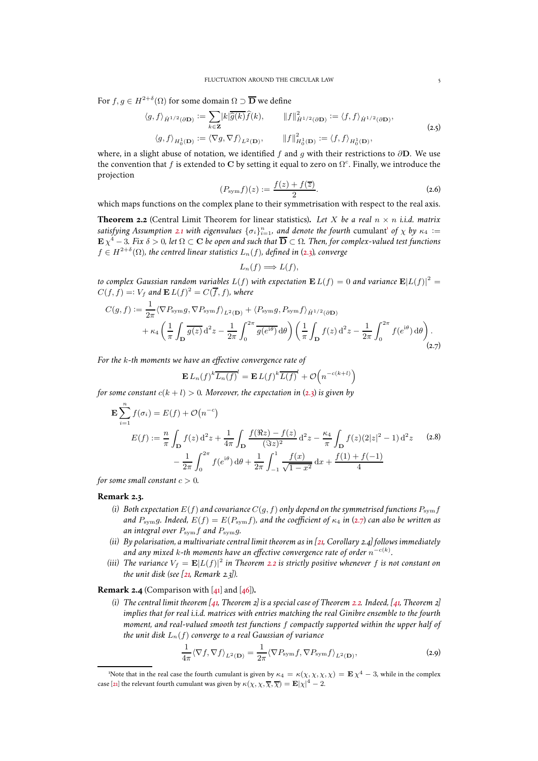For  $f, g \in H^{2+\delta}(\Omega)$  for some domain  $\Omega \supset \overline{\mathbf{D}}$  we define

$$
\langle g, f \rangle_{\dot{H}^{1/2}(\partial \mathbf{D})} := \sum_{k \in \mathbf{Z}} |k| \overline{\hat{g}(k)} \hat{f}(k), \qquad \|f\|_{\dot{H}^{1/2}(\partial \mathbf{D})}^2 := \langle f, f \rangle_{\dot{H}^{1/2}(\partial \mathbf{D})},
$$
  

$$
\langle g, f \rangle_{H_0^1(\mathbf{D})} := \langle \nabla g, \nabla f \rangle_{L^2(\mathbf{D})}, \qquad \|f\|_{H_0^1(\mathbf{D})}^2 := \langle f, f \rangle_{H_0^1(\mathbf{D})},
$$
  
(2.5)

where, in a slight abuse of notation, we identified f and g with their restrictions to  $\partial$ D. We use the convention that f is extended to C by setting it equal to zero on  $\Omega^c$ . Finally, we introduce the projection

<span id="page-4-7"></span>
$$
(P_{\text{sym}}f)(z) := \frac{f(z) + f(\overline{z})}{2}.
$$
 (2.6)

which maps functions on the complex plane to their symmetrisation with respect to the real axis.

<span id="page-4-0"></span>**Theorem 2.2** (Central Limit Theorem for linear statistics). Let X be a real  $n \times n$  *i.i.d.* matrix satisfying Assumption [2.1](#page-3-1) with eigenvalues  $\{\sigma_i\}_{i=1}^n$  $\{\sigma_i\}_{i=1}^n$  $\{\sigma_i\}_{i=1}^n$ , and denote the fourth cumulant<sup>1</sup> of  $\chi$  by  $\kappa_4$  :=  $\mathbf{E} \, \chi^4 - 3$ *. Fix*  $\delta > 0$ *, let*  $\Omega \subset \mathbf{C}$  *be open and such that*  $\overline{\mathbf{D}} \subset \Omega$ *. Then, for complex-valued test functions*  $f \in H^{2+\delta}(\Omega)$ , the centred linear statistics  $L_n(f)$ , defined in [\(2.3\)](#page-3-2), converge

$$
L_n(f) \Longrightarrow L(f),
$$

*to complex Gaussian random variables*  $L(f)$  with expectation  $\mathbf{E}\,L(f)=0$  and variance  $\mathbf{E}|L(f)|^2=0$  $C(f, f) =: V_f$  and  $\mathbf{E} L(f)^2 = C(\overline{f}, f)$ , where

<span id="page-4-2"></span>
$$
C(g,f) := \frac{1}{2\pi} \langle \nabla P_{\text{sym}} g, \nabla P_{\text{sym}} f \rangle_{L^2(\mathbf{D})} + \langle P_{\text{sym}} g, P_{\text{sym}} f \rangle_{\dot{H}^{1/2}(\partial \mathbf{D})} + \kappa_4 \left( \frac{1}{\pi} \int_{\mathbf{D}} \overline{g(z)} d^2 z - \frac{1}{2\pi} \int_0^{2\pi} \overline{g(e^{i\theta})} d\theta \right) \left( \frac{1}{\pi} \int_{\mathbf{D}} f(z) d^2 z - \frac{1}{2\pi} \int_0^{2\pi} f(e^{i\theta}) d\theta \right).
$$
\n(2.7)

*For the* k*-th moments we have an effective convergence rate of*

 $\mathbf{E}$ 

$$
L_n(f)^k \overline{L_n(f)}^l = \mathbf{E} L(f)^k \overline{L(f)}^l + \mathcal{O}\left(n^{-c(k+l)}\right)
$$

*for some constant*  $c(k + l) > 0$ *. Moreover, the expectation in* [\(2.3\)](#page-3-2) *is given by* 

<span id="page-4-6"></span>
$$
\mathbf{E} \sum_{i=1}^{n} f(\sigma_i) = E(f) + \mathcal{O}(n^{-c})
$$
\n
$$
E(f) := \frac{n}{\pi} \int_{\mathbf{D}} f(z) d^2 z + \frac{1}{4\pi} \int_{\mathbf{D}} \frac{f(\Re z) - f(z)}{(\Im z)^2} d^2 z - \frac{\kappa_4}{\pi} \int_{\mathbf{D}} f(z) (2|z|^2 - 1) d^2 z \qquad (2.8)
$$
\n
$$
- \frac{1}{2\pi} \int_{0}^{2\pi} f(e^{i\theta}) d\theta + \frac{1}{2\pi} \int_{-1}^{1} \frac{f(x)}{\sqrt{1 - x^2}} dx + \frac{f(1) + f(-1)}{4}
$$

*for some small constant*  $c > 0$ *.* 

## <span id="page-4-4"></span>**Remark 2.3.**

- *(i) Both expectation*  $E(f)$  *and covariance*  $C(g, f)$  *only depend on the symmetrised functions*  $P_{sym}f$ *and*  $P_{sym}g$ . Indeed,  $E(f) = E(P_{sym}f)$ , and the coefficient of  $\kappa_4$  in [\(2.7\)](#page-4-2) can also be written as *an integral over* Psymf *and* Psymg*.*
- *(ii) By polarisation, a multivariate central limit theorem as in [\[21,](#page-47-0) Corollary [2.4\]](#page-4-3) follows immediately* and any mixed k-th moments have an effective convergence rate of order  $n^{-c(k)}.$
- (iii) The variance  $V_f = \mathbf{E} |L(f)|^2$  in Theorem [2.2](#page-4-0) is strictly positive whenever f is not constant on *the unit disk (see [\[21](#page-47-0), Remark [2.3\]](#page-4-4)).*

## <span id="page-4-3"></span>**Remark 2.4** (Comparison with [\[41](#page-48-1)] and [\[46\]](#page-48-0))**.**

*(i) The central limit theorem [\[41,](#page-48-1) Theorem 2] is a special case of Theorem [2.2.](#page-4-0) Indeed, [\[41](#page-48-1), Theorem 2] implies that for real i.i.d. matrices with entries matching the real Ginibre ensemble to the fourth moment, and real-valued smooth test functions* f *compactly supported within the upper half of the unit disk*  $L_n(f)$  *converge to a real Gaussian of variance* 

<span id="page-4-5"></span>
$$
\frac{1}{4\pi} \langle \nabla f, \nabla f \rangle_{L^2(\mathbf{D})} = \frac{1}{2\pi} \langle \nabla P_{\text{sym}} f, \nabla P_{\text{sym}} f \rangle_{L^2(\mathbf{D})},\tag{2.9}
$$

<span id="page-4-1"></span><sup>&#</sup>x27;Note that in the real case the fourth cumulant is given by  $\kappa_4 = \kappa(\chi, \chi, \chi, \chi) = \mathbf{E} \chi^4 - 3$ , while in the complex case [\[21](#page-47-0)] the relevant fourth cumulant was given by  $\kappa(\chi,\chi,\overline{\chi},\overline{\chi}) = \mathbf{E}|\chi|^4 - 2.$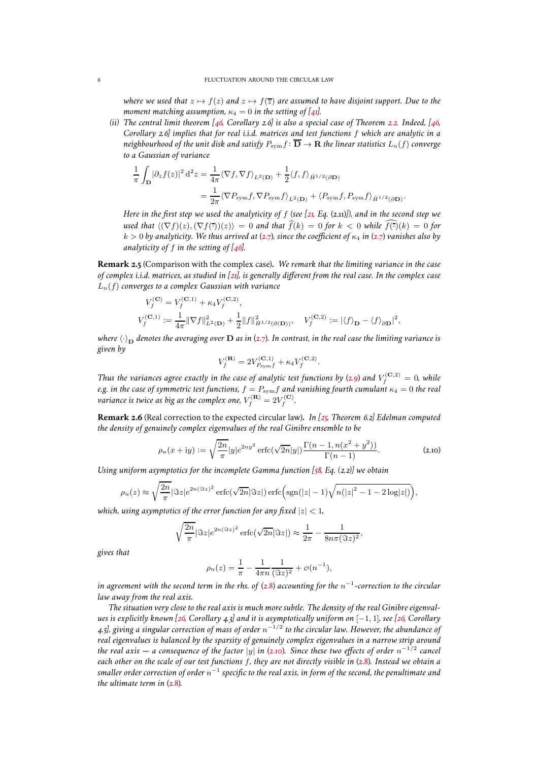*where we used that*  $z \mapsto f(z)$  *and*  $z \mapsto f(\overline{z})$  *are assumed to have disjoint support. Due to the moment matching assumption,*  $\kappa_4 = 0$  *in the setting of* [\[41](#page-48-1)*]*.

*(ii) The central limit theorem [\[46](#page-48-0), Corollary 2.6] is also a special case of Theorem [2.2.](#page-4-0) Indeed, [\[46](#page-48-0), Corollary 2.6] implies that for real i.i.d. matrices and test functions* f *which are analytic in a neighbourhood of the unit disk and satisfy*  $P_{\text{sym}}f: \overline{D} \to \mathbf{R}$  *the linear statistics*  $L_n(f)$  *converge to a Gaussian of variance*

$$
\frac{1}{\pi} \int_{\mathbf{D}} |\partial_z f(z)|^2 d^2 z = \frac{1}{4\pi} \langle \nabla f, \nabla f \rangle_{L^2(\mathbf{D})} + \frac{1}{2} \langle f, f \rangle_{\dot{H}^{1/2}(\partial \mathbf{D})} \n= \frac{1}{2\pi} \langle \nabla P_{\text{sym}} f, \nabla P_{\text{sym}} f \rangle_{L^2(\mathbf{D})} + \langle P_{\text{sym}} f, P_{\text{sym}} f \rangle_{\dot{H}^{1/2}(\partial \mathbf{D})}.
$$

*Here in the first step we used the analyticity of* f *(see [\[21,](#page-47-0) Eq.* [\(2.11\)](#page-6-2)*]), and in the second step we used that*  $\langle (\nabla f)(z),(\nabla f(\cdot))(z)\rangle = 0$  *and that*  $\hat{f}(k) = 0$  *for*  $k < 0$  *while*  $\hat{f}(\cdot)(k) = 0$  *for*  $k > 0$  by analyticity. We thus arrived at [\(2.7\)](#page-4-2), since the coefficient of  $\kappa_4$  in (2.7) vanishes also by *analyticity of* f *in the setting of [\[46](#page-48-0)].*

**Remark 2.5** (Comparison with the complex case)**.** *We remark that the limiting variance in the case of complex i.i.d. matrices, as studied in [\[21\]](#page-47-0), is generally different from the real case. In the complex case* Ln(f) *converges to a complex Gaussian with variance*

$$
V_f^{(\mathbf{C})} = V_f^{(\mathbf{C},1)} + \kappa_4 V_f^{(\mathbf{C},2)},
$$
  

$$
V_f^{(\mathbf{C},1)} := \frac{1}{4\pi} ||\nabla f||_{L^2(\mathbf{D})}^2 + \frac{1}{2} ||f||_{H^{1/2}(\partial(\mathbf{D}))}^2, \quad V_f^{(\mathbf{C},2)} := |\langle f \rangle_{\mathbf{D}} - \langle f \rangle_{\partial \mathbf{D}}|^2
$$

*where*  $\langle \cdot \rangle$  *denotes the averaging over* **D** *as in* [\(2.7\)](#page-4-2)*. In contrast, in the real case the limiting variance is given by*

$$
V_f^{(\mathbf{R})} = 2V_{P_{\text{sym}}f}^{(\mathbf{C},1)} + \kappa_4 V_f^{(\mathbf{C},2)}.
$$

*Thus the variances agree exactly in the case of analytic test functions by [\(2.9\)](#page-4-5) and*  $V_f^{({\bf C},2)}=0$ *, while e.g. in the case of symmetric test functions,*  $f = P_{sym}f$  *and vanishing fourth cumulant*  $\kappa_4 = 0$  *the real variance is twice as big as the complex one,*  $V_f^{(\mathbf{R})} = 2 V_f^{(\mathbf{C})}$ .

**Remark 2.6** (Real correction to the expected circular law)**.** *In [\[25](#page-47-4), Theorem 6.2] Edelman computed the density of genuinely complex eigenvalues of the real Ginibre ensemble to be*

<span id="page-5-0"></span>
$$
\rho_n(x+iy) := \sqrt{\frac{2n}{\pi}} |y| e^{2ny^2} \operatorname{erfc}(\sqrt{2n}|y|) \frac{\Gamma(n-1, n(x^2+y^2))}{\Gamma(n-1)}.
$$
\n(2.10)

,

*Using uniform asymptotics for the incomplete Gamma function [\[58,](#page-49-2) Eq. (2.2)] we obtain*

$$
\rho_n(z) \approx \sqrt{\frac{2n}{\pi}} |\Im z| e^{2n(\Im z)^2} \operatorname{erfc}(\sqrt{2n} |\Im z|) \operatorname{erfc}\left(\operatorname{sgn}(|z|-1)\sqrt{n(|z|^2-1-2\log|z|)}\right),
$$

*which, using asymptotics of the error function for any fixed*  $|z| < 1$ *,* 

$$
\sqrt{\frac{2n}{\pi}}|\Im z|e^{2n(\Im z)^2}\operatorname{erfc}(\sqrt{2n}|\Im z|) \approx \frac{1}{2\pi} - \frac{1}{8n\pi(\Im z)^2},
$$

*gives that*

$$
\rho_n(z) = \frac{1}{\pi} - \frac{1}{4\pi n} \frac{1}{(\Im z)^2} + \mathcal{O}(n^{-1}),
$$

*in agreement with the second term in the rhs. of* [\(2.8\)](#page-4-6) *accounting for the* n −1 *-correction to the circular law away from the real axis.*

*The situation very close to the real axis is much more subtle. The density of the real Ginibre eigenvalues is explicitly known [\[26](#page-47-3), Corollary 4.3] and it is asymptotically uniform on* [−1, 1]*, see [\[26](#page-47-3), Corollary 4.5], giving a singular correction of mass of order* n −1/2 *to the circular law. However, the abundance of real eigenvalues is balanced by the sparsity of genuinely complex eigenvalues in a narrow strip around the real axis — a consequence of the factor* |y| *in* [\(2.10\)](#page-5-0)*. Since these two effects of order* n −1/2 *cancel each other on the scale of our test functions* f*, they are not directly visible in* [\(2.8\)](#page-4-6)*. Instead we obtain a smaller order correction of order* n −1 *specific to the real axis, in form of the second, the penultimate and the ultimate term in [\(2.8\)](#page-4-6).*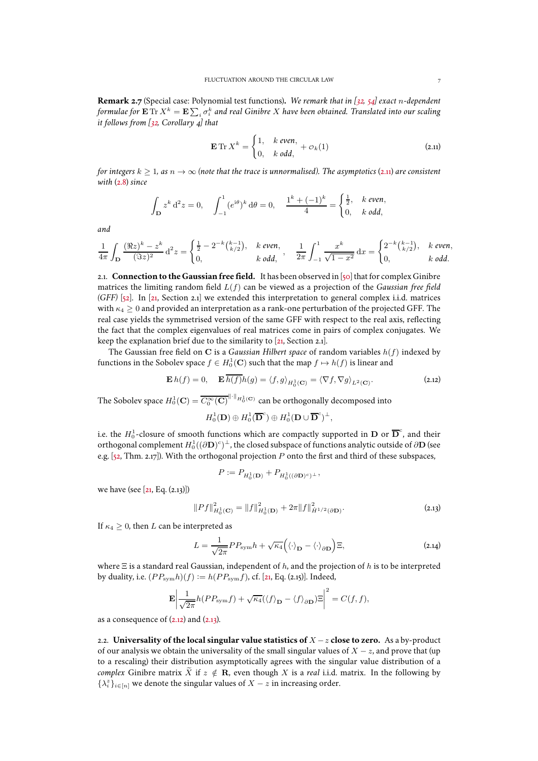**Remark 2.7** (Special case: Polynomial test functions)**.** *We remark that in [\[32](#page-48-17), [54](#page-49-3)] exact* n*-dependent* formulae for  $\mathbf{E}\, \text{Tr}\, X^k=\mathbf{E}\sum_i \sigma_i^k$  and real Ginibre  $X$  have been obtained. Translated into our scaling *it follows from [\[32](#page-48-17), Corollary 4] that*

<span id="page-6-2"></span>
$$
\mathbf{E} \operatorname{Tr} X^k = \begin{cases} 1, & k \text{ even,} \\ 0, & k \text{ odd,} \end{cases} + \mathcal{O}_k(1) \tag{2.11}
$$

*for integers*  $k \geq 1$ *, as*  $n \to \infty$  *(note that the trace is unnormalised). The asymptotics* (2.11*) are consistent with* [\(2.8\)](#page-4-6) *since*

$$
\int_{\mathbf{D}} z^k d^2 z = 0, \quad \int_{-1}^1 (e^{i\theta})^k d\theta = 0, \quad \frac{1^k + (-1)^k}{4} = \begin{cases} \frac{1}{2}, & k \text{ even,} \\ 0, & k \text{ odd,} \end{cases}
$$

*and*

$$
\frac{1}{4\pi}\int_{\mathbf{D}}\frac{(\Re z)^k-z^k}{(\Im z)^2}\,\mathrm{d}^2z=\begin{cases} \frac{1}{2}-2^{-k}\binom{k-1}{k/2}, & k \text{ even},\\ 0, & k \text{ odd}, \end{cases},\quad \frac{1}{2\pi}\int_{-1}^1\frac{x^k}{\sqrt{1-x^2}}\,\mathrm{d}x=\begin{cases} 2^{-k}\binom{k-1}{k/2}, & k \text{ even},\\ 0, & k \text{ odd}. \end{cases}
$$

<span id="page-6-0"></span>2.1. **Connection to the Gaussian free field.** It has been observed in [\[50](#page-48-4)] that for complex Ginibre matrices the limiting random field L(f) can be viewed as a projection of the *Gaussian free field (GFF)* [\[52](#page-48-5)]. In [\[21,](#page-47-0) Section [2.1\]](#page-6-0) we extended this interpretation to general complex i.i.d. matrices with  $\kappa_4 \geq 0$  and provided an interpretation as a rank-one perturbation of the projected GFF. The real case yields the symmetrised version of the same GFF with respect to the real axis, reflecting the fact that the complex eigenvalues of real matrices come in pairs of complex conjugates. We keep the explanation brief due to the similarity to [\[21](#page-47-0), Section [2.1\]](#page-6-0).

The Gaussian free field on C is a *Gaussian Hilbert space* of random variables h(f) indexed by functions in the Sobolev space  $f \in H_0^1(\mathbf{C})$  such that the map  $f \mapsto h(f)$  is linear and

<span id="page-6-4"></span>
$$
\mathbf{E} h(f) = 0, \quad \mathbf{E} \overline{h(f)} h(g) = \langle f, g \rangle_{H_0^1(\mathbf{C})} = \langle \nabla f, \nabla g \rangle_{L^2(\mathbf{C})}.
$$
 (2.12)

The Sobolev space  $H_0^1(\mathbf{C}) = \overline{C_0^\infty(\mathbf{C})}^{\|\cdot\|_{H_0^1(\mathbf{C})}}$  can be orthogonally decomposed into

$$
H_0^1(\mathbf{D}) \oplus H_0^1(\overline{\mathbf{D}}^c) \oplus H_0^1(\mathbf{D} \cup \overline{\mathbf{D}}^c)^{\perp},
$$

i.e. the  $H_0^1$ -closure of smooth functions which are compactly supported in  ${\bf D}$  or  $\overline {\bf D}^c$ , and their orthogonal complement  $H^1_0((\partial\mathbf{D})^c)^{\perp}$ , the closed subspace of functions analytic outside of  $\partial\mathbf{D}$  (see e.g.  $[52, Thm. 2.17]$ ). With the orthogonal projection P onto the first and third of these subspaces,

$$
P := P_{H_0^1(\mathbf{D})} + P_{H_0^1((\partial \mathbf{D})^c)^{\perp}},
$$

we have (see [\[21,](#page-47-0) Eq. [\(2.13\)](#page-6-3)])

$$
||Pf||_{H_0^1(\mathbf{C})}^2 = ||f||_{H_0^1(\mathbf{D})}^2 + 2\pi ||f||_{\dot{H}^{1/2}(\partial \mathbf{D})}^2.
$$
 (2.13)

<span id="page-6-3"></span>If  $\kappa_4 \geq 0$ , then L can be interpreted as

$$
L = \frac{1}{\sqrt{2\pi}} P P_{\text{sym}} h + \sqrt{\kappa_4} \left( \langle \cdot \rangle_{\mathbf{D}} - \langle \cdot \rangle_{\partial \mathbf{D}} \right) \Xi,
$$
 (2.14)

where  $\Xi$  is a standard real Gaussian, independent of h, and the projection of h is to be interpreted by duality, i.e.  $(P P_{sym} h)(f) := h(P P_{sym} f)$ , cf. [\[21,](#page-47-0) Eq. [\(2.15\)](#page-7-1)]. Indeed,

$$
\mathbf{E} \left| \frac{1}{\sqrt{2\pi}} h(PP_{\text{sym}}f) + \sqrt{\kappa_4} (\langle f \rangle_{\mathbf{D}} - \langle f \rangle_{\partial \mathbf{D}}) \Xi \right|^2 = C(f, f),
$$

as a consequence of  $(2.12)$  and  $(2.13)$ .

<span id="page-6-1"></span>2.2. **Universality of the local singular value statistics of** X −z **close to zero.** As a by-product of our analysis we obtain the universality of the small singular values of  $X - z$ , and prove that (up to a rescaling) their distribution asymptotically agrees with the singular value distribution of a *complex* Ginibre matrix  $\tilde{X}$  if  $z \notin \mathbf{R}$ , even though X is a *real* i.i.d. matrix. In the following by  $\{\lambda^z_i\}_{i\in [n]}$  we denote the singular values of  $X-z$  in increasing order.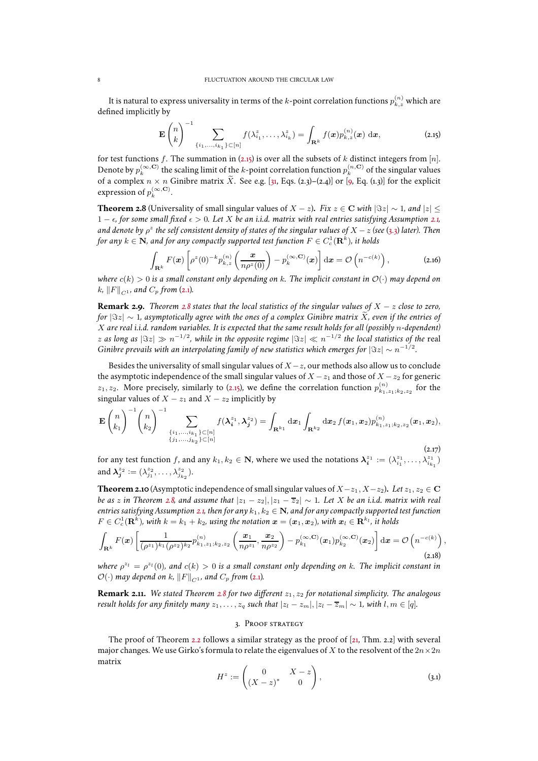It is natural to express universality in terms of the  $k$ -point correlation functions  $p_{k,z}^{(n)}$  which are defined implicitly by

<span id="page-7-1"></span>
$$
\mathbf{E}\begin{pmatrix}n\\k\end{pmatrix}^{-1}\sum_{\{i_1,\ldots,i_{k_1}\}\subset[n]}f(\lambda_{i_1}^z,\ldots,\lambda_{i_k}^z)=\int_{\mathbf{R}^k}f(\boldsymbol{x})p_{k,z}^{(n)}(\boldsymbol{x})\,\mathrm{d}\boldsymbol{x},\tag{2.15}
$$

for test functions f. The summation in [\(2.15\)](#page-7-1) is over all the subsets of k distinct integers from [n]. Denote by  $p_k^{(\infty,{\bf C})}$  the scaling limit of the  $k$ -point correlation function  $p_k^{(n,{\bf C})}$  of the singular values of a complex  $n \times n$  Ginibre matrix  $\tilde{X}$ . See e.g. [\[31](#page-48-18), Eqs. (2.3)–(2.4)] or [\[9](#page-47-14), Eq. (1.3)] for the explicit expression of  $p_k^{(\infty, \mathbf{C})}$ .

<span id="page-7-0"></span>**Theorem 2.8** (Universality of small singular values of  $X - z$ ). *Fix*  $z \in \mathbb{C}$  *with*  $|\Im z| \sim 1$ *, and*  $|z| \leq$ 1 − ǫ*, for some small fixed* ǫ > 0*. Let* X *be an i.i.d. matrix with real entries satisfying Assumption [2.1,](#page-3-1) and denote by* ρ z *the self consistent density of states of the singular values of* X −z *(see* [\(3.3\)](#page-8-0) *later). Then* for any  $k \in \mathbf{N}$ , and for any compactly supported test function  $F \in C^1_c(\mathbf{R}^k)$ , it holds

$$
\int_{\mathbf{R}^k} F(\boldsymbol{x}) \left[ \rho^z(0)^{-k} p_{k,z}^{(n)} \left( \frac{\boldsymbol{x}}{n \rho^z(0)} \right) - p_k^{(\infty, \mathbf{C})}(\boldsymbol{x}) \right] d\boldsymbol{x} = \mathcal{O}\left( n^{-c(k)} \right), \tag{2.16}
$$

*where*  $c(k) > 0$  *is a small constant only depending on* k. The implicit constant in  $\mathcal{O}(\cdot)$  may depend on  $k, \|F\|_{C^1}$ , and  $C_p$  from [\(2.1\)](#page-3-0).

**Remark 2.9.** *Theorem [2.8](#page-7-0) states that the local statistics of the singular values of* X − z *close to zero, for*  $|\Im z| \sim 1$ , asymptotically agree with the ones of a complex Ginibre matrix X, even if the entries of X *are real i.i.d. random variables. It is expected that the same result holds for all (possibly* n*-dependent)*  $z$  as long as  $|\Im z|\gg n^{-1/2}$ , while in the opposite regime  $|\Im z|\ll n^{-1/2}$  the local statistics of the real *Ginibre prevails with an interpolating family of new statistics which emerges for*  $|\Im z| \sim n^{-1/2}$ .

Besides the universality of small singular values of  $X - z$ , our methods also allow us to conclude the asymptotic independence of the small singular values of  $X - z_1$  and those of  $X - z_2$  for generic  $z_1, z_2$ . More precisely, similarly to [\(2.15\)](#page-7-1), we define the correlation function  $p_{k_1, z_1;k_2,z_2}^{(n)}$  for the singular values of  $X - z_1$  and  $X - z_2$  implicitly by

$$
\mathbf{E}\begin{pmatrix} n \\ k_1 \end{pmatrix}^{-1} \begin{pmatrix} n \\ k_2 \end{pmatrix}^{-1} \sum_{\substack{\{i_1,\dots,i_{k_1}\}\subset [n] \\ \{j_1,\dots,j_{k_2}\}\subset [n]}} f(\lambda_i^{z_1},\lambda_j^{z_2}) = \int_{\mathbf{R}^{k_1}} d\mathbf{x}_1 \int_{\mathbf{R}^{k_2}} d\mathbf{x}_2 f(\mathbf{x}_1,\mathbf{x}_2) p_{k_1,z_1;k_2,z_2}^{(n)}(\mathbf{x}_1,\mathbf{x}_2),
$$
\n(2.17)

for any test function f, and any  $k_1, k_2 \in \mathbb{N}$ , where we used the notations  $\boldsymbol{\lambda}_i^{z_1}:=(\lambda_{i_1}^{z_1},\ldots,\lambda_{i_{k_1}}^{z_1})$ and  $\lambda_j^{z_2} := (\lambda_{j_1}^{z_2}, \ldots, \lambda_{j_{k_2}}^{z_2}).$  $z_2$   $\cdot$   $\cdot$   $\wedge$   $z_2$ 

<span id="page-7-3"></span>**Theorem 2.10** (Asymptotic independence of small singular values of  $X-z_1, X-z_2$ ). Let  $z_1, z_2 \in \mathbb{C}$ *be as* z in Theorem [2.8,](#page-7-0) and assume that  $|z_1 - z_2|, |z_1 - \overline{z}_2| \sim 1$ . Let X be an i.i.d. matrix with real *entries satisfying Assumption* [2.1,](#page-3-1) then for any  $k_1, k_2 \in \mathbb{N}$ , and for any compactly supported test function  $F \in C_c^1(\mathbf{R}^k)$ , with  $k = k_1 + k_2$ , using the notation  $\mathbf{x} = (\mathbf{x}_1, \mathbf{x}_2)$ , with  $\mathbf{x}_l \in \mathbf{R}^{k_l}$ , it holds

$$
\int_{\mathbf{R}^k} F(\mathbf{x}) \left[ \frac{1}{(\rho^{z_1})^{k_1} (\rho^{z_2})^{k_2}} p_{k_1, z_1; k_2, z_2}^{(n)} \left( \frac{\mathbf{x}_1}{n \rho^{z_1}}, \frac{\mathbf{x}_2}{n \rho^{z_2}} \right) - p_{k_1}^{(\infty, \mathbf{C})}(\mathbf{x}_1) p_{k_2}^{(\infty, \mathbf{C})}(\mathbf{x}_2) \right] d\mathbf{x} = \mathcal{O}\left(n^{-c(k)}\right),
$$
\n(2.18)

where  $\rho^{z_l} = \rho^{z_l}(0)$ , and  $c(k) > 0$  is a small constant only depending on k. The implicit constant in  $\mathcal{O}(\cdot)$  *may depend on k,*  $||F||_{C^{1}}$ *, and*  $C_p$  *from* [\(2.1\)](#page-3-0)*.* 

**Remark 2.11.** *We stated Theorem [2.8](#page-7-0) for two different* z1, z<sup>2</sup> *for notational simplicity. The analogous result holds for any finitely many*  $z_1, \ldots, z_q$  *such that*  $|z_l - z_m|, |z_l - \overline{z}_m| \sim 1$ *, with*  $l, m \in [q]$ *.* 

#### 3. Proof strategy

The proof of Theorem [2.2](#page-4-0) follows a similar strategy as the proof of [\[21](#page-47-0), Thm. [2.2\]](#page-4-0) with several major changes. We use Girko's formula to relate the eigenvalues of X to the resolvent of the  $2n \times 2n$ matrix

<span id="page-7-2"></span>
$$
H^z := \begin{pmatrix} 0 & X - z \\ (X - z)^* & 0 \end{pmatrix}, \tag{3.1}
$$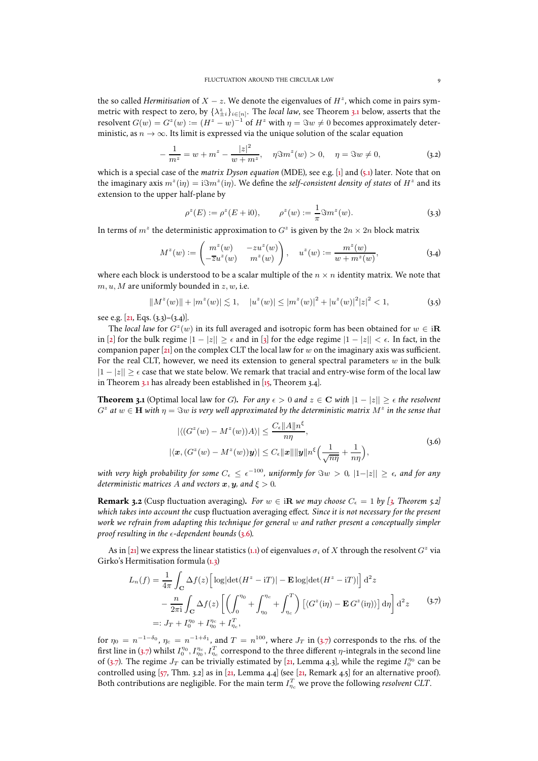the so called *Hermitisation* of  $X - z$ . We denote the eigenvalues of  $H^z$ , which come in pairs symmetric with respect to zero, by  $\{\lambda_{\pm i}^z\}_{i\in[n]}.$  The *local law*, see Theorem [3.1](#page-8-1) below, asserts that the resolvent  $G(w) = G^z(w) := (H^z - w)^{-1}$  of  $H^z$  with  $\eta = \Im w \neq 0$  becomes approximately deterministic, as  $n \to \infty$ . Its limit is expressed via the unique solution of the scalar equation

<span id="page-8-5"></span>
$$
-\frac{1}{m^z} = w + m^z - \frac{|z|^2}{w + m^z}, \quad \eta \Im m^z(w) > 0, \quad \eta = \Im w \neq 0,
$$
 (3.2)

which is a special case of the *matrix Dyson equation* (MDE), see e.g. [\[1\]](#page-47-15) and [\(5.1\)](#page-13-0) later. Note that on the imaginary axis  $m^z(i\eta) = i \Im m^z(i\eta)$ . We define the *self-consistent density of states* of  $H^z$  and its extension to the upper half-plane by

<span id="page-8-0"></span>
$$
\rho^{z}(E) := \rho^{z}(E + i0), \qquad \rho^{z}(w) := \frac{1}{\pi} \Im m^{z}(w).
$$
 (3.3)

In terms of  $m^z$  the deterministic approximation to  $G^z$  is given by the  $2n\times 2n$  block matrix

<span id="page-8-2"></span>
$$
M^{z}(w) := \begin{pmatrix} m^{z}(w) & -zu^{z}(w) \\ -\overline{z}u^{z}(w) & m^{z}(w) \end{pmatrix}, \quad u^{z}(w) := \frac{m^{z}(w)}{w + m^{z}(w)},
$$
 (3.4)

where each block is understood to be a scalar multiple of the  $n \times n$  identity matrix. We note that  $m, u, M$  are uniformly bounded in  $z, w$ , i.e.

$$
||Mz(w)|| + |mz(w)| \lesssim 1, \quad |uz(w)| \le |mz(w)|2 + |uz(w)|2|z|2 < 1,
$$
 (3.5)

see e.g. [\[21,](#page-47-0) Eqs. [\(3.3\)](#page-8-0)–[\(3.4\)](#page-8-2)].

The *local law* for  $G^z(w)$  in its full averaged and isotropic form has been obtained for  $w \in i\mathbf{R}$ in [\[2](#page-47-7)] for the bulk regime  $|1 - |z|| \ge \epsilon$  and in [\[3\]](#page-47-8) for the edge regime  $|1 - |z|| < \epsilon$ . In fact, in the companion paper [\[21](#page-47-0)] on the complex CLT the local law for w on the imaginary axis was sufficient. For the real CLT, however, we need its extension to general spectral parameters  $w$  in the bulk  $|1 - |z|| > \epsilon$  case that we state below. We remark that tracial and entry-wise form of the local law in Theorem [3.1](#page-8-1) has already been established in [\[15](#page-47-16), Theorem 3.4].

<span id="page-8-1"></span>**Theorem 3.1** (Optimal local law for G). *For any*  $\epsilon > 0$  *and*  $z \in \mathbb{C}$  *with*  $|1 - |z|| \geq \epsilon$  *the resolvent*  $G^z$  at  $w \in \mathbf{H}$  with  $\eta = \Im w$  is very well approximated by the deterministic matrix  $M^z$  in the sense that

$$
|\langle (G^z(w) - M^z(w))A \rangle| \leq \frac{C_{\epsilon} ||A||n^{\epsilon}}{n\eta},
$$
  
 
$$
|\langle \mathbf{x}, (G^z(w) - M^z(w))\mathbf{y} \rangle| \leq C_{\epsilon} ||\mathbf{x}|| ||\mathbf{y}||n^{\epsilon} \Big(\frac{1}{\sqrt{n\eta}} + \frac{1}{n\eta}\Big),
$$
 (3.6)

<span id="page-8-3"></span>with very high probability for some  $C_\epsilon \leq \epsilon^{-100}$ , uniformly for  $\Im w > 0$ ,  $|1-|z|| \geq \epsilon$ , and for any *deterministic matrices* A *and vectors*  $x, y$ *, and*  $\xi > 0$ *.* 

**Remark 3.2** (Cusp fluctuation averaging). For  $w \in \textbf{R}$  we may choose  $C_{\epsilon} = 1$  by [\[3,](#page-47-8) Theorem 5.2] *which takes into account the* cusp fluctuation averaging effect*. Since it is not necessary for the present work we refrain from adapting this technique for general* w *and rather present a conceptually simpler proof resulting in the*  $\epsilon$ -dependent bounds [\(3.6\)](#page-8-3).

As in [\[21\]](#page-47-0) we express the linear statistics [\(1.1\)](#page-0-0) of eigenvalues  $\sigma_i$  of  $X$  through the resolvent  $G^z$  via Girko's Hermitisation formula [\(1.3\)](#page-1-0)

$$
L_n(f) = \frac{1}{4\pi} \int_{\mathbf{C}} \Delta f(z) \left[ \log|\det(H^z - iT)| - \mathbf{E} \log|\det(H^z - iT)| \right] d^2 z
$$
  

$$
- \frac{n}{2\pi i} \int_{\mathbf{C}} \Delta f(z) \left[ \left( \int_0^{\eta_0} + \int_{\eta_0}^{\eta_c} + \int_{\eta_c}^T \right) \left[ \langle G^z(i\eta) - \mathbf{E} G^z(i\eta) \rangle \right] d\eta \right] d^2 z \qquad (3.7)
$$
  

$$
=: J_T + I_0^{\eta_0} + I_{\eta_0}^{\eta_c} + I_{\eta_c}^T,
$$

<span id="page-8-4"></span>for  $\eta_0\,=\,n^{-1-\delta_0},\,\eta_c\,=\,n^{-1+\delta_1},$  and  $T\,=\,n^{100},$  where  $J_T$  in [\(3.7\)](#page-8-4) corresponds to the rhs. of the first line in [\(3.7\)](#page-8-4) whilst  $I_0^{\eta_0}, I_{\eta_0}^T, I_{\eta_c}^T$  correspond to the three different  $\eta$ -integrals in the second line of [\(3.7\)](#page-8-4). The regime  $J_T$  can be trivially estimated by [\[21,](#page-47-0) Lemma 4.3], while the regime  $I_0^{\eta_0}$  can be controlled using [\[57,](#page-49-4) Thm. 3.2] as in [\[21](#page-47-0), Lemma 4.4] (see [\[21](#page-47-0), Remark 4.5] for an alternative proof). Both contributions are negligible. For the main term  $I_{\eta_c}^T$  we prove the following *resolvent CLT*.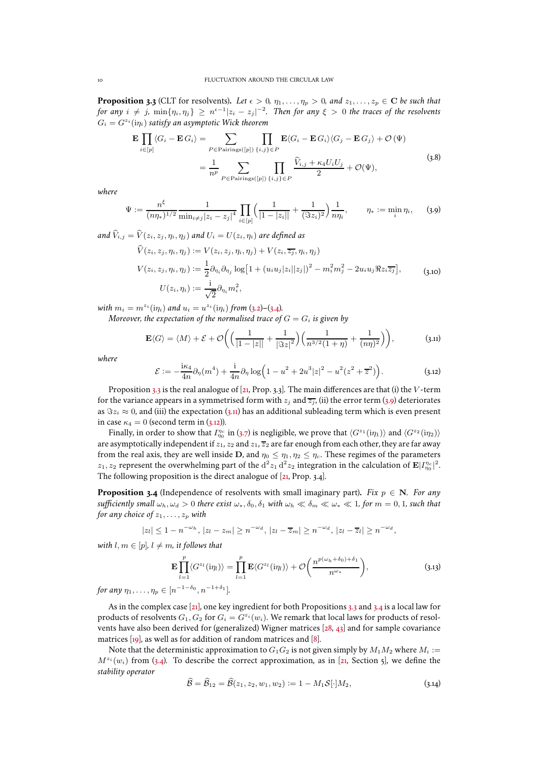<span id="page-9-0"></span>**Proposition 3.3** (CLT for resolvents). Let  $\epsilon > 0$ ,  $\eta_1, \ldots, \eta_p > 0$ , and  $z_1, \ldots, z_p \in \mathbb{C}$  be such that  $f$ or any  $i \neq j$ ,  $\min\{\eta_i, \eta_j\} \geq n^{\epsilon-1}|z_i-z_j|^{-2}$ . Then for any  $\xi > 0$  the traces of the resolvents  $G_i = G^{z_i}(\mathrm{i}\eta_i)$  satisfy an asymptotic Wick theorem

$$
\mathbf{E} \prod_{i \in [p]} \langle G_i - \mathbf{E} G_i \rangle = \sum_{P \in \text{Pairings}([p])} \prod_{\{i,j\} \in P} \mathbf{E} \langle G_i - \mathbf{E} G_i \rangle \langle G_j - \mathbf{E} G_j \rangle + \mathcal{O}(\Psi)
$$
\n
$$
= \frac{1}{n^p} \sum_{P \in \text{Pairings}([p])} \prod_{\{i,j\} \in P} \frac{\widehat{V}_{i,j} + \kappa_4 U_i U_j}{2} + \mathcal{O}(\Psi), \tag{3.8}
$$

<span id="page-9-8"></span>*where*

<span id="page-9-1"></span>
$$
\Psi := \frac{n^{\xi}}{(n\eta_*)^{1/2}} \frac{1}{\min_{i \neq j} |z_i - z_j|^4} \prod_{i \in [p]} \Big( \frac{1}{|1 - |z_i||} + \frac{1}{(\Im z_i)^2} \Big) \frac{1}{n\eta_i}, \qquad \eta_* := \min_i \eta_i, \qquad (3.9)
$$

*and*  $\hat{V}_{i,j} = \hat{V}(z_i, z_j, \eta_i, \eta_j)$  *and*  $U_i = U(z_i, \eta_i)$  *are defined as*  $\hat{V}(z, z, n, n) := V(z, z, n, n) + V(z, \overline{z}, n, n)$ 

$$
V(z_i, z_j, \eta_i, \eta_j) := V(z_i, z_j, \eta_i, \eta_j) + V(z_i, z_j, \eta_i, \eta_j)
$$
  
\n
$$
V(z_i, z_j, \eta_i, \eta_j) := \frac{1}{2} \partial_{\eta_i} \partial_{\eta_j} \log \left[ 1 + (u_i u_j |z_i| |z_j|)^2 - m_i^2 m_j^2 - 2u_i u_j \Re z_i \overline{z_j} \right],
$$
  
\n
$$
U(z_i, \eta_i) := \frac{i}{\sqrt{2}} \partial_{\eta_i} m_i^2,
$$
\n(3.10)

<span id="page-9-6"></span>*with*  $m_i = m^{z_i}(\text{i}\eta_i)$  *and*  $u_i = u^{z_i}(\text{i}\eta_i)$  *from* [\(3.2\)](#page-8-5)–[\(3.4\)](#page-8-2)*.* 

*Moreover, the expectation of the normalised trace of*  $G = G_i$  *is given by* 

<span id="page-9-2"></span>
$$
\mathbf{E}\langle G \rangle = \langle M \rangle + \mathcal{E} + \mathcal{O}\bigg( \Big(\frac{1}{|1-|z||} + \frac{1}{|\Im z|^2} \Big) \Big(\frac{1}{n^{3/2}(1+\eta)} + \frac{1}{(n\eta)^2} \Big) \bigg), \tag{3.11}
$$

*where*

<span id="page-9-3"></span>
$$
\mathcal{E} := -\frac{i\kappa_4}{4n}\partial_\eta(m^4) + \frac{i}{4n}\partial_\eta \log\left(1 - u^2 + 2u^3|z|^2 - u^2(z^2 + \overline{z}^2)\right).
$$
 (3.12)

Proposition [3.3](#page-9-0) is the real analogue of [\[21](#page-47-0), Prop. [3.3\]](#page-9-0). The main differences are that (i) the V-term for the variance appears in a symmetrised form with  $z_i$  and  $\overline{z_i}$ , (ii) the error term [\(3.9\)](#page-9-1) deteriorates as  $\Im z_i \approx 0$ , and (iii) the expectation [\(3.11\)](#page-9-2) has an additional subleading term which is even present in case  $\kappa_4 = 0$  (second term in [\(3.12\)](#page-9-3)).

Finally, in order to show that  $I_{\eta_0}^{\eta_c}$  in [\(3.7\)](#page-8-4) is negligible, we prove that  $\langle G^{z_1}(i\eta_1)\rangle$  and  $\langle G^{z_2}(i\eta_2)\rangle$ are asymptotically independent if  $z_1$ ,  $z_2$  and  $z_1$ ,  $\overline{z}_2$  are far enough from each other, they are far away from the real axis, they are well inside D, and  $\eta_0 \leq \eta_1, \eta_2 \leq \eta_c$ . These regimes of the parameters  $z_1, z_2$  represent the overwhelming part of the  $d^2 z_1 d^2 z_2$  integration in the calculation of  $\mathbf{E}|I_{\eta_0}^{n_c}|^2$ . The following proposition is the direct analogue of [\[21,](#page-47-0) Prop. [3.4\]](#page-9-4).

<span id="page-9-4"></span>**Proposition 3.4** (Independence of resolvents with small imaginary part). *Fix*  $p \in N$ . *For any sufficiently small*  $\omega_h$ ,  $\omega_d > 0$  *there exist*  $\omega_*$ ,  $\delta_0$ ,  $\delta_1$  *with*  $\omega_h \ll \delta_m \ll \omega_* \ll 1$ , *for*  $m = 0, 1$ , *such that for any choice of*  $z_1, \ldots, z_p$  *with* 

$$
|z_l| \leq 1 - n^{-\omega_h}, \, |z_l - z_m| \geq n^{-\omega_d}, \, |z_l - \overline{z}_m| \geq n^{-\omega_d}, \, |z_l - \overline{z}_l| \geq n^{-\omega_d},
$$

*with*  $l, m \in [p]$ ,  $l \neq m$ , *it follows that* 

<span id="page-9-7"></span>
$$
\mathbf{E}\prod_{l=1}^{p}\langle G^{z_{l}}(\mathrm{i}\eta_{l})\rangle = \prod_{l=1}^{p}\mathbf{E}\langle G^{z_{l}}(\mathrm{i}\eta_{l})\rangle + \mathcal{O}\left(\frac{n^{p(\omega_{h}+\delta_{0})+\delta_{1}}}{n^{\omega_{*}}}\right),\tag{3.13}
$$

*for any*  $\eta_1, \ldots, \eta_p \in [n^{-1-\delta_0}, n^{-1+\delta_1}].$ 

As in the complex case [\[21\]](#page-47-0), one key ingredient for both Propositions [3.3](#page-9-0) and [3.4](#page-9-4) is a local law for products of resolvents  $G_1, G_2$  for  $G_i = G^{z_i}(w_i)$ . We remark that local laws for products of resolvents have also been derived for (generalized) Wigner matrices [\[28](#page-48-19), [43](#page-48-20)] and for sample covariance matrices [\[19](#page-47-17)], as well as for addition of random matrices and [\[8\]](#page-47-18).

Note that the deterministic approximation to  $G_1G_2$  is not given simply by  $M_1M_2$  where  $M_i :=$  $M^{z_i}(w_i)$  from [\(3.4\)](#page-8-2). To describe the correct approximation, as in [\[21,](#page-47-0) Section [5\]](#page-13-1), we define the *stability operator*

<span id="page-9-5"></span>
$$
\widehat{\mathcal{B}} = \widehat{\mathcal{B}}_{12} = \widehat{\mathcal{B}}(z_1, z_2, w_1, w_2) := 1 - M_1 \mathcal{S}[\cdot] M_2,
$$
\n(3.14)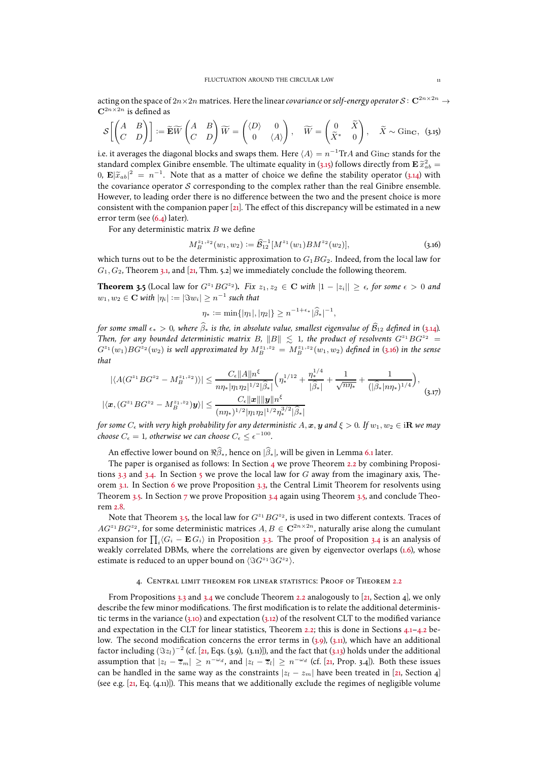acting on the space of  $2n\times 2n$  matrices. Here the linear *covariance* or *self-energy operator*  $\mathcal{S}\colon\mathbf{C}^{2n\times 2n}\to$  ${\bf C}^{2n\times 2n}$  is defined as

<span id="page-10-0"></span>
$$
\mathcal{S}\left[\begin{pmatrix} A & B \\ C & D \end{pmatrix}\right] := \widetilde{\mathbf{E}}\widetilde{W}\begin{pmatrix} A & B \\ C & D \end{pmatrix}\widetilde{W} = \begin{pmatrix} \langle D \rangle & 0 \\ 0 & \langle A \rangle \end{pmatrix}, \quad \widetilde{W} = \begin{pmatrix} 0 & \widetilde{X} \\ \widetilde{X}^* & 0 \end{pmatrix}, \quad \widetilde{X} \sim \text{Ginc}, \tag{3.15}
$$

i.e. it averages the diagonal blocks and swaps them. Here  $\langle A \rangle = n^{-1} \text{Tr}A$  and  $\text{Ginc}$  stands for the standard complex Ginibre ensemble. The ultimate equality in [\(3.15\)](#page-10-0) follows directly from  $\mathbf{E} \tilde{x}_{ab}^2 =$  $(0, \mathbf{E}|\tilde{x}_{ab}|^2 = n^{-1}$ . Note that as a matter of choice we define the stability operator [\(3.14\)](#page-9-5) with the covariance operator  $S$  corresponding to the complex rather than the real Ginibre ensemble. However, to leading order there is no difference between the two and the present choice is more consistent with the companion paper [\[21](#page-47-0)]. The effect of this discrepancy will be estimated in a new error term (see [\(6.4\)](#page-16-0) later).

For any deterministic matrix  $B$  we define

<span id="page-10-1"></span>
$$
M_B^{z_1, z_2}(w_1, w_2) := \widehat{\mathcal{B}}_{12}^{-1} [M^{z_1}(w_1) B M^{z_2}(w_2)], \qquad (3.16)
$$

which turns out to be the deterministic approximation to  $G_1BG_2$ . Indeed, from the local law for  $G_1, G_2$ , Theorem [3.1,](#page-8-1) and [\[21](#page-47-0), Thm. [5.2\]](#page-14-0) we immediately conclude the following theorem.

<span id="page-10-3"></span>**Theorem 3.5** (Local law for  $G^{z_1}BG^{z_2}$ ). Fix  $z_1, z_2 \in \mathbb{C}$  with  $|1 - |z_i|| \geq \epsilon$ , for some  $\epsilon > 0$  and  $w_1, w_2 \in \mathbf{C}$  with  $|\eta_i| := |\Im w_i| \geq n^{-1}$  such that

$$
\eta_* := \min\{|\eta_1|, |\eta_2|\} \ge n^{-1+\epsilon_*} |\widehat{\beta}_*|^{-1},
$$

*for some small*  $\epsilon_* > 0$ , where  $\widehat{\beta}_*$  *is the, in absolute value, smallest eigenvalue of*  $\widehat{\beta}_{12}$  *defined in* [\(3.14\)](#page-9-5)*.* Then, for any bounded deterministic matrix B,  $||B|| \le 1$ , the product of resolvents  $G^{z_1}BG^{z_2} =$  $G^{z_1}(w_1)BG^{z_2}(w_2)$  is well approximated by  $M_B^{z_1,z_2} = M_B^{z_1,z_2}(w_1,w_2)$  defined in [\(3.16\)](#page-10-1) in the sense *that*

<span id="page-10-4"></span>
$$
|\langle A(G^{z_1}BG^{z_2} - M_B^{z_1,z_2})\rangle| \leq \frac{C_{\epsilon}||A||n^{\xi}}{n\eta_*|\eta_1\eta_2|^{1/2}|\widehat{\beta}_*|} \Big(\eta_*^{1/12} + \frac{\eta_*^{1/4}}{|\widehat{\beta}_*|} + \frac{1}{\sqrt{n\eta_*}} + \frac{1}{(|\widehat{\beta}_*|n\eta_*|)^{1/4}}\Big),
$$
  

$$
|\langle \mathbf{x}, (G^{z_1}BG^{z_2} - M_B^{z_1,z_2})\mathbf{y}\rangle| \leq \frac{C_{\epsilon}||\mathbf{x}|| \|\mathbf{y}\|n^{\xi}}{(n\eta_*)^{1/2}|\eta_1\eta_2|^{1/2}\eta_*^{3/2}|\widehat{\beta}_*|} \Big)
$$
(3.17)

*for some*  $C_{\epsilon}$  *with very high probability for any deterministic*  $A, x, y$  *and*  $\xi > 0$ *. If*  $w_1, w_2 \in \mathbf{iR}$  *we may choose*  $C_{\epsilon} = 1$ , *otherwise we can choose*  $C_{\epsilon} \leq \epsilon^{-100}$ .

An effective lower bound on  $\Re \widehat{\beta}_*$ , hence on  $|\widehat{\beta}_*|$ , will be given in Lemma [6.1](#page-16-1) later.

The paper is organised as follows: In Section [4](#page-10-2) we prove Theorem [2.2](#page-4-0) by combining Proposi-tions [3.3](#page-9-0) and [3.4.](#page-9-4) In Section [5](#page-13-1) we prove the local law for G away from the imaginary axis, Theorem [3.1.](#page-8-1) In Section [6](#page-16-2) we prove Proposition [3.3,](#page-9-0) the Central Limit Theorem for resolvents using Theorem [3.5.](#page-10-3) In Section [7](#page-23-0) we prove Proposition [3.4](#page-9-4) again using Theorem [3.5,](#page-10-3) and conclude Theorem [2.8.](#page-7-0)

Note that Theorem [3.5,](#page-10-3) the local law for  $G^{z_1}BG^{z_2}$ , is used in two different contexts. Traces of  $AG^{z_1}BG^{z_2}$ , for some deterministic matrices  $A, B \in \mathbf{C}^{2n \times 2n}$ , naturally arise along the cumulant expansion for  $\prod_i \langle G_i - \mathbf{E} G_i \rangle$  in Proposition [3.3.](#page-9-0) The proof of Proposition [3.4](#page-9-4) is an analysis of weakly correlated DBMs, where the correlations are given by eigenvector overlaps [\(1.6\)](#page-2-2), whose estimate is reduced to an upper bound on  $\langle \Im G^{z_1} \Im G^{z_2} \rangle$ .

## 4. Central limit theorem for linear statistics: Proof of Theorem [2.2](#page-4-0)

<span id="page-10-2"></span>From Propositions [3.3](#page-9-0) and [3.4](#page-9-4) we conclude Theorem [2.2](#page-4-0) analogously to [\[21](#page-47-0), Section [4\]](#page-10-2), we only describe the few minor modifications. The first modification is to relate the additional deterministic terms in the variance [\(3.10\)](#page-9-6) and expectation [\(3.12\)](#page-9-3) of the resolvent CLT to the modified variance and expectation in the CLT for linear statistics, Theorem [2.2;](#page-4-0) this is done in Sections [4.1–](#page-11-0)[4.2](#page-12-0) below. The second modification concerns the error terms in [\(3.9\)](#page-9-1), [\(3.11\)](#page-9-2), which have an additional factor including  $(\Im z_l)^{-2}$  (cf. [\[21](#page-47-0), Eqs. [\(3.9\)](#page-9-1), [\(3.11\)](#page-9-2)]), and the fact that [\(3.13\)](#page-9-7) holds under the additional assumption that  $|z_l - \overline{z}_m| \ge n^{-\omega_d}$ , and  $|z_l - \overline{z}_l| \ge n^{-\omega_d}$  (cf. [\[21,](#page-47-0) Prop. [3.4\]](#page-9-4)). Both these issues can be handled in the same way as the constraints  $|z_1 - z_m|$  have been treated in [\[21](#page-47-0), Section [4\]](#page-10-2) (see e.g. [\[21,](#page-47-0) Eq. [\(4.11\)](#page-12-1)]). This means that we additionally exclude the regimes of negligible volume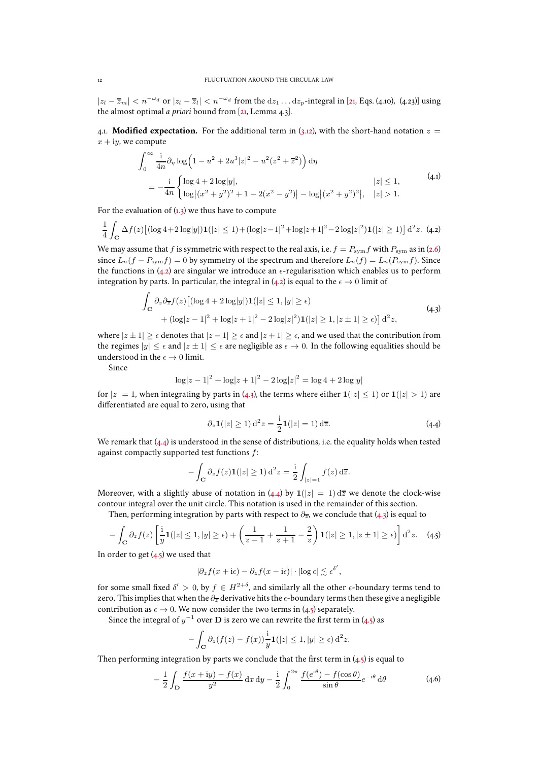$|z_l - \overline{z}_m| < n^{-\omega_d}$  or  $|z_l - \overline{z}_l| < n^{-\omega_d}$  from the  $dz_1 \dots dz_p$ -integral in [\[21,](#page-47-0) Eqs. [\(4.10\)](#page-12-2), (4.23)] using the almost optimal *a priori* bound from [\[21,](#page-47-0) Lemma 4.3].

<span id="page-11-0"></span>4.1. **Modified expectation.** For the additional term in [\(3.12\)](#page-9-3), with the short-hand notation  $z =$  $x + iy$ , we compute

$$
\int_0^\infty \frac{1}{4n} \partial_\eta \log \left( 1 - u^2 + 2u^3 |z|^2 - u^2 (z^2 + \overline{z}^2) \right) d\eta
$$
  
= 
$$
-\frac{1}{4n} \begin{cases} \log 4 + 2 \log |y|, & |z| \le 1, \\ \log |(x^2 + y^2)^2 + 1 - 2(x^2 - y^2)| - \log |(x^2 + y^2)^2|, & |z| > 1. \end{cases}
$$
(4.1)

For the evaluation of  $(1,3)$  we thus have to compute

<span id="page-11-1"></span>
$$
\frac{1}{4} \int_{\mathbf{C}} \Delta f(z) \left[ (\log 4 + 2 \log |y|) \mathbf{1}(|z| \le 1) + (\log |z - 1|^2 + \log |z + 1|^2 - 2 \log |z|^2) \mathbf{1}(|z| \ge 1) \right] d^2 z. \tag{4.2}
$$

We may assume that f is symmetric with respect to the real axis, i.e.  $f = P_{sym}f$  with  $P_{sym}$  as in [\(2.6\)](#page-4-7) since  $L_n(f - P_{sym}f) = 0$  by symmetry of the spectrum and therefore  $L_n(f) = L_n(P_{sym}f)$ . Since the functions in [\(4.2\)](#page-11-1) are singular we introduce an  $\epsilon$ -regularisation which enables us to perform integration by parts. In particular, the integral in [\(4.2\)](#page-11-1) is equal to the  $\epsilon \to 0$  limit of

$$
\int_{\mathbf{C}} \partial_z \partial_{\overline{z}} f(z) \left[ (\log 4 + 2 \log |y|) \mathbf{1}(|z| \le 1, |y| \ge \epsilon) \right. \left. + (\log |z - 1|^2 + \log |z + 1|^2 - 2 \log |z|^2) \mathbf{1}(|z| \ge 1, |z \pm 1| \ge \epsilon) \right] d^2 z,
$$
\n
$$
(4.3)
$$

<span id="page-11-2"></span>where  $|z \pm 1| \ge \epsilon$  denotes that  $|z - 1| \ge \epsilon$  and  $|z + 1| \ge \epsilon$ , and we used that the contribution from the regimes  $|y| \leq \epsilon$  and  $|z \pm 1| \leq \epsilon$  are negligible as  $\epsilon \to 0$ . In the following equalities should be understood in the  $\epsilon \to 0$  limit.

Since

$$
\log|z - 1|^2 + \log|z + 1|^2 - 2\log|z|^2 = \log 4 + 2\log|y|
$$

for  $|z| = 1$ , when integrating by parts in [\(4.3\)](#page-11-2), the terms where either  $1(|z| \le 1)$  or  $1(|z| > 1)$  are differentiated are equal to zero, using that

<span id="page-11-3"></span>
$$
\partial_z \mathbf{1}(|z| \ge 1) d^2 z = \frac{i}{2} \mathbf{1}(|z| = 1) d\overline{z}.
$$
 (4.4)

We remark that  $(4.4)$  is understood in the sense of distributions, i.e. the equality holds when tested against compactly supported test functions f:

$$
-\int_{\mathbf{C}} \partial_z f(z) \mathbf{1}(|z| \ge 1) d^2 z = \frac{i}{2} \int_{|z|=1} f(z) d\overline{z}.
$$

Moreover, with a slightly abuse of notation in [\(4.4\)](#page-11-3) by  $1(|z| = 1) d\overline{z}$  we denote the clock-wise contour integral over the unit circle. This notation is used in the remainder of this section.

Then, performing integration by parts with respect to  $\partial_{\overline{z}}$ , we conclude that [\(4.3\)](#page-11-2) is equal to

<span id="page-11-4"></span>
$$
-\int_{\mathbf{C}} \partial_z f(z) \left[ \frac{\mathbf{i}}{y} \mathbf{1}(|z| \le 1, |y| \ge \epsilon) + \left( \frac{1}{\overline{z} - 1} + \frac{1}{\overline{z} + 1} - \frac{2}{\overline{z}} \right) \mathbf{1}(|z| \ge 1, |z \pm 1| \ge \epsilon) \right] \mathrm{d}^2 z. \tag{4.5}
$$

In order to get  $(4.5)$  we used that

$$
|\partial_z f(x+\mathrm{i}\epsilon)-\partial_z f(x-\mathrm{i}\epsilon)|\cdot|\log\epsilon|\lesssim \epsilon^{\delta'},
$$

for some small fixed  $\delta' > 0$ , by  $f \in H^{2+\delta}$ , and similarly all the other  $\epsilon$ -boundary terms tend to zero. This implies that when the  $\partial_{\overline{z}}$  derivative hits the  $\epsilon$ -boundary terms then these give a negligible contribution as  $\epsilon \to 0$ . We now consider the two terms in [\(4.5\)](#page-11-4) separately.

Since the integral of  $y^{-1}$  over  ${\bf D}$  is zero we can rewrite the first term in [\(4.5\)](#page-11-4) as

$$
-\int_{\mathbf{C}} \partial_z (f(z)-f(x))\frac{\mathrm{i}}{y} \mathbf{1}(|z|\leq 1, |y|\geq \epsilon) d^2z.
$$

<span id="page-11-5"></span>Then performing integration by parts we conclude that the first term in  $(4.5)$  is equal to

$$
-\frac{1}{2}\int_{\mathbf{D}}\frac{f(x+\mathrm{i}y)-f(x)}{y^2}\,\mathrm{d}x\,\mathrm{d}y-\frac{\mathrm{i}}{2}\int_0^{2\pi}\frac{f(e^{i\theta})-f(\cos\theta)}{\sin\theta}e^{-i\theta}\,\mathrm{d}\theta\tag{4.6}
$$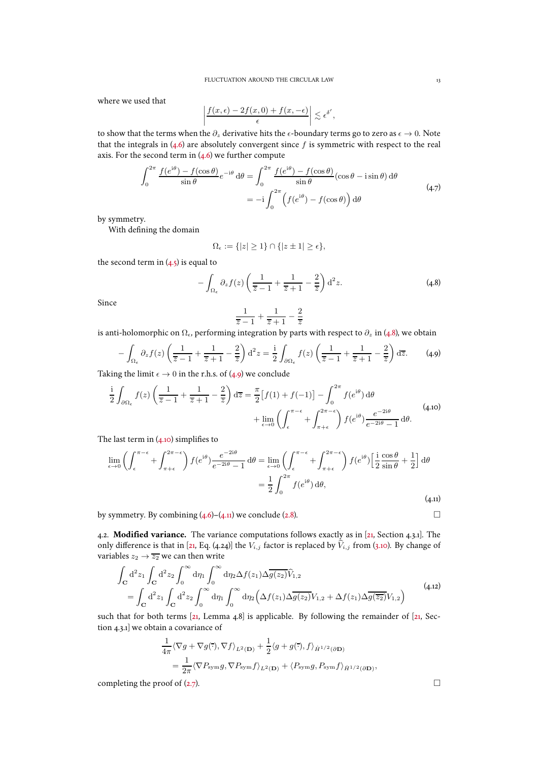where we used that

$$
\left| \frac{f(x,\epsilon) - 2f(x,0) + f(x,-\epsilon)}{\epsilon} \right| \lesssim \epsilon^{\delta'}
$$

to show that the terms when the  $\partial_z$  derivative hits the  $\epsilon$ -boundary terms go to zero as  $\epsilon \to 0$ . Note that the integrals in  $(4.6)$  are absolutely convergent since f is symmetric with respect to the real axis. For the second term in  $(4.6)$  we further compute

$$
\int_0^{2\pi} \frac{f(e^{i\theta}) - f(\cos \theta)}{\sin \theta} e^{-i\theta} d\theta = \int_0^{2\pi} \frac{f(e^{i\theta}) - f(\cos \theta)}{\sin \theta} (\cos \theta - i \sin \theta) d\theta
$$
  
= 
$$
-i \int_0^{2\pi} \left( f(e^{i\theta}) - f(\cos \theta) \right) d\theta
$$
 (4.7)

by symmetry.

With defining the domain

$$
\Omega_\epsilon:=\{|z|\geq 1\}\cap\{|z\pm 1|\geq \epsilon\},
$$

the second term in  $(4.5)$  is equal to

<span id="page-12-3"></span>
$$
-\int_{\Omega_{\epsilon}} \partial_z f(z) \left( \frac{1}{\overline{z} - 1} + \frac{1}{\overline{z} + 1} - \frac{2}{\overline{z}} \right) d^2 z.
$$
 (4.8)

,

Since

$$
\frac{1}{\overline{z}-1}+\frac{1}{\overline{z}+1}-\frac{2}{\overline{z}}
$$

is anti-holomorphic on  $\Omega_{\epsilon}$ , performing integration by parts with respect to  $\partial_z$  in [\(4.8\)](#page-12-3), we obtain

<span id="page-12-4"></span>
$$
-\int_{\Omega_{\epsilon}} \partial_z f(z) \left( \frac{1}{\overline{z} - 1} + \frac{1}{\overline{z} + 1} - \frac{2}{\overline{z}} \right) d^2 z = \frac{i}{2} \int_{\partial \Omega_{\epsilon}} f(z) \left( \frac{1}{\overline{z} - 1} + \frac{1}{\overline{z} + 1} - \frac{2}{\overline{z}} \right) d\overline{z}.
$$
 (4.9)

Taking the limit  $\epsilon \to 0$  in the r.h.s. of [\(4.9\)](#page-12-4) we conclude

<span id="page-12-2"></span>
$$
\frac{i}{2} \int_{\partial\Omega_{\epsilon}} f(z) \left( \frac{1}{\overline{z} - 1} + \frac{1}{\overline{z} + 1} - \frac{2}{\overline{z}} \right) d\overline{z} = \frac{\pi}{2} \left[ f(1) + f(-1) \right] - \int_{0}^{2\pi} f(e^{i\theta}) d\theta
$$

$$
+ \lim_{\epsilon \to 0} \left( \int_{\epsilon}^{\pi - \epsilon} + \int_{\pi + \epsilon}^{2\pi - \epsilon} \right) f(e^{i\theta}) \frac{e^{-2i\theta}}{e^{-2i\theta} - 1} d\theta. \tag{4.10}
$$

The last term in  $(4.10)$  simplifies to

<span id="page-12-1"></span>
$$
\lim_{\epsilon \to 0} \left( \int_{\epsilon}^{\pi - \epsilon} + \int_{\pi + \epsilon}^{2\pi - \epsilon} \right) f(e^{i\theta}) \frac{e^{-2i\theta}}{e^{-2i\theta} - 1} d\theta = \lim_{\epsilon \to 0} \left( \int_{\epsilon}^{\pi - \epsilon} + \int_{\pi + \epsilon}^{2\pi - \epsilon} \right) f(e^{i\theta}) \left[ \frac{i}{2} \frac{\cos \theta}{\sin \theta} + \frac{1}{2} \right] d\theta
$$

$$
= \frac{1}{2} \int_{0}^{2\pi} f(e^{i\theta}) d\theta,
$$
(4.11)

by symmetry. By combining  $(4.6)$ – $(4.11)$  we conclude [\(2.8\)](#page-4-6).

<span id="page-12-0"></span>4.2. **Modified variance.** The variance computations follows exactly as in [\[21,](#page-47-0) Section 4.3.1]. The only difference is that in [\[21,](#page-47-0) Eq. (4.24)] the  $V_{i,j}$  factor is replaced by  $\hat{V}_{i,j}$  from [\(3.10\)](#page-9-6). By change of variables  $z_2 \rightarrow \overline{z_2}$  we can then write

$$
\int_{\mathbf{C}} d^2 z_1 \int_{\mathbf{C}} d^2 z_2 \int_0^{\infty} d\eta_1 \int_0^{\infty} d\eta_2 \Delta f(z_1) \Delta \overline{g(z_2)} \widehat{V}_{1,2}
$$
\n
$$
= \int_{\mathbf{C}} d^2 z_1 \int_{\mathbf{C}} d^2 z_2 \int_0^{\infty} d\eta_1 \int_0^{\infty} d\eta_2 \Big(\Delta f(z_1) \Delta \overline{g(z_2)} V_{1,2} + \Delta f(z_1) \Delta \overline{g(z_2)} V_{1,2}\Big)
$$
\n(4.12)

such that for both terms [\[21](#page-47-0), Lemma 4.8] is applicable. By following the remainder of [\[21](#page-47-0), Section 4.3.1] we obtain a covariance of

$$
\frac{1}{4\pi} \langle \nabla g + \nabla g(\vec{\cdot}), \nabla f \rangle_{L^2(\mathbf{D})} + \frac{1}{2} \langle g + g(\vec{\cdot}), f \rangle_{\dot{H}^{1/2}(\partial \mathbf{D})}
$$
\n
$$
= \frac{1}{2\pi} \langle \nabla P_{\text{sym}} g, \nabla P_{\text{sym}} f \rangle_{L^2(\mathbf{D})} + \langle P_{\text{sym}} g, P_{\text{sym}} f \rangle_{\dot{H}^{1/2}(\partial \mathbf{D})},
$$

completing the proof of  $(2.7)$ .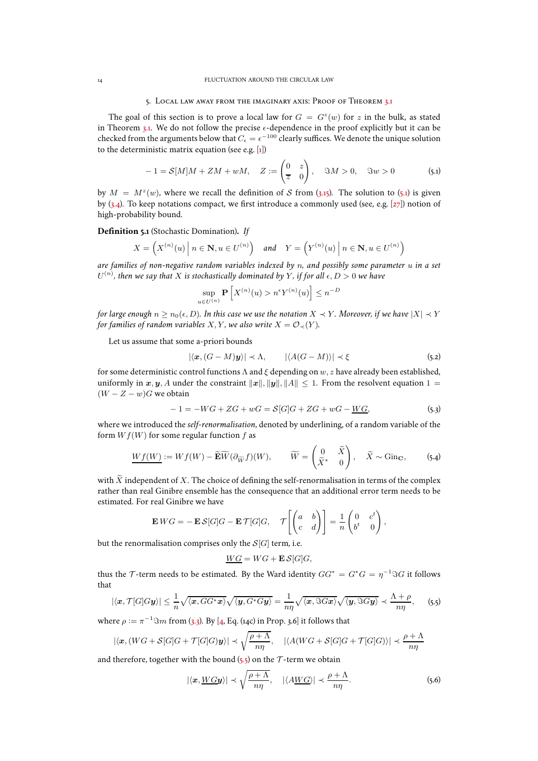#### 5. Local law away from the imaginary axis: Proof of Theorem [3.1](#page-8-1)

<span id="page-13-1"></span>The goal of this section is to prove a local law for  $G = G<sup>z</sup>(w)$  for z in the bulk, as stated in Theorem [3.1.](#page-8-1) We do not follow the precise  $\epsilon$ -dependence in the proof explicitly but it can be checked from the arguments below that  $C_\epsilon=\epsilon^{-100}$  clearly suffices. We denote the unique solution to the deterministic matrix equation (see e.g. [\[1](#page-47-15)])

<span id="page-13-0"></span>
$$
-1 = \mathcal{S}[M]M + ZM + wM, \quad Z := \begin{pmatrix} 0 & z \\ \overline{z} & 0 \end{pmatrix}, \quad \Im M > 0, \quad \Im w > 0 \tag{5.1}
$$

by  $M = M<sup>2</sup>(w)$ , where we recall the definition of S from [\(3.15\)](#page-10-0). The solution to [\(5.1\)](#page-13-0) is given by [\(3.4\)](#page-8-2). To keep notations compact, we first introduce a commonly used (see, e.g. [\[27\]](#page-48-21)) notion of high-probability bound.

**Definition 5.1** (Stochastic Domination)**.** *If*

$$
X = \left( X^{(n)}(u) \mid n \in \mathbf{N}, u \in U^{(n)} \right) \quad \text{and} \quad Y = \left( Y^{(n)}(u) \mid n \in \mathbf{N}, u \in U^{(n)} \right)
$$

*are families of non-negative random variables indexed by* n*, and possibly some parameter* u *in a set*  $U^{(n)}$ , then we say that  $X$  is stochastically dominated by  $Y$ , if for all  $\epsilon, D > 0$  we have

$$
\sup_{u \in U^{(n)}} \mathbf{P}\left[X^{(n)}(u) > n^{\epsilon} Y^{(n)}(u)\right] \le n^{-D}
$$

*for large enough*  $n > n_0(\epsilon, D)$ *. In this case we use the notation*  $X \prec Y$ *. Moreover, if we have*  $|X| \prec Y$ *for families of random variables* X, Y, we also write  $X = \mathcal{O}_{\prec}(Y)$ .

Let us assume that some a-priori bounds

<span id="page-13-4"></span>
$$
|\langle \mathbf{x}, (G-M)\mathbf{y} \rangle| \prec \Lambda, \qquad |\langle A(G-M) \rangle| \prec \xi \qquad (5.2)
$$

for some deterministic control functions  $\Lambda$  and  $\xi$  depending on  $w, z$  have already been established, uniformly in x, y, A under the constraint  $||x||, ||y||, ||A|| \leq 1$ . From the resolvent equation  $1 =$  $(W - Z - w)G$  we obtain

<span id="page-13-3"></span>
$$
-1 = -WG + ZG + wG = S[G]G + ZG + wG - \underline{WG}, \tag{5.3}
$$

where we introduced the *self-renormalisation*, denoted by underlining, of a random variable of the form  $W f(W)$  for some regular function f as

<span id="page-13-6"></span>
$$
\underline{Wf(W)} := Wf(W) - \widetilde{\mathbf{E}}\widetilde{W}(\partial_{\widetilde{W}}f)(W), \qquad \widetilde{W} = \begin{pmatrix} 0 & \widetilde{X} \\ \widetilde{X}^* & 0 \end{pmatrix}, \quad \widetilde{X} \sim \text{Ginc}, \qquad (5.4)
$$

with  $\tilde{X}$  independent of X. The choice of defining the self-renormalisation in terms of the complex rather than real Ginibre ensemble has the consequence that an additional error term needs to be estimated. For real Ginibre we have

$$
\mathbf{E} W G = -\mathbf{E} \mathcal{S}[G] G - \mathbf{E} \mathcal{T}[G] G, \quad \mathcal{T}\left[\begin{pmatrix} a & b \\ c & d \end{pmatrix}\right] = \frac{1}{n} \begin{pmatrix} 0 & c^t \\ b^t & 0 \end{pmatrix},
$$

but the renormalisation comprises only the  $S[G]$  term, i.e.

$$
\underline{WG} = WG + \mathbf{E}\,\mathcal{S}[G]G,
$$

thus the  $\mathcal{T}$ -term needs to be estimated. By the Ward identity  $GG^* = G^*G = \eta^{-1}\Im G$  it follows that

<span id="page-13-2"></span>
$$
|\langle \boldsymbol{x}, \mathcal{T}[G]G\boldsymbol{y}\rangle| \leq \frac{1}{n}\sqrt{\langle \boldsymbol{x}, GG^* \boldsymbol{x} \rangle} \sqrt{\langle \boldsymbol{y}, G^* G\boldsymbol{y} \rangle} = \frac{1}{n\eta} \sqrt{\langle \boldsymbol{x}, \Im G\boldsymbol{x} \rangle} \sqrt{\langle \boldsymbol{y}, \Im G\boldsymbol{y} \rangle} \prec \frac{\Lambda + \rho}{n\eta}, \qquad (5.5)
$$

where  $\rho := \pi^{-1} \Im m$  from [\(3.3\)](#page-8-0). By [\[4](#page-47-19), Eq. (14c) in Prop. 3.6] it follows that

$$
|\langle \mathbf{x}, (WG + \mathcal{S}[G]G + \mathcal{T}[G]G)\mathbf{y} \rangle| \prec \sqrt{\frac{\rho + \Lambda}{n\eta}}, \quad |\langle A(WG + \mathcal{S}[G]G + \mathcal{T}[G]G) \rangle| \prec \frac{\rho + \Lambda}{n\eta}
$$

and therefore, together with the bound  $(s, s)$  on the  $\mathcal T$ -term we obtain

<span id="page-13-5"></span>
$$
|\langle x, \underline{W}Gy \rangle| \prec \sqrt{\frac{\rho + \Lambda}{n\eta}}, \quad |\langle A\underline{W}G \rangle| \prec \frac{\rho + \Lambda}{n\eta}.
$$
 (5.6)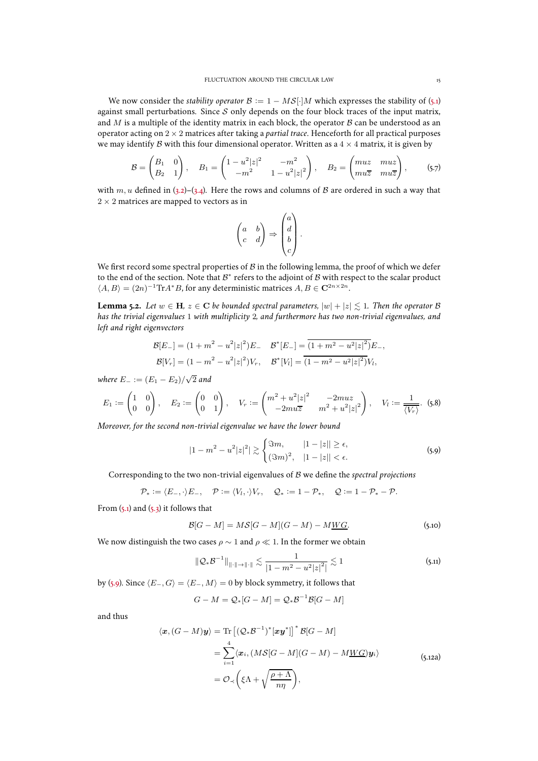We now consider the *stability operator*  $\mathcal{B} := 1 - MS[$  M which expresses the stability of [\(5.1\)](#page-13-0) against small perturbations. Since  $S$  only depends on the four block traces of the input matrix, and  $M$  is a multiple of the identity matrix in each block, the operator  $B$  can be understood as an operator acting on 2 × 2 matrices after taking a *partial trace*. Henceforth for all practical purposes we may identify B with this four dimensional operator. Written as a  $4 \times 4$  matrix, it is given by

<span id="page-14-4"></span>
$$
B = \begin{pmatrix} B_1 & 0 \\ B_2 & 1 \end{pmatrix}, \quad B_1 = \begin{pmatrix} 1 - u^2 |z|^2 & -m^2 \\ -m^2 & 1 - u^2 |z|^2 \end{pmatrix}, \quad B_2 = \begin{pmatrix} muz & muz \\ mu\overline{z} & mu\overline{z} \end{pmatrix}, \quad (5.7)
$$

with  $m, u$  defined in [\(3.2\)](#page-8-5)–[\(3.4\)](#page-8-2). Here the rows and columns of B are ordered in such a way that  $2 \times 2$  matrices are mapped to vectors as in

$$
\begin{pmatrix} a & b \\ c & d \end{pmatrix} \Rightarrow \begin{pmatrix} a \\ d \\ b \\ c \end{pmatrix}.
$$

We first record some spectral properties of  $\mathcal B$  in the following lemma, the proof of which we defer to the end of the section. Note that  $\mathcal{B}^*$  refers to the adjoint of  $\mathcal B$  with respect to the scalar product  $\langle A, B \rangle = (2n)^{-1} \text{Tr} A^* B$ , for any deterministic matrices  $A, B \in \mathbf{C}^{2n \times 2n}$ .

<span id="page-14-0"></span>**Lemma 5.2.** *Let*  $w \in H$ ,  $z \in C$  *be bounded spectral parameters,*  $|w| + |z| \leq 1$ *. Then the operator* B *has the trivial eigenvalues* 1 *with multiplicity* 2*, and furthermore has two non-trivial eigenvalues, and left and right eigenvectors*

$$
\mathcal{B}[E_{-}] = (1 + m^2 - u^2 |z|^2) E_- \quad \mathcal{B}^*[E_{-}] = \overline{(1 + m^2 - u^2 |z|^2)} E_-,
$$
  

$$
\mathcal{B}[V_r] = (1 - m^2 - u^2 |z|^2) V_r, \quad \mathcal{B}^*[V_l] = \overline{(1 - m^2 - u^2 |z|^2)} V_l,
$$

*where*  $E_ - := (E_1 - E_2) / \sqrt{2}$  and

<span id="page-14-5"></span>
$$
E_1 := \begin{pmatrix} 1 & 0 \\ 0 & 0 \end{pmatrix}, \quad E_2 := \begin{pmatrix} 0 & 0 \\ 0 & 1 \end{pmatrix}, \quad V_r := \begin{pmatrix} m^2 + u^2 |z|^2 & -2muz \\ -2muz & m^2 + u^2 |z|^2 \end{pmatrix}, \quad V_l := \frac{1}{\langle V_r \rangle}. \tag{5.8}
$$

*Moreover, for the second non-trivial eigenvalue we have the lower bound*

<span id="page-14-1"></span>
$$
|1 - m2 - u2|z|2| \gtrsim \begin{cases} \Im m, & |1 - |z|| \ge \epsilon, \\ (\Im m)^{2}, & |1 - |z|| < \epsilon. \end{cases}
$$
 (5.9)

Corresponding to the two non-trivial eigenvalues of B we define the *spectral projections*

$$
\mathcal{P}_* := \langle E_-, \cdot \rangle E_-, \quad \mathcal{P} := \langle V_l, \cdot \rangle V_r, \quad \mathcal{Q}_* := 1 - \mathcal{P}_*, \quad \mathcal{Q} := 1 - \mathcal{P}_* - \mathcal{P}.
$$

From  $(5.1)$  and  $(5.3)$  it follows that

<span id="page-14-2"></span>
$$
\mathcal{B}[G - M] = MS[G - M](G - M) - M\underline{WG}.
$$
\n(5.10)

We now distinguish the two cases  $\rho \sim 1$  and  $\rho \ll 1$ . In the former we obtain

$$
\|\mathcal{Q}_{*}\mathcal{B}^{-1}\|_{\|\cdot\|\to\|\cdot\|} \lesssim \frac{1}{|1-m^{2}-u^{2}|z|^{2}} \lesssim 1
$$
\n(5.1)

by [\(5.9\)](#page-14-1). Since  $\langle E_-, G \rangle = \langle E_-, M \rangle = 0$  by block symmetry, it follows that

$$
G - M = \mathcal{Q}_{*}[G - M] = \mathcal{Q}_{*}\mathcal{B}^{-1}\mathcal{B}[G - M]
$$

and thus

<span id="page-14-3"></span>
$$
\langle \boldsymbol{x}, (G - M)\boldsymbol{y} \rangle = \text{Tr}\left[ (\mathcal{Q}_* \mathcal{B}^{-1})^* [\boldsymbol{x} \boldsymbol{y}^*] \right]^* \mathcal{B}[G - M]
$$
  
\n
$$
= \sum_{i=1}^4 \langle \boldsymbol{x}_i, (M\mathcal{S}[G - M](G - M) - M\underline{W}G)\boldsymbol{y}_i \rangle
$$
  
\n
$$
= \mathcal{O}_{\prec} \left( \xi \Lambda + \sqrt{\frac{\rho + \Lambda}{n\eta}} \right), \qquad (5.12a)
$$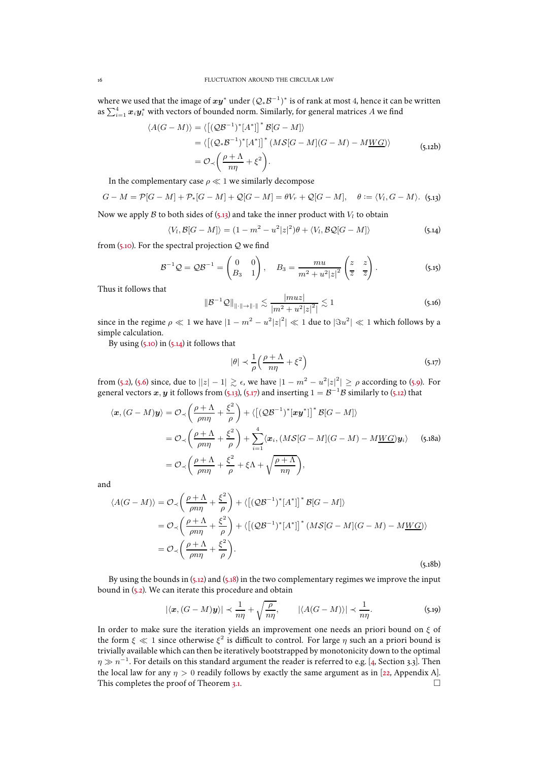where we used that the image of  $xy^*$  under  $(Q_*\mathcal{B}^{-1})^*$  is of rank at most 4, hence it can be written as  $\sum_{i=1}^4 \bm{x}_i \bm{y}_i^*$  with vectors of bounded norm. Similarly, for general matrices  $A$  we find

$$
\langle A(G - M) \rangle = \langle \left[ (\mathcal{Q}\mathcal{B}^{-1})^* [A^*] \right]^* \mathcal{B}[G - M] \rangle
$$
  
\n
$$
= \langle \left[ (\mathcal{Q} \cdot \mathcal{B}^{-1})^* [A^*] \right]^* (M \mathcal{S}[G - M](G - M) - M \underline{W} G) \rangle
$$
  
\n
$$
= \mathcal{O}_{\prec} \left( \frac{\rho + \Lambda}{n\eta} + \xi^2 \right).
$$
 (5.12b)

In the complementary case  $\rho \ll 1$  we similarly decompose

<span id="page-15-0"></span>
$$
G-M=\mathcal{P}[G-M]+\mathcal{P}_{*}[G-M]+\mathcal{Q}[G-M]=\theta V_r+\mathcal{Q}[G-M], \quad \theta:=\langle V_l, G-M \rangle.
$$
 (5.13)

Now we apply B to both sides of  $(5.13)$  and take the inner product with  $V_l$  to obtain

<span id="page-15-1"></span>
$$
\langle V_l, \mathcal{B}[G-M] \rangle = (1 - m^2 - u^2 |z|^2) \theta + \langle V_l, \mathcal{B} \mathcal{Q}[G-M] \rangle \tag{5.14}
$$

from [\(5.10\)](#page-14-2). For the spectral projection  $Q$  we find

$$
\mathcal{B}^{-1}\mathcal{Q} = \mathcal{Q}\mathcal{B}^{-1} = \begin{pmatrix} 0 & 0 \\ B_3 & 1 \end{pmatrix}, \quad B_3 = \frac{mu}{m^2 + u^2 |z|^2} \begin{pmatrix} z & z \\ \overline{z} & \overline{z} \end{pmatrix}.
$$
 (5.15)

Thus it follows that

$$
\|\mathcal{B}^{-1}\mathcal{Q}\|_{\|\cdot\|\to\|\cdot\|} \lesssim \frac{|muz|}{|m^2 + u^2|z|^2} \lesssim 1
$$
\n(5.16)

since in the regime  $\rho \ll 1$  we have  $|1 - m^2 - u^2|z|^2| \ll 1$  due to  $|\Im u^2| \ll 1$  which follows by a simple calculation.

By using  $(5.10)$  in  $(5.14)$  it follows that

<span id="page-15-3"></span><span id="page-15-2"></span>
$$
|\theta| \prec \frac{1}{\rho} \left( \frac{\rho + \Lambda}{n\eta} + \xi^2 \right) \tag{5.17}
$$

from [\(5.2\)](#page-13-4), [\(5.6\)](#page-13-5) since, due to  $||z| - 1| \gtrsim \epsilon$ , we have  $|1 - m^2 - u^2|z|^2| \ge \rho$  according to [\(5.9\)](#page-14-1). For general vectors  $x, y$  it follows from [\(5.13\)](#page-15-0), [\(5.17\)](#page-15-2) and inserting  $1 = \mathcal{B}^{-1}\mathcal{B}$  similarly to [\(5.12\)](#page-14-3) that

$$
\langle \boldsymbol{x}, (G - M)\boldsymbol{y} \rangle = \mathcal{O}_{\prec} \left( \frac{\rho + \Lambda}{\rho n \eta} + \frac{\xi^2}{\rho} \right) + \langle \left[ (\mathcal{Q}\mathcal{B}^{-1})^* [\boldsymbol{x}\boldsymbol{y}^*] \right]^* \mathcal{B}[G - M] \rangle
$$
  
\n
$$
= \mathcal{O}_{\prec} \left( \frac{\rho + \Lambda}{\rho n \eta} + \frac{\xi^2}{\rho} \right) + \sum_{i=1}^4 \langle \boldsymbol{x}_i, (M\mathcal{S}[G - M](G - M) - M\underline{W}\mathcal{G})\boldsymbol{y}_i \rangle \qquad (5.18a)
$$
  
\n
$$
= \mathcal{O}_{\prec} \left( \frac{\rho + \Lambda}{\rho n \eta} + \frac{\xi^2}{\rho} + \xi \Lambda + \sqrt{\frac{\rho + \Lambda}{n \eta}} \right),
$$

and

$$
\langle A(G-M) \rangle = \mathcal{O}_{\prec} \left( \frac{\rho + \Lambda}{\rho n \eta} + \frac{\xi^2}{\rho} \right) + \langle \left[ (\mathcal{Q} \mathcal{B}^{-1})^* [A^*] \right]^* \mathcal{B}[G-M] \rangle
$$
  
=  $\mathcal{O}_{\prec} \left( \frac{\rho + \Lambda}{\rho n \eta} + \frac{\xi^2}{\rho} \right) + \langle \left[ (\mathcal{Q} \mathcal{B}^{-1})^* [A^*] \right]^* (M \mathcal{S}[G-M](G-M) - M\underline{W}G) \rangle$   
=  $\mathcal{O}_{\prec} \left( \frac{\rho + \Lambda}{\rho n \eta} + \frac{\xi^2}{\rho} \right).$  (5.18b)

By using the bounds in [\(5.12\)](#page-14-3) and [\(5.18\)](#page-15-3) in the two complementary regimes we improve the input bound in [\(5.2\)](#page-13-4). We can iterate this procedure and obtain

$$
|\langle \boldsymbol{x}, (G-M)\boldsymbol{y} \rangle| \prec \frac{1}{n\eta} + \sqrt{\frac{\rho}{n\eta}}, \qquad |\langle A(G-M) \rangle| \prec \frac{1}{n\eta}.
$$
 (5.19)

In order to make sure the iteration yields an improvement one needs an priori bound on  $\xi$  of the form  $\xi \ll 1$  since otherwise  $\xi^2$  is difficult to control. For large  $\eta$  such an a priori bound is trivially available which can then be iteratively bootstrapped by monotonicity down to the optimal  $\eta \gg n^{-1}$ . For details on this standard argument the reader is referred to e.g. [\[4](#page-47-19), Section 3.3]. Then the local law for any  $\eta > 0$  readily follows by exactly the same argument as in [\[22](#page-47-20), Appendix A]. This completes the proof of Theorem [3.1.](#page-8-1)  $\Box$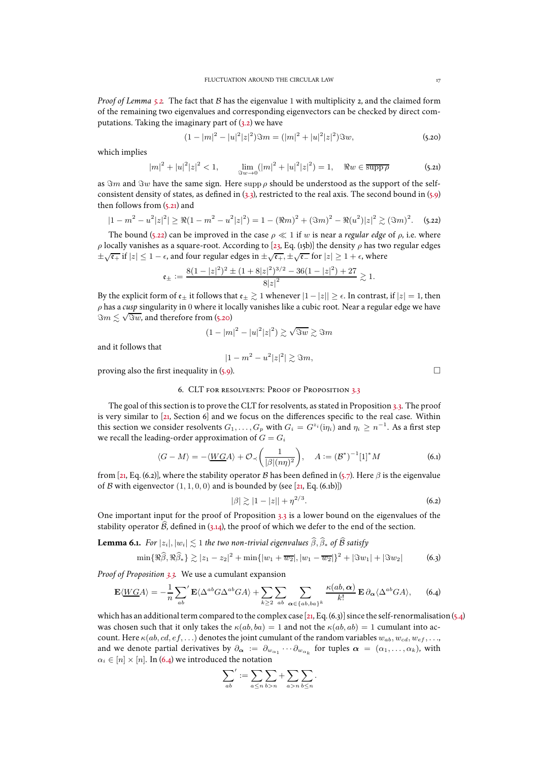*Proof of Lemma* [5.2.](#page-14-0) The fact that B has the eigenvalue 1 with multiplicity 2, and the claimed form of the remaining two eigenvalues and corresponding eigenvectors can be checked by direct computations. Taking the imaginary part of  $(3.2)$  we have

<span id="page-16-5"></span>
$$
(1 - |m|^2 - |u|^2 |z|^2) \Im m = (|m|^2 + |u|^2 |z|^2) \Im w,\tag{5.20}
$$

which implies

<span id="page-16-3"></span>
$$
|m|^2 + |u|^2 |z|^2 < 1, \qquad \lim_{\Im w \to 0} (|m|^2 + |u|^2 |z|^2) = 1, \quad \Re w \in \overline{\text{supp}\,\rho} \tag{5.21}
$$

as  $\Im m$  and  $\Im w$  have the same sign. Here supp  $\rho$  should be understood as the support of the selfconsistent density of states, as defined in [\(3.3\)](#page-8-0), restricted to the real axis. The second bound in [\(5.9\)](#page-14-1) then follows from [\(5.21\)](#page-16-3) and

<span id="page-16-4"></span>
$$
|1 - m^2 - u^2|z|^2| \ge \Re(1 - m^2 - u^2|z|^2) = 1 - (\Re m)^2 + (\Im m)^2 - \Re(u^2)|z|^2 \gtrsim (\Im m)^2. \tag{5.22}
$$

The bound [\(5.22\)](#page-16-4) can be improved in the case  $\rho \ll 1$  if w is near a *regular edge* of  $\rho$ , i.e. where ρ locally vanishes as a square-root. According to [\[23,](#page-47-21) Eq. (15b)] the density ρ has two regular edges  $\pm\sqrt{\epsilon_+}$  if  $|z|\leq 1-\epsilon$ , and four regular edges in  $\pm\sqrt{\epsilon_+}, \pm\sqrt{\epsilon_-}$  for  $|z|\geq 1+\epsilon$ , where

$$
\mathfrak{e}_{\pm} := \frac{8(1 - |z|^2)^2 \pm (1 + 8|z|^2)^{3/2} - 36(1 - |z|^2) + 27}{8|z|^2} \gtrsim 1.
$$

By the explicit form of  $\epsilon_{\pm}$  it follows that  $\epsilon_{\pm} \gtrsim 1$  whenever  $|1 - |z|| \geq \epsilon$ . In contrast, if  $|z| = 1$ , then ρ has a *cusp* singularity in 0 where it locally vanishes like a cubic root. Near a regular edge we have  $\Im m \lesssim \sqrt{\Im w}$ , and therefore from [\(5.20\)](#page-16-5)

$$
(1-|m|^2-|u|^2|z|^2)\gtrsim \sqrt{\Im w}\gtrsim \Im m
$$

and it follows that

$$
|1 - m^2 - u^2|z|^2| \gtrsim \Im m,
$$

<span id="page-16-2"></span>proving also the first inequality in  $(5.9)$ .

## 6. CLT for resolvents: Proof of Proposition [3.3](#page-9-0)

The goal of this section is to prove the CLT for resolvents, as stated in Proposition [3.3.](#page-9-0) The proof is very similar to [\[21](#page-47-0), Section [6\]](#page-16-2) and we focus on the differences specific to the real case. Within this section we consider resolvents  $G_1, \ldots, G_p$  with  $G_i = G^{z_i}(\mathrm{i}\eta_i)$  and  $\eta_i \geq n^{-1}$ . As a first step we recall the leading-order approximation of  $G = G_i$ 

<span id="page-16-8"></span>
$$
\langle G - M \rangle = -\langle \underline{WGA} \rangle + \mathcal{O}_{\prec} \left( \frac{1}{|\beta|(n\eta)^2} \right), \quad A := (\mathcal{B}^*)^{-1} [1]^* M \tag{6.1}
$$

from [\[21](#page-47-0), Eq. [\(6.2\)](#page-16-6)], where the stability operator B has been defined in [\(5.7\)](#page-14-4). Here  $\beta$  is the eigenvalue of B with eigenvector  $(1, 1, 0, 0)$  and is bounded by (see [\[21,](#page-47-0) Eq. (6.1b)])

<span id="page-16-6"></span>
$$
|\beta| \gtrsim |1 - |z|| + \eta^{2/3}.
$$
 (6.2)

One important input for the proof of Proposition [3.3](#page-9-0) is a lower bound on the eigenvalues of the stability operator  $\widehat{\mathcal{B}}$ , defined in [\(3.14\)](#page-9-5), the proof of which we defer to the end of the section.

<span id="page-16-1"></span>**Lemma 6.1.** *For*  $|z_i|, |w_i| \lesssim 1$  *the two non-trivial eigenvalues*  $\widehat{\beta}, \widehat{\beta}_*$  *of*  $\widehat{\beta}$  *satisfy* 

<span id="page-16-7"></span>
$$
\min\{\Re\widehat{\beta},\Re\widehat{\beta}_*\} \gtrsim |z_1 - z_2|^2 + \min\{|w_1 + \overline{w_2}|, |w_1 - \overline{w_2}|\}^2 + |\Im w_1| + |\Im w_2|
$$
 (6.3)

*Proof of Proposition [3.3.](#page-9-0)* We use a cumulant expansion

<span id="page-16-0"></span>
$$
\mathbf{E}\langle \underline{WGA}\rangle = -\frac{1}{n} \sum_{ab} \mathbf{E}\langle \Delta^{ab}G\Delta^{ab}GA \rangle + \sum_{k\geq 2} \sum_{ab} \sum_{\alpha \in \{ab, ba\}^k} \frac{\kappa(ab, \alpha)}{k!} \mathbf{E} \, \partial_{\alpha} \langle \Delta^{ab}GA \rangle, \tag{6.4}
$$

which has an additional term compared to the complex case [\[21](#page-47-0), Eq. [\(6.3\)](#page-16-7)] since the self-renormalisation [\(5.4\)](#page-13-6) was chosen such that it only takes the  $\kappa(ab, ba) = 1$  and not the  $\kappa(ab, ab) = 1$  cumulant into account. Here  $\kappa(ab, cd, ef,...)$  denotes the joint cumulant of the random variables  $w_{ab}, w_{cd}, w_{ef},...,$ and we denote partial derivatives by  $\partial_{\bm{\alpha}} := \partial_{w_{\alpha_1}} \cdots \partial_{w_{\alpha_k}}$  for tuples  $\bm{\alpha} = (\alpha_1, \dots, \alpha_k)$ , with  $\alpha_i \in [n] \times [n]$ . In [\(6.4\)](#page-16-0) we introduced the notation

$$
\sum_{ab}{}':=\sum_{a\leq n}\sum_{b>n}+\sum_{a>n}\sum_{b\leq n}.
$$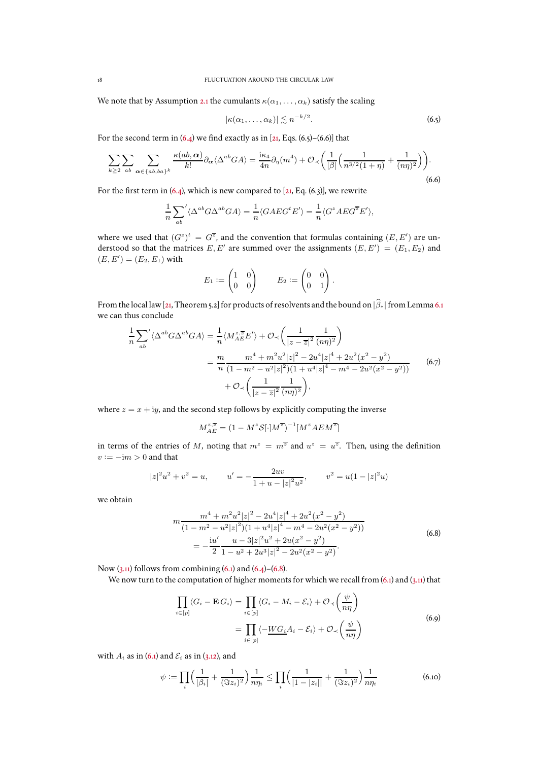We note that by Assumption [2.1](#page-3-1) the cumulants  $\kappa(\alpha_1, \dots, \alpha_k)$  satisfy the scaling

<span id="page-17-0"></span>
$$
|\kappa(\alpha_1,\ldots,\alpha_k)| \lesssim n^{-k/2}.\tag{6.5}
$$

For the second term in  $(6.4)$  we find exactly as in [\[21,](#page-47-0) Eqs.  $(6.5)$ – $(6.6)$ ] that

<span id="page-17-1"></span>
$$
\sum_{k\geq 2} \sum_{ab} \sum_{\alpha \in \{ab, ba\}^k} \frac{\kappa(ab, \alpha)}{k!} \partial_{\alpha} \langle \Delta^{ab} GA \rangle = \frac{\mathrm{i}\kappa_4}{4n} \partial_{\eta}(m^4) + \mathcal{O}_{\prec} \left( \frac{1}{|\beta|} \left( \frac{1}{n^{3/2} (1+\eta)} + \frac{1}{(n\eta)^2} \right) \right). \tag{6.6}
$$

For the first term in  $(6.4)$ , which is new compared to  $[21, Eq. (6.3)]$  $[21, Eq. (6.3)]$  $[21, Eq. (6.3)]$ , we rewrite

$$
\frac{1}{n}\sum_{ab} \langle \Delta^{ab} G \Delta^{ab} G A \rangle = \frac{1}{n} \langle G A E G^t E' \rangle = \frac{1}{n} \langle G^z A E G^{\overline{z}} E' \rangle,
$$

where we used that  $(G^z)^t = G^{\overline{z}}$ , and the convention that formulas containing  $(E, E')$  are understood so that the matrices  $E, E'$  are summed over the assignments  $(E, E') = (E_1, E_2)$  and  $(E, E') = (E_2, E_1)$  with

$$
E_1 := \begin{pmatrix} 1 & 0 \\ 0 & 0 \end{pmatrix} \qquad E_2 := \begin{pmatrix} 0 & 0 \\ 0 & 1 \end{pmatrix}.
$$

From the local law [\[21](#page-47-0), Theorem [5.2\]](#page-14-0) for products of resolvents and the bound on  $|\widehat{\beta}_*|$  from Lemma [6.1](#page-16-1) we can thus conclude

<span id="page-17-3"></span>
$$
\frac{1}{n} \sum_{ab} \langle \Delta^{ab} G \Delta^{ab} G A \rangle = \frac{1}{n} \langle M_{AE}^{z,\overline{z}} E' \rangle + \mathcal{O}_{\prec} \left( \frac{1}{|z-\overline{z}|^2} \frac{1}{(n\eta)^2} \right)
$$

$$
= \frac{m}{n} \frac{m^4 + m^2 u^2 |z|^2 - 2u^4 |z|^4 + 2u^2 (x^2 - y^2)}{(1 - m^2 - u^2 |z|^2)(1 + u^4 |z|^4 - m^4 - 2u^2 (x^2 - y^2))} \tag{6.7}
$$

$$
+ \mathcal{O}_{\prec} \left( \frac{1}{|z-\overline{z}|^2} \frac{1}{(n\eta)^2} \right),
$$

where  $z = x + iy$ , and the second step follows by explicitly computing the inverse

$$
M_{AE}^{z,\overline{z}}=(1-M^z\mathcal{S}[\cdot]M^{\overline{z}})^{-1}[M^zAEM^{\overline{z}}]
$$

in terms of the entries of M, noting that  $m^z = m^{\overline{z}}$  and  $u^z = u^{\overline{z}}$ . Then, using the definition  $v := -im > 0$  and that

$$
|z|^2u^2 + v^2 = u,
$$
  $u' = -\frac{2uv}{1+u-|z|^2u^2},$   $v^2 = u(1-|z|^2u)$ 

we obtain

$$
m \frac{m^4 + m^2 u^2 |z|^2 - 2u^4 |z|^4 + 2u^2 (x^2 - y^2)}{(1 - m^2 - u^2 |z|^2)(1 + u^4 |z|^4 - m^4 - 2u^2 (x^2 - y^2))}
$$
  
= 
$$
-\frac{iu'}{2} \frac{u - 3|z|^2 u^2 + 2u(x^2 - y^2)}{1 - u^2 + 2u^3 |z|^2 - 2u^2 (x^2 - y^2)}.
$$
 (6.8)

<span id="page-17-2"></span>Now  $(3.11)$  follows from combining  $(6.1)$  and  $(6.4)$ – $(6.8)$ .

We now turn to the computation of higher moments for which we recall from  $(6.1)$  and  $(3.11)$  that

$$
\prod_{i \in [p]} \langle G_i - \mathbf{E} G_i \rangle = \prod_{i \in [p]} \langle G_i - M_i - \mathcal{E}_i \rangle + \mathcal{O}_{\prec} \left( \frac{\psi}{n\eta} \right)
$$
\n
$$
= \prod_{i \in [p]} \langle -\underline{W} G_i A_i - \mathcal{E}_i \rangle + \mathcal{O}_{\prec} \left( \frac{\psi}{n\eta} \right)
$$
\n(6.9)

J.

with  $A_i$  as in [\(6.1\)](#page-16-8) and  $\mathcal{E}_i$  as in [\(3.12\)](#page-9-3), and

<span id="page-17-4"></span>
$$
\psi := \prod_{i} \left( \frac{1}{|\beta_i|} + \frac{1}{(\Im z_i)^2} \right) \frac{1}{n\eta_i} \le \prod_{i} \left( \frac{1}{|1 - |z_i||} + \frac{1}{(\Im z_i)^2} \right) \frac{1}{n\eta_i}
$$
(6.10)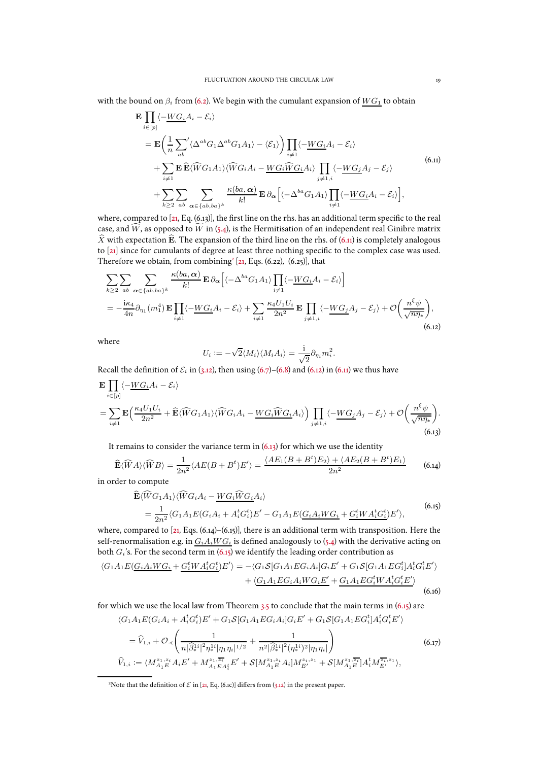<span id="page-18-1"></span>with the bound on  $\beta_i$  from [\(6.2\)](#page-16-6). We begin with the cumulant expansion of  $WG_1$  to obtain

$$
\mathbf{E} \prod_{i \in [p]} \langle -\underline{W} G_i A_i - \mathcal{E}_i \rangle
$$
\n
$$
= \mathbf{E} \Biggl( \frac{1}{n} \sum_{ab} \langle \Delta^{ab} G_1 \Delta^{ab} G_1 A_1 \rangle - \langle \mathcal{E}_1 \rangle \Biggr) \prod_{i \neq 1} \langle -\underline{W} G_i A_i - \mathcal{E}_i \rangle
$$
\n
$$
+ \sum_{i \neq 1} \mathbf{E} \widehat{\mathbf{E}} \langle \widehat{W} G_1 A_1 \rangle \langle \widehat{W} G_i A_i - \underline{W} G_i \widehat{W} G_i A_i \rangle \prod_{j \neq 1, i} \langle -\underline{W} G_j A_j - \mathcal{E}_j \rangle
$$
\n
$$
+ \sum_{k \geq 2} \sum_{ab} \sum_{\alpha \in \{ab, ba\}^k} \frac{\kappa(ba, \alpha)}{k!} \mathbf{E} \partial_\alpha \Biggl[ \langle -\Delta^{ba} G_1 A_1 \rangle \prod_{i \neq 1} \langle -\underline{W} G_i A_i - \mathcal{E}_i \rangle \Biggr],
$$
\n(6.11)

where, compared to [\[21,](#page-47-0) Eq. [\(6.13\)](#page-18-0)], the first line on the rhs. has an additional term specific to the real case, and  $\widehat{W}$ , as opposed to  $\widetilde{W}$  in [\(5.4\)](#page-13-6), is the Hermitisation of an independent real Ginibre matrix  $\widehat{X}$  with expectation  $\widehat{E}$ . The expansion of the third line on the rhs. of [\(6.11\)](#page-18-1) is completely analogous to [\[21](#page-47-0)] since for cumulants of degree at least three nothing specific to the complex case was used. Therefore we obtain, from combining<sup>[2](#page-18-2)</sup> [\[21](#page-47-0), Eqs. [\(6.22\)](#page-19-0),  $(6.25)$ ], that

<span id="page-18-3"></span>
$$
\sum_{k\geq 2} \sum_{ab} \sum_{\alpha \in \{ab, ba\}^k} \frac{\kappa(ba, \alpha)}{k!} \mathbf{E} \, \partial_{\alpha} \Big[ \langle -\Delta^{ba} G_1 A_1 \rangle \prod_{i \neq 1} \langle -\underline{W} G_i A_i - \mathcal{E}_i \rangle \Big]
$$
\n
$$
= -\frac{i\kappa_4}{4n} \partial_{\eta_1}(m_1^4) \mathbf{E} \prod_{i \neq 1} \langle -\underline{W} G_i A_i - \mathcal{E}_i \rangle + \sum_{i \neq 1} \frac{\kappa_4 U_1 U_i}{2n^2} \mathbf{E} \prod_{j \neq 1, i} \langle -\underline{W} G_j A_j - \mathcal{E}_j \rangle + \mathcal{O} \Big( \frac{n^{\xi} \psi}{\sqrt{n\eta_*}} \Big), \tag{6.12}
$$

where

$$
U_i := -\sqrt{2} \langle M_i \rangle \langle M_i A_i \rangle = \frac{i}{\sqrt{2}} \partial_{\eta_i} m_i^2.
$$

Recall the definition of  $\mathcal{E}_i$  in [\(3.12\)](#page-9-3), then using [\(6.7\)](#page-17-3)–[\(6.8\)](#page-17-2) and [\(6.12\)](#page-18-3) in [\(6.11\)](#page-18-1) we thus have

<span id="page-18-0"></span>
$$
\mathbf{E} \prod_{i \in [p]} \langle -\underline{W} G_i A_i - \mathcal{E}_i \rangle
$$
\n
$$
= \sum_{i \neq 1} \mathbf{E} \Big( \frac{\kappa_4 U_1 U_i}{2n^2} + \widehat{\mathbf{E}} \langle \widehat{W} G_1 A_1 \rangle \langle \widehat{W} G_i A_i - \underline{W} G_i \widehat{W} G_i A_i \rangle \Big) \prod_{j \neq 1, i} \langle -\underline{W} G_j A_j - \mathcal{E}_j \rangle + \mathcal{O} \Big( \frac{n^{\xi} \psi}{\sqrt{n \eta_*}} \Big). \tag{6.13}
$$

It remains to consider the variance term in  $(6.13)$  for which we use the identity

<span id="page-18-4"></span>
$$
\widehat{\mathbf{E}}\langle \widehat{W}A\rangle \langle \widehat{W}B\rangle = \frac{1}{2n^2} \langle AE(B+B^t)E'\rangle = \frac{\langle AE_1(B+B^t)E_2\rangle + \langle AE_2(B+B^t)E_1\rangle}{2n^2}
$$
(6.14)

in order to compute

$$
\begin{split} \widehat{\mathbf{E}} \langle \widehat{W} G_1 A_1 \rangle \langle \widehat{W} G_i A_i - \underline{W} G_i \widehat{W} G_i A_i \rangle \\ &= \frac{1}{2n^2} \langle G_1 A_1 E (G_i A_i + A_i^t G_i^t) E' - G_1 A_1 E (\underline{G_i A_i W G_i} + \underline{G_i^t W A_i^t G_i^t}) E' \rangle, \end{split} \tag{6.15}
$$

<span id="page-18-5"></span>where, compared to  $[z_1, Eqs. (6.14)–(6.15)]$  $[z_1, Eqs. (6.14)–(6.15)]$  $[z_1, Eqs. (6.14)–(6.15)]$  $[z_1, Eqs. (6.14)–(6.15)]$  $[z_1, Eqs. (6.14)–(6.15)]$ , there is an additional term with transposition. Here the self-renormalisation e.g. in  $G_iA_iWG_i$  is defined analogously to [\(5.4\)](#page-13-6) with the derivative acting on both  $G_i$ 's. For the second term in  $(6.15)$  we identify the leading order contribution as

<span id="page-18-6"></span>
$$
\langle G_1 A_1 E(\underline{G_i A_i W G_i} + \underline{G_i^t W A_i^t G_i^t}) E' \rangle = - \langle G_1 S[G_1 A_1 E G_i A_i] G_i E' + G_1 S[G_1 A_1 E G_i^t] A_i^t G_i^t E' \rangle
$$
  
+ \langle G\_1 A\_1 E G\_i A\_i W G\_i E' + G\_1 A\_1 E G\_i^t W A\_i^t G\_i^t E' \rangle (6.16)

for which we use the local law from Theorem [3.5](#page-10-3) to conclude that the main terms in  $(6.15)$  are  $\langle G_1 A_1 E(G_i A_i + A_i^t G_i^t) E' + G_1 S[G_1 A_1 E G_i A_i] G_i E' + G_1 S[G_1 A_1 E G_i^t] A_i^t G_i^t E' \rangle$ 

$$
= \widehat{V}_{1,i} + \mathcal{O}_{\prec} \left( \frac{1}{n |\widehat{\beta}_{*}^{1i}|^{2} \eta_{*}^{1i} |\eta_{1}\eta_{i}|^{1/2}} + \frac{1}{n^{2} |\widehat{\beta}_{*}^{1i}|^{2} (\eta_{*}^{1i})^{2} |\eta_{1}\eta_{i}|} \right) \tag{6.17}
$$
  

$$
\widehat{V}_{1,i} := \langle M_{A_{1}E}^{z_{1},z_{i}} A_{i} E' + M_{A_{1}E A_{i}^{*}}^{z_{1},\overline{z_{i}}} E' + \mathcal{S}[M_{A_{1}E}^{z_{1},z_{i}} A_{i}] M_{E'}^{z_{i},z_{1}} + \mathcal{S}[M_{A_{1}E}^{z_{1},\overline{z_{i}}}] A_{i}^{t} M_{E'}^{\overline{z_{i}},z_{1}} \rangle,
$$

<span id="page-18-2"></span><sup>2</sup>Note that the definition of  $\mathcal E$  in [\[21,](#page-47-0) Eq. (6.1c)] differs from [\(3.12\)](#page-9-3) in the present paper.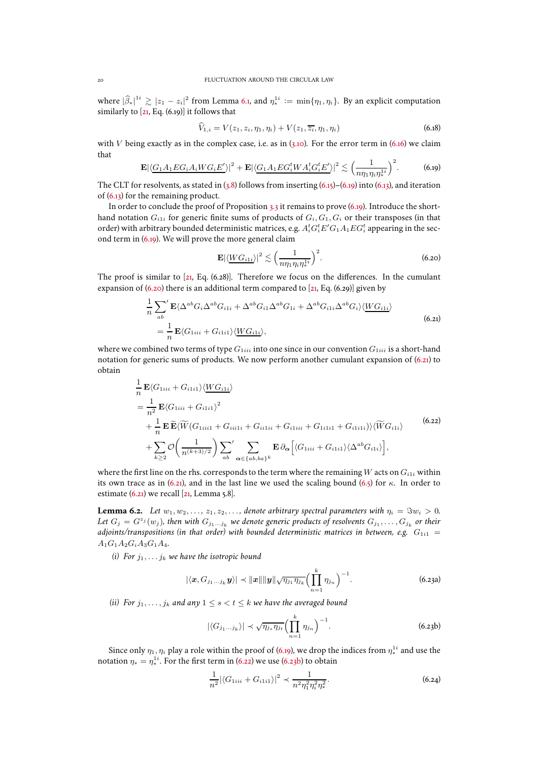where  $|\widehat{\beta}_*|^{1i} \gtrsim |z_1 - z_i|^2$  from Lemma [6.1,](#page-16-1) and  $\eta_*^{1i} := \min\{\eta_1, \eta_i\}$ . By an explicit computation similarly to [\[21](#page-47-0), Eq. [\(6.19\)](#page-19-1)] it follows that

$$
\hat{V}_{1,i} = V(z_1, z_i, \eta_1, \eta_i) + V(z_1, \overline{z_i}, \eta_1, \eta_i)
$$
\n(6.18)

with V being exactly as in the complex case, i.e. as in  $(3.10)$ . For the error term in  $(6.16)$  we claim that

<span id="page-19-1"></span>
$$
\mathbf{E}|\langle G_1A_1EG_iA_iWG_iE'\rangle|^2 + \mathbf{E}|\langle G_1A_1EG_i^tWA_i^tG_i^tE'\rangle|^2 \lesssim \Big(\frac{1}{n\eta_1\eta_i\eta_i^{1i}}\Big)^2. \tag{6.19}
$$

The CLT for resolvents, as stated in  $(3.8)$  follows from inserting  $(6.15)$ – $(6.19)$  into  $(6.13)$ , and iteration of [\(6.13\)](#page-18-0) for the remaining product.

In order to conclude the proof of Proposition [3.3](#page-9-0) it remains to prove [\(6.19\)](#page-19-1). Introduce the shorthand notation  $G_{i1i}$  for generic finite sums of products of  $G_i, G_1, G_i$  or their transposes (in that order) with arbitrary bounded deterministic matrices, e.g.  $A_i^tG_i^tE' G_1 A_1 E G_i^t$  appearing in the second term in [\(6.19\)](#page-19-1). We will prove the more general claim

<span id="page-19-2"></span>
$$
\mathbf{E}|\langle \underline{WG_{i1i}}\rangle|^2 \lesssim \left(\frac{1}{n\eta_1\eta_i\eta_*^{1i}}\right)^2.
$$
 (6.20)

The proof is similar to [\[21](#page-47-0), Eq. [\(6.28\)](#page-20-1)]. Therefore we focus on the differences. In the cumulant expansion of  $(6.20)$  there is an additional term compared to  $[21, Eq. (6.29)]$  $[21, Eq. (6.29)]$  $[21, Eq. (6.29)]$  given by

$$
\frac{1}{n} \sum_{ab}^{\prime} \mathbf{E} \langle \Delta^{ab} G_i \Delta^{ab} G_{i1i} + \Delta^{ab} G_{i1} \Delta^{ab} G_{1i} + \Delta^{ab} G_{i1i} \Delta^{ab} G_i \rangle \langle \underline{W} G_{i1i} \rangle
$$
\n
$$
= \frac{1}{n} \mathbf{E} \langle G_{1iii} + G_{i1ii} \rangle \langle \underline{W} G_{i1i} \rangle, \tag{6.21}
$$

<span id="page-19-3"></span>where we combined two terms of type  $G_{1iii}$  into one since in our convention  $G_{1iii}$  is a short-hand notation for generic sums of products. We now perform another cumulant expansion of [\(6.21\)](#page-19-3) to obtain

$$
\frac{1}{n} \mathbf{E} \langle G_{1iii} + G_{i1i1} \rangle \langle \underline{W} G_{i1i} \rangle
$$
\n
$$
= \frac{1}{n^2} \mathbf{E} \langle G_{1iii} + G_{i1i1} \rangle^2
$$
\n
$$
+ \frac{1}{n} \mathbf{E} \widetilde{\mathbf{E}} \langle \widetilde{W} (G_{1iii1} + G_{ii1i} + G_{i11ii} + G_{i11ii} + G_{i11i1} + G_{i11i1}) \rangle \langle \widetilde{W} G_{i1i} \rangle
$$
\n
$$
+ \sum_{k \ge 2} \mathcal{O} \left( \frac{1}{n^{(k+3)/2}} \right) \sum_{ab} \sum_{\alpha \in \{ab, ba\}^k} \mathbf{E} \, \partial_{\alpha} \left[ \langle G_{1iii} + G_{i1i1} \rangle \langle \Delta^{ab} G_{i1i} \rangle \right],
$$
\n(6.22)

<span id="page-19-0"></span>where the first line on the rhs. corresponds to the term where the remaining W acts on  $G_{i1i}$  within its own trace as in [\(6.21\)](#page-19-3), and in the last line we used the scaling bound [\(6.5\)](#page-17-0) for  $\kappa$ . In order to estimate  $(6.21)$  we recall  $[21, \text{Lemma } 5.8]$ .

**Lemma 6.2.** *Let*  $w_1, w_2, \ldots, z_1, z_2, \ldots$ , denote arbitrary spectral parameters with  $\eta_i = \Im w_i > 0$ . Let  $G_j = G^{z_j}(w_j)$ , then with  $G_{j_1...j_k}$  we denote generic products of resolvents  $G_{j_1},\ldots,G_{j_k}$  or their *adjoints/transpositions (in that order) with bounded deterministic matrices in between, e.g.*  $G_{1i1} =$  $A_1G_1A_2G_1A_3G_1A_4.$ 

*(i)* For  $j_1, \ldots, j_k$  *we have the isotropic bound* 

<span id="page-19-5"></span>
$$
|\langle \boldsymbol{x}, G_{j_1...j_k} \boldsymbol{y} \rangle| \prec ||\boldsymbol{x}|| ||\boldsymbol{y}|| \sqrt{\eta_{j_1} \eta_{j_k}} \Biggl( \prod_{n=1}^k \eta_{j_n} \Biggr)^{-1}.
$$
 (6.23a)

*(ii)* For  $j_1, \ldots, j_k$  and any  $1 \leq s < t \leq k$  we have the averaged bound

<span id="page-19-4"></span>
$$
|\langle G_{j_1...j_k}\rangle| \prec \sqrt{\eta_{j_s}\eta_{j_t}} \Big(\prod_{n=1}^k \eta_{j_n}\Big)^{-1}.\tag{6.23b}
$$

Since only  $\eta_1, \eta_i$  play a role within the proof of [\(6.19\)](#page-19-1), we drop the indices from  $\eta_*^{1i}$  and use the notation  $\eta_* = \eta_*^{1i}$ . For the first term in [\(6.22\)](#page-19-0) we use [\(6.23b\)](#page-19-4) to obtain

<span id="page-19-6"></span>
$$
\frac{1}{n^2} |\langle G_{1iii} + G_{i1i1} \rangle|^2 \prec \frac{1}{n^2 \eta_1^2 \eta_i^2 \eta_*^2}.
$$
 (6.24)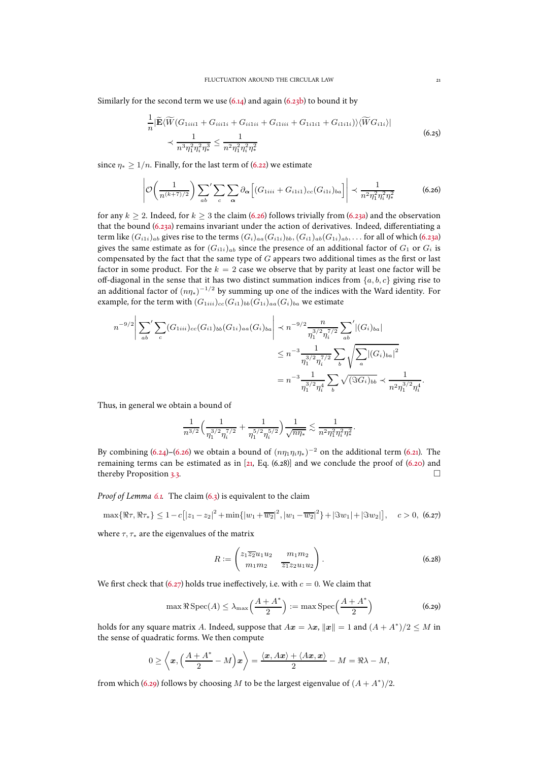<span id="page-20-0"></span>Similarly for the second term we use  $(6.14)$  and again  $(6.23b)$  to bound it by

$$
\frac{1}{n} |\widetilde{\mathbf{E}}\langle \widetilde{W}(G_{1iii1} + G_{ii1ii} + G_{ii1ii} + G_{i1iii1} + G_{1i1i1} + G_{i1ii1})\rangle \langle \widetilde{W}G_{i1i}\rangle|
$$
\n
$$
\prec \frac{1}{n^3 \eta_1^2 \eta_i^2 \eta_*^3} \le \frac{1}{n^2 \eta_1^2 \eta_i^2 \eta_*^2}
$$
\n(6.25)

since  $n_* > 1/n$ . Finally, for the last term of [\(6.22\)](#page-19-0) we estimate

<span id="page-20-3"></span>
$$
\left| \mathcal{O}\left(\frac{1}{n^{(k+7)/2}}\right) \sum_{ab} \sum_{c} \sum_{\alpha} \partial_{\alpha} \left[ (G_{1iii} + G_{i1i1})_{cc} (G_{i1i})_{ba} \right] \right| \prec \frac{1}{n^2 \eta_1^2 \eta_i^2 \eta_*^2}
$$
(6.26)

for any  $k > 2$ . Indeed, for  $k > 3$  the claim [\(6.26\)](#page-20-3) follows trivially from [\(6.23a\)](#page-19-5) and the observation that the bound [\(6.23a\)](#page-19-5) remains invariant under the action of derivatives. Indeed, differentiating a term like  $(G_{i1i})_{ab}$  gives rise to the terms  $(G_i)_{aa}(G_{i1i})_{bb}$ ,  $(G_{i1})_{ab}(G_{1i})_{ab}$ , ... for all of which [\(6.23a\)](#page-19-5) gives the same estimate as for  $(G_{i1i})_{ab}$  since the presence of an additional factor of  $G_1$  or  $G_i$  is compensated by the fact that the same type of  $G$  appears two additional times as the first or last factor in some product. For the  $k = 2$  case we observe that by parity at least one factor will be off-diagonal in the sense that it has two distinct summation indices from  $\{a, b, c\}$  giving rise to an additional factor of  $(np_*)^{-1/2}$  by summing up one of the indices with the Ward identity. For example, for the term with  $(G_{1iii})_{cc}(G_{i1})_{bb}(G_{1i})_{aa}(G_i)_{ba}$  we estimate

$$
n^{-9/2} \left| \sum_{ab} \sum_{c} (G_{1iii})_{cc} (G_{i1})_{bb} (G_{1i})_{aa} (G_i)_{ba} \right| \prec n^{-9/2} \frac{n}{\eta_1^{3/2} \eta_i^{7/2}} \sum_{ab} |(G_i)_{ba}|
$$
  

$$
\leq n^{-3} \frac{1}{\eta_1^{3/2} \eta_i^{7/2}} \sum_{b} \sqrt{\sum_{a} |(G_i)_{ba}|^2}
$$
  

$$
= n^{-3} \frac{1}{\eta_1^{3/2} \eta_i^4} \sum_{b} \sqrt{(\Im G_i)_{bb}} \prec \frac{1}{n^2 \eta_1^{3/2} \eta_i^4}.
$$

Thus, in general we obtain a bound of

$$
\frac{1}{n^{3/2}}\Big(\frac{1}{\eta_1^{3/2}\eta_i^{7/2}}+\frac{1}{\eta_1^{5/2}\eta_i^{5/2}}\Big)\frac{1}{\sqrt{n\eta_*}}\lesssim \frac{1}{n^2\eta_1^2\eta_i^2\eta_*^2}.
$$

By combining [\(6.24\)](#page-19-6)–[\(6.26\)](#page-20-3) we obtain a bound of  $(n\eta_1\eta_i\eta_*)^{-2}$  on the additional term [\(6.21\)](#page-19-3). The remaining terms can be estimated as in  $[21, Eq. (6.28)]$  $[21, Eq. (6.28)]$  $[21, Eq. (6.28)]$  and we conclude the proof of  $(6.20)$  and thereby Proposition [3.3.](#page-9-0)  $\Box$ 

*Proof of Lemma [6.1.](#page-16-1)* The claim [\(6.3\)](#page-16-7) is equivalent to the claim

<span id="page-20-4"></span>
$$
\max\{\Re\tau,\Re\tau_*\} \le 1 - c[|z_1 - z_2|^2 + \min\{|w_1 + \overline{w_2}|^2, |w_1 - \overline{w_2}|^2\} + |\Im w_1| + |\Im w_2|], \quad c > 0, \text{ (6.27)}
$$

where  $\tau$ ,  $\tau_*$  are the eigenvalues of the matrix

<span id="page-20-1"></span>
$$
R := \begin{pmatrix} z_1 \overline{z_2} u_1 u_2 & m_1 m_2 \\ m_1 m_2 & \overline{z_1} z_2 u_1 u_2 \end{pmatrix} . \tag{6.28}
$$

We first check that [\(6.27\)](#page-20-4) holds true ineffectively, i.e. with  $c = 0$ . We claim that

<span id="page-20-2"></span>
$$
\max \Re \operatorname{Spec}(A) \le \lambda_{\max}\left(\frac{A + A^*}{2}\right) := \max \operatorname{Spec}\left(\frac{A + A^*}{2}\right) \tag{6.29}
$$

holds for any square matrix A. Indeed, suppose that  $Ax = \lambda x$ ,  $||x|| = 1$  and  $(A + A^*)/2 \le M$  in the sense of quadratic forms. We then compute

$$
0 \ge \left\langle \boldsymbol{x}, \Big(\frac{A+A^*}{2}-M\Big) \boldsymbol{x} \right\rangle = \frac{\left\langle \boldsymbol{x}, A\boldsymbol{x}\right\rangle+\left\langle A\boldsymbol{x}, \boldsymbol{x}\right\rangle}{2}-M = \Re \lambda - M,
$$

from which [\(6.29\)](#page-20-2) follows by choosing M to be the largest eigenvalue of  $(A + A^*)/2$ .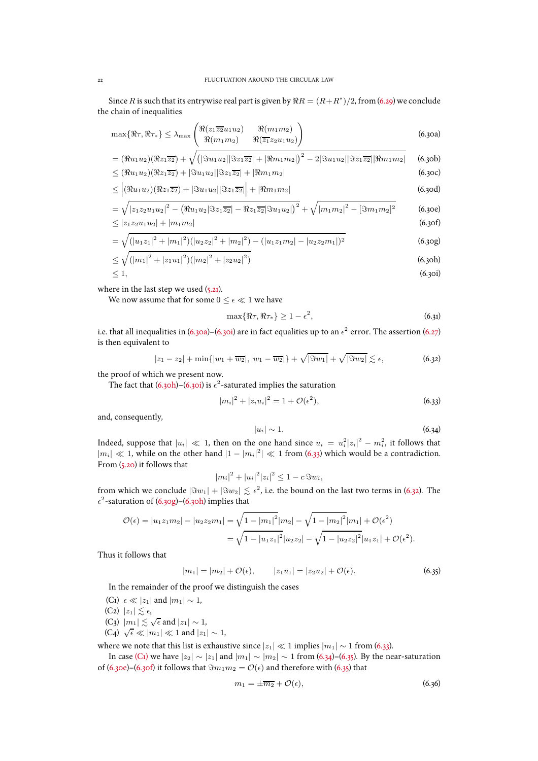Since  $R$  is such that its entrywise real part is given by  $\Re R = (R + R^*)/2$ , from [\(6.29\)](#page-20-2) we conclude the chain of inequalities

$$
\max\{\Re\tau,\Re\tau_*\} \le \lambda_{\max}\begin{pmatrix} \Re(z_1\overline{z_2}u_1u_2) & \Re(m_1m_2) \\ \Re(m_1m_2) & \Re(\overline{z_1}z_2u_1u_2) \end{pmatrix} \tag{6.30a}
$$

$$
= (\Re u_1 u_2)(\Re z_1 \overline{z_2}) + \sqrt{(|\Im u_1 u_2||\Im z_1 \overline{z_2}| + |\Re m_1 m_2|)^2 - 2|\Im u_1 u_2||\Im z_1 \overline{z_2}||\Re m_1 m_2|}
$$
 (6.30b)  
 
$$
\leq (\Re u_1 u_2)(\Re z_1 \overline{z_2}) + |\Im u_1 u_2||\Im z_1 \overline{z_2}| + |\Re m_1 m_2|
$$
 (6.30c)

$$
\leq \left| \left( \Re u_1 u_2 \right) \left( \Re z_1 \overline{z_2} \right) + \left| \Im u_1 u_2 \right| \left| \Im z_1 \overline{z_2} \right| \right| + \left| \Re m_1 m_2 \right| \tag{6.30d}
$$

$$
= \sqrt{|z_1 z_2 u_1 u_2|^2 - (\Re u_1 u_2 |\Im z_1 \overline{z_2}| - \Re z_1 \overline{z_2} |\Im u_1 u_2|)^2} + \sqrt{|m_1 m_2|^2 - [\Im m_1 m_2]^2}
$$
(6.30e)  

$$
\leq |z_1 z_2 u_1 u_2| + |m_1 m_2|
$$
(6.30f)

$$
= \sqrt{(|u_1z_1|^2 + |m_1|^2)(|u_2z_2|^2 + |m_2|^2) - (|u_1z_1m_2| - |u_2z_2m_1|)^2}
$$
(6.30g)

$$
\leq \sqrt{(|m_1|^2 + |z_1 u_1|^2)(|m_2|^2 + |z_2 u_2|^2)}
$$
\n
$$
\leq 1,
$$
\n(6.30a)  
\n(6.30b)

where in the last step we used  $(5.21)$ .

We now assume that for some  $0 \leq \epsilon \ll 1$  we have

<span id="page-21-13"></span><span id="page-21-12"></span><span id="page-21-11"></span><span id="page-21-10"></span><span id="page-21-9"></span><span id="page-21-5"></span><span id="page-21-2"></span><span id="page-21-1"></span><span id="page-21-0"></span>
$$
\max\{\Re\tau,\Re\tau_*\} \ge 1 - \epsilon^2,\tag{6.31}
$$

i.e. that all inequalities in [\(6.30a\)](#page-21-0)–[\(6.30i\)](#page-21-1) are in fact equalities up to an  $\epsilon^2$  error. The assertion [\(6.27\)](#page-20-4) is then equivalent to

<span id="page-21-4"></span>
$$
|z_1 - z_2| + \min\{|w_1 + \overline{w_2}|, |w_1 - \overline{w_2}|\} + \sqrt{|\Im w_1|} + \sqrt{|\Im w_2|} \lesssim \epsilon,
$$
 (6.32)

the proof of which we present now.

The fact that [\(6.30h\)](#page-21-2)–[\(6.30i\)](#page-21-1) is  $\epsilon^2$ -saturated implies the saturation

<span id="page-21-3"></span>
$$
|m_i|^2 + |z_i u_i|^2 = 1 + \mathcal{O}(\epsilon^2), \tag{6.33}
$$

and, consequently,

<span id="page-21-7"></span>
$$
|u_i| \sim 1. \tag{6.34}
$$

Indeed, suppose that  $|u_i| \ll 1$ , then on the one hand since  $u_i = u_i^2 |z_i|^2 - m_i^2$ , it follows that  $|m_i|$  ≪ 1, while on the other hand  $|1 - |m_i|^2|$  ≪ 1 from [\(6.33\)](#page-21-3) which would be a contradiction. From [\(5.20\)](#page-16-5) it follows that

$$
|m_i|^2 + |u_i|^2 |z_i|^2 \le 1 - c \Im w_i,
$$

from which we conclude  $|\Im w_1| + |\Im w_2| \lesssim \epsilon^2$ , i.e. the bound on the last two terms in [\(6.32\)](#page-21-4). The  $\epsilon^2$ -saturation of [\(6.30g\)](#page-21-5)–[\(6.30h\)](#page-21-2) implies that

$$
\mathcal{O}(\epsilon) = |u_1 z_1 m_2| - |u_2 z_2 m_1| = \sqrt{1 - |m_1|^2} |m_2| - \sqrt{1 - |m_2|^2} |m_1| + \mathcal{O}(\epsilon^2)
$$
  
=  $\sqrt{1 - |u_1 z_1|^2} |u_2 z_2| - \sqrt{1 - |u_2 z_2|^2} |u_1 z_1| + \mathcal{O}(\epsilon^2).$ 

Thus it follows that

<span id="page-21-8"></span>
$$
|m_1| = |m_2| + \mathcal{O}(\epsilon), \qquad |z_1 u_1| = |z_2 u_2| + \mathcal{O}(\epsilon). \tag{6.35}
$$

In the remainder of the proof we distinguish the cases

- <span id="page-21-14"></span><span id="page-21-6"></span>(C<sub>1</sub>)  $\epsilon \ll |z_1|$  and  $|m_1| \sim 1$ ,  $(C_2)$   $|z_1| \leq \epsilon$ ,
- <span id="page-21-16"></span>(C<sub>3</sub>)  $|m_1| \lesssim \sqrt{\epsilon}$  and  $|z_1| \sim 1$ ,
- <span id="page-21-17"></span>(C<sub>4</sub>)  $\sqrt{\epsilon} \ll |m_1| \ll 1$  and  $|z_1| \sim 1$ ,

where we note that this list is exhaustive since  $|z_1| \ll 1$  implies  $|m_1| \sim 1$  from [\(6.33\)](#page-21-3).

In case [\(C1\)](#page-21-6) we have  $|z_2| \sim |z_1|$  and  $|m_1| \sim |m_2| \sim 1$  from [\(6.34\)](#page-21-7)–[\(6.35\)](#page-21-8). By the near-saturation of [\(6.30e\)](#page-21-9)–[\(6.30f\)](#page-21-10) it follows that  $\Im m_1m_2 = \mathcal{O}(\epsilon)$  and therefore with [\(6.35\)](#page-21-8) that

<span id="page-21-15"></span>
$$
m_1 = \pm \overline{m_2} + \mathcal{O}(\epsilon), \tag{6.36}
$$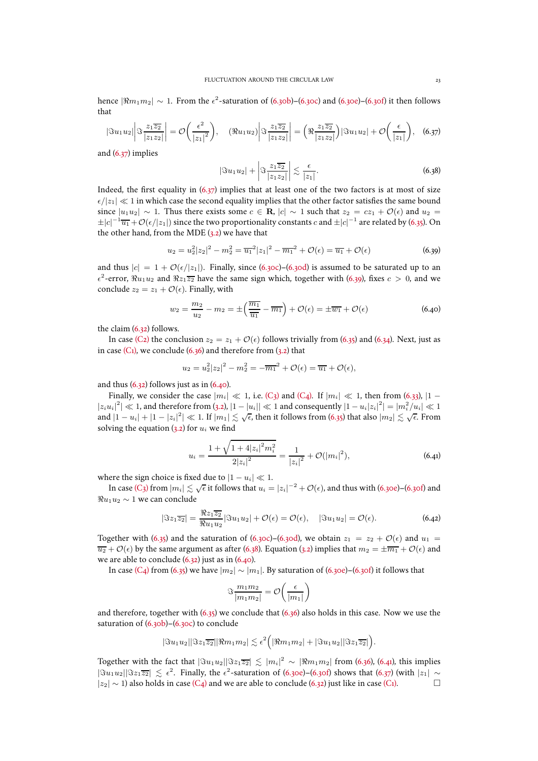hence  $|\Re m_1 m_2| \sim 1$ . From the  $\epsilon^2$ -saturation of [\(6.30b\)](#page-21-11)–[\(6.30c\)](#page-21-12) and [\(6.30e\)](#page-21-9)–[\(6.30f\)](#page-21-10) it then follows that

<span id="page-22-0"></span>
$$
|\Im u_1 u_2| \left|\Im \frac{z_1 \overline{z_2}}{|z_1 z_2|}\right| = \mathcal{O}\left(\frac{\epsilon^2}{|z_1|^2}\right), \quad (\Re u_1 u_2) \left|\Im \frac{z_1 \overline{z_2}}{|z_1 z_2|}\right| = \left(\Re \frac{z_1 \overline{z_2}}{|z_1 z_2|}\right) |\Im u_1 u_2| + \mathcal{O}\left(\frac{\epsilon}{|z_1|}\right), \quad (6.37)
$$

and [\(6.37\)](#page-22-0) implies

<span id="page-22-3"></span>
$$
|\Im u_1 u_2| + \left|\Im \frac{z_1 \overline{z_2}}{|z_1 z_2|}\right| \lesssim \frac{\epsilon}{|z_1|}.
$$
 (6.38)

Indeed, the first equality in  $(6.37)$  implies that at least one of the two factors is at most of size  $\epsilon/|z_1| \ll 1$  in which case the second equality implies that the other factor satisfies the same bound since  $|u_1u_2| \sim 1$ . Thus there exists some  $c \in \mathbf{R}$ ,  $|c| \sim 1$  such that  $z_2 = cz_1 + \mathcal{O}(\epsilon)$  and  $u_2 =$  $\pm |c|^{-1}\overline{u_1}+{\cal O}(\epsilon/|z_1|)$  since the two proportionality constants  $c$  and  $\pm |c|^{-1}$  are related by [\(6.35\)](#page-21-8). On the other hand, from the MDE  $(3.2)$  we have that

<span id="page-22-1"></span>
$$
u_2 = u_2^2 |z_2|^2 - m_2^2 = \overline{u_1}^2 |z_1|^2 - \overline{m_1}^2 + \mathcal{O}(\epsilon) = \overline{u_1} + \mathcal{O}(\epsilon)
$$
 (6.39)

and thus  $|c| = 1 + \mathcal{O}(\epsilon/|z_1|)$ . Finally, since [\(6.30c\)](#page-21-12)–[\(6.30d\)](#page-21-13) is assumed to be saturated up to an  $\epsilon^2$ -error,  $\Re u_1 u_2$  and  $\Re z_1 \overline{z_2}$  have the same sign which, together with [\(6.39\)](#page-22-1), fixes  $c > 0$ , and we conclude  $z_2 = z_1 + \mathcal{O}(\epsilon)$ . Finally, with

<span id="page-22-2"></span>
$$
w_2 = \frac{m_2}{u_2} - m_2 = \pm \left(\frac{\overline{m_1}}{\overline{u_1}} - \overline{m_1}\right) + \mathcal{O}(\epsilon) = \pm \overline{w_1} + \mathcal{O}(\epsilon)
$$
\n(6.40)

the claim [\(6.32\)](#page-21-4) follows.

In case [\(C2\)](#page-21-14) the conclusion  $z_2 = z_1 + \mathcal{O}(\epsilon)$  follows trivially from [\(6.35\)](#page-21-8) and [\(6.34\)](#page-21-7). Next, just as in case  $(C_1)$ , we conclude  $(6.36)$  and therefore from  $(3.2)$  that

$$
u_2 = u_2^2 |z_2|^2 - m_2^2 = -\overline{m_1}^2 + \mathcal{O}(\epsilon) = \overline{u_1} + \mathcal{O}(\epsilon),
$$

and thus  $(6.32)$  follows just as in  $(6.40)$ .

Finally, we consider the case  $|m_i| \ll 1$ , i.e. [\(C3\)](#page-21-16) and [\(C4\).](#page-21-17) If  $|m_i| \ll 1$ , then from [\(6.33\)](#page-21-3),  $|1 |z_iu_i|^2|\ll 1$ , and therefore from [\(3.2\)](#page-8-5),  $|1-|u_i||\ll 1$  and consequently  $|1-u_i|z_i|^2|=|m_i^2/u_i|\ll 1$ and  $|1-u_i|+|1-|z_i|^2|\ll 1$ . If  $|m_1|\lesssim \sqrt{\epsilon}$ , then it follows from [\(6.35\)](#page-21-8) that also  $|m_2|\lesssim \sqrt{\epsilon}$ . From solving the equation  $(3.2)$  for  $u_i$  we find

<span id="page-22-4"></span>
$$
u_i = \frac{1 + \sqrt{1 + 4|z_i|^2 m_i^2}}{2|z_i|^2} = \frac{1}{|z_i|^2} + \mathcal{O}(|m_i|^2),\tag{6.41}
$$

.

where the sign choice is fixed due to  $|1 - u_i| \ll 1$ .

In case [\(C3\)](#page-21-16) from  $|m_i|\lesssim \sqrt{\epsilon}$  it follows that  $u_i=|z_i|^{-2}+{\cal O}(\epsilon)$ , and thus with [\(6.30e\)](#page-21-9)–[\(6.30f\)](#page-21-10) and  $\Re u_1 u_2 \sim 1$  we can conclude

$$
|\Im z_1 \overline{z_2}| = \frac{\Re z_1 \overline{z_2}}{\Re u_1 u_2} |\Im u_1 u_2| + \mathcal{O}(\epsilon) = \mathcal{O}(\epsilon), \quad |\Im u_1 u_2| = \mathcal{O}(\epsilon). \tag{6.42}
$$

Together with [\(6.35\)](#page-21-8) and the saturation of [\(6.30c\)](#page-21-12)–[\(6.30d\)](#page-21-13), we obtain  $z_1 = z_2 + \mathcal{O}(\epsilon)$  and  $u_1 =$  $\overline{u_2} + \mathcal{O}(\epsilon)$  by the same argument as after [\(6.38\)](#page-22-3). Equation [\(3.2\)](#page-8-5) implies that  $m_2 = \pm \overline{m_1} + \mathcal{O}(\epsilon)$  and we are able to conclude [\(6.32\)](#page-21-4) just as in [\(6.40\)](#page-22-2).

In case (C<sub>4</sub>) from [\(6.35\)](#page-21-8) we have  $|m_2| \sim |m_1|$ . By saturation of [\(6.30e\)](#page-21-9)–[\(6.30f\)](#page-21-10) it follows that

$$
\Im \frac{m_1 m_2}{|m_1 m_2|} = \mathcal{O}\left(\frac{\epsilon}{|m_1|}\right)
$$

and therefore, together with  $(6.35)$  we conclude that  $(6.36)$  also holds in this case. Now we use the saturation of  $(6.30b)$ – $(6.30c)$  to conclude

$$
|\Im u_1 u_2||\Im z_1 \overline{z_2}||\Re m_1 m_2| \lesssim \epsilon^2 \Big( |\Re m_1 m_2| + |\Im u_1 u_2||\Im z_1 \overline{z_2}|\Big)
$$

Together with the fact that  $|\Im u_1 u_2||\Im z_1\overline{z_2}|\lesssim |m_i|^2\sim |\Re m_1m_2|$  from [\(6.36\)](#page-21-15), [\(6.41\)](#page-22-4), this implies  $|\Im u_1 u_2||\Im z_1\overline{z_2}| \lesssim \epsilon^2$ . Finally, the  $\epsilon^2$ -saturation of [\(6.30e\)](#page-21-9)–[\(6.30f\)](#page-21-10) shows that [\(6.37\)](#page-22-0) (with  $|z_1| \sim$  $|z_2|$  ∼ 1) also holds in case (C<sub>4</sub>) and we are able to conclude [\(6.32\)](#page-21-4) just like in case [\(C1\).](#page-21-6)  $\Box$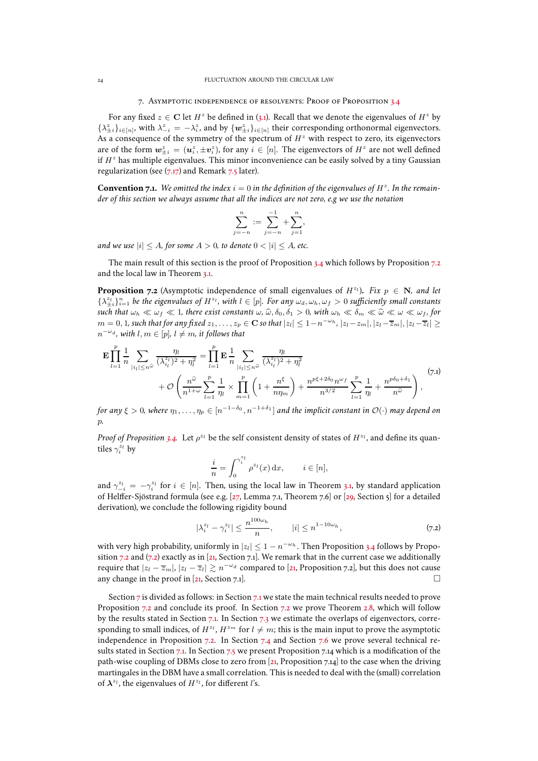#### 7. Asymptotic independence of resolvents: Proof of Proposition [3.4](#page-9-4)

<span id="page-23-0"></span>For any fixed  $z \in \mathbf{C}$  let  $H^z$  be defined in [\(3.1\)](#page-7-2). Recall that we denote the eigenvalues of  $H^z$  by  $\{\lambda_{\pm i}^z\}_{i \in [n]}$ , with  $\lambda_{-i}^z = -\lambda_i^z$ , and by  $\{w_{\pm i}^z\}_{i \in [n]}$  their corresponding orthonormal eigenvectors. As a consequence of the symmetry of the spectrum of  $H<sup>z</sup>$  with respect to zero, its eigenvectors are of the form  $w_{\pm i}^z = (u_i^z, \pm v_i^z)$ , for any  $i \in [n]$ . The eigenvectors of  $H^z$  are not well defined if  $H^z$  has multiple eigenvalues. This minor inconvenience can be easily solved by a tiny Gaussian regularization (see  $(7.17)$  and Remark [7.5](#page-26-1) later).

**Convention 7.1.** We omitted the index  $i = 0$  in the definition of the eigenvalues of  $H^z$ . In the remain*der of this section we always assume that all the indices are not zero, e.g we use the notation*

$$
\sum_{j=-n}^{n} := \sum_{j=-n}^{-1} + \sum_{j=1}^{n},
$$

*and we use*  $|i| \le A$ *, for some*  $A > 0$ *, to denote*  $0 < |i| \le A$ *, etc.* 

The main result of this section is the proof of Proposition [3.4](#page-9-4) which follows by Proposition [7.2](#page-23-1) and the local law in Theorem [3.1.](#page-8-1)

<span id="page-23-1"></span>**Proposition 7.2** (Asymptotic independence of small eigenvalues of  $H^{z_1}$ ). Fix  $p \in \mathbb{N}$ , and let  $\{\lambda_{\pm i}^{z_l}\}_{i=1}^n$  be the eigenvalues of  $H^{z_l}$ , with  $l \in [p]$ . For any  $\omega_d, \omega_h, \omega_f > 0$  sufficiently small constants *such that*  $\omega_h \ll \omega_f \ll 1$ *, there exist constants*  $\omega$ ,  $\hat{\omega}$ ,  $\delta_0$ ,  $\delta_1 > 0$ *, with*  $\omega_h \ll \delta_m \ll \hat{\omega} \ll \omega \ll \omega_f$ *, for*  $m=0,1$ , such that for any fixed  $z_1,\ldots,z_p\in{\bf C}$  so that  $|z_l|\leq 1-n^{-\omega_h}$ ,  $|z_l-z_m|, |z_l-\overline{z}_m|, |z_l-\overline{z}_l|\geq 1$  $n^{-\omega_d}$ , with  $l, m \in [p]$ ,  $l \neq m$ , it follows that

$$
\mathbf{E} \prod_{l=1}^{p} \frac{1}{n} \sum_{|i_{l}| \leq n^{\widehat{\omega}}} \frac{\eta_{l}}{(\lambda_{i_{l}}^{z_{l}})^{2} + \eta_{l}^{2}} = \prod_{l=1}^{p} \mathbf{E} \frac{1}{n} \sum_{|i_{l}| \leq n^{\widehat{\omega}}} \frac{\eta_{l}}{(\lambda_{i_{l}}^{z_{l}})^{2} + \eta_{l}^{2}} + \mathcal{O}\left(\frac{n^{\widehat{\omega}}}{n^{1+\omega}} \sum_{l=1}^{p} \frac{1}{\eta_{l}} \times \prod_{m=1}^{p} \left(1 + \frac{n^{\xi}}{n\eta_{m}}\right) + \frac{n^{p\xi + 2\delta_{0}} n^{\omega_{f}}}{n^{3/2}} \sum_{l=1}^{p} \frac{1}{\eta_{l}} + \frac{n^{p\delta_{0} + \delta_{1}}}{n^{\widehat{\omega}}}\right),
$$
\n(7.1)

*for any*  $\xi > 0$ *, where*  $\eta_1, \ldots, \eta_p \in [n^{-1-\delta_0}, n^{-1+\delta_1}]$  *and the implicit constant in*  $\mathcal{O}(\cdot)$  *may depend on* p*.*

*Proof of Proposition* [3.4.](#page-9-4) Let  $\rho^{z_l}$  be the self consistent density of states of  $H^{z_l}$ , and define its quantiles  $\gamma_i^{z_l}$  by

$$
\frac{i}{n} = \int_0^{\gamma_i^{z_l}} \rho^{z_l}(x) \, \mathrm{d}x, \qquad i \in [n],
$$

and  $\gamma_{-i}^{z_l} = -\gamma_i^{z_l}$  for  $i \in [n]$ . Then, using the local law in Theorem [3.1,](#page-8-1) by standard application of Helffer-Sjöstrand formula (see e.g. [\[27,](#page-48-21) Lemma 7.1, Theorem 7.6] or [\[29,](#page-48-22) Section 5] for a detailed derivation), we conclude the following rigidity bound

<span id="page-23-2"></span>
$$
|\lambda_i^{z_l} - \gamma_i^{z_l}| \le \frac{n^{100\omega_h}}{n}, \qquad |i| \le n^{1-10\omega_h}, \tag{7.2}
$$

with very high probability, uniformly in  $|z_l| \leq 1 - n^{-\omega_h}$ . Then Proposition [3.4](#page-9-4) follows by Propo-sition [7.2](#page-23-1) and [\(7.2\)](#page-23-2) exactly as in [\[21,](#page-47-0) Section [7.1\]](#page-24-0). We remark that in the current case we additionally require that  $|z_l - \overline{z}_m|, |z_l - \overline{z}_l| \gtrsim n^{-\omega_d}$  compared to [\[21](#page-47-0), Proposition [7.2\]](#page-23-1), but this does not cause any change in the proof in [\[21](#page-47-0), Section [7.1\]](#page-24-0).

Section [7](#page-23-0) is divided as follows: in Section [7.1](#page-24-0) we state the main technical results needed to prove Proposition [7.2](#page-31-0) and conclude its proof. In Section 7.2 we prove Theorem [2.8,](#page-7-0) which will follow by the results stated in Section [7.1.](#page-24-0) In Section [7.3](#page-32-0) we estimate the overlaps of eigenvectors, corresponding to small indices, of  $H^{z_l}$ ,  $H^{z_m}$  for  $l \neq m$ ; this is the main input to prove the asymptotic independence in Proposition [7.2.](#page-23-1) In Section [7.4](#page-32-1) and Section [7.6](#page-42-0) we prove several technical results stated in Section [7.1.](#page-24-0) In Section [7.5](#page-40-0) we present Proposition [7.14](#page-38-0) which is a modification of the path-wise coupling of DBMs close to zero from [\[21,](#page-47-0) Proposition [7.14\]](#page-38-0) to the case when the driving martingales in the DBM have a small correlation. This is needed to deal with the (small) correlation of  $\lambda^{z_l}$ , the eigenvalues of  $H^{z_l}$ , for different l's.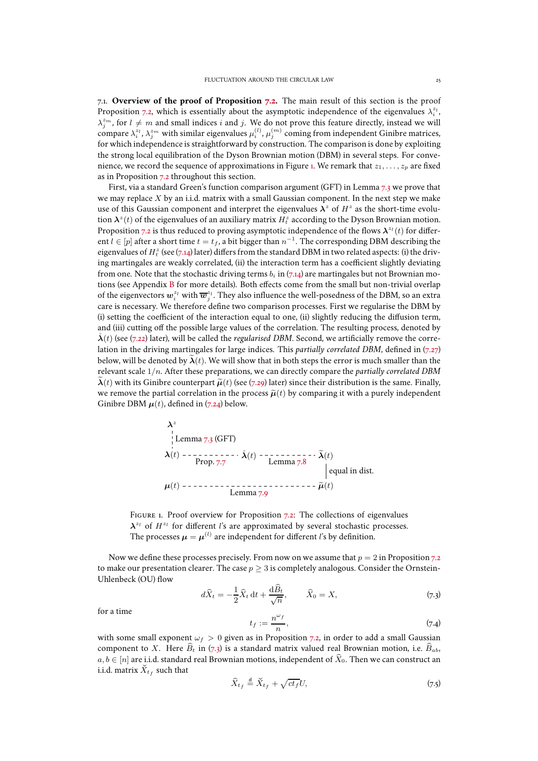<span id="page-24-0"></span>7.1. **Overview of the proof of Proposition [7.2.](#page-23-1)** The main result of this section is the proof Proposition [7.2,](#page-23-1) which is essentially about the asymptotic independence of the eigenvalues  $\lambda_i^{z_i}$ ,  $\lambda_j^{z_m}$ , for  $l \neq m$  and small indices i and j. We do not prove this feature directly, instead we will compare  $\lambda_i^{z_l}, \lambda_j^{z_m}$  with similar eigenvalues  $\mu_i^{(l)}, \mu_j^{(m)}$  coming from independent Ginibre matrices, for which independence is straightforward by construction. The comparison is done by exploiting the strong local equilibration of the Dyson Brownian motion (DBM) in several steps. For conve-nience, we record the sequence of approximations in Figure [1.](#page-24-1) We remark that  $z_1, \ldots, z_p$  are fixed as in Proposition [7.2](#page-23-1) throughout this section.

First, via a standard Green's function comparison argument (GFT) in Lemma [7.3](#page-25-2) we prove that we may replace  $X$  by an i.i.d. matrix with a small Gaussian component. In the next step we make use of this Gaussian component and interpret the eigenvalues  $\lambda^z$  of  $H^z$  as the short-time evolution  $\bm{\lambda}^z(t)$  of the eigenvalues of an auxiliary matrix  $H_t^z$  according to the Dyson Brownian motion. Proposition [7.2](#page-23-1) is thus reduced to proving asymptotic independence of the flows  $\lambda^{z_l}(t)$  for different  $l \in [p]$  after a short time  $t = t_f$ , a bit bigger than  $n^{-1}$ . The corresponding DBM describing the eigenvalues of  $H_t^z$  (see [\(7.14\)](#page-25-0) later) differs from the standard DBM in two related aspects: (i) the driving martingales are weakly correlated, (ii) the interaction term has a coefficient slightly deviating from one. Note that the stochastic driving terms  $b_i$  in [\(7.14\)](#page-25-0) are martingales but not Brownian motions (see Appendix [B](#page-45-0) for more details). Both effects come from the small but non-trivial overlap of the eigenvectors  $\bm{w}_i^{z_l}$  with  $\overline{\bm{w}}_j^{z_l}.$  They also influence the well-posedness of the DBM, so an extra care is necessary. We therefore define two comparison processes. First we regularise the DBM by (i) setting the coefficient of the interaction equal to one, (ii) slightly reducing the diffusion term, and (iii) cutting off the possible large values of the correlation. The resulting process, denoted by  $\lambda(t)$  (see [\(7.22\)](#page-27-0) later), will be called the *regularised DBM*. Second, we artificially remove the correlation in the driving martingales for large indices. This *partially correlated DBM*, defined in [\(7.27\)](#page-28-0) below, will be denoted by  $\tilde{\lambda}(t)$ . We will show that in both steps the error is much smaller than the relevant scale 1/n. After these preparations, we can directly compare the *partially correlated DBM*  $\lambda(t)$  with its Ginibre counterpart  $\tilde{\mu}(t)$  (see [\(7.29\)](#page-29-0) later) since their distribution is the same. Finally, we remove the partial correlation in the process  $\tilde{\mu}(t)$  by comparing it with a purely independent Ginibre DBM  $\mu(t)$ , defined in [\(7.24\)](#page-28-1) below.

λ z <sup>λ</sup>(t) ˚λ(t) <sup>λ</sup>e(t) <sup>µ</sup>(t) <sup>µ</sup>e(t) Lemma [7.3](#page-25-2) (GFT) Prop. [7.7](#page-27-1) Lemma [7.8](#page-28-2) equal in dist. Lemma [7.9](#page-29-1)

<span id="page-24-1"></span>FIGURE 1. Proof overview for Proposition [7.2:](#page-23-1) The collections of eigenvalues  $\lambda^{z_l}$  of  $H^{z_l}$  for different l's are approximated by several stochastic processes. The processes  $\boldsymbol{\mu} = \boldsymbol{\mu}^{(l)}$  are independent for different  $l$ 's by definition.

Now we define these processes precisely. From now on we assume that  $p = 2$  in Proposition [7.2](#page-23-1) to make our presentation clearer. The case  $p \geq 3$  is completely analogous. Consider the Ornstein-Uhlenbeck (OU) flow

<span id="page-24-2"></span>
$$
d\widehat{X}_t = -\frac{1}{2}\widehat{X}_t dt + \frac{d\widehat{B}_t}{\sqrt{n}}, \qquad \widehat{X}_0 = X,\tag{7.3}
$$

for a time

$$
t_f := \frac{n^{\omega_f}}{n},\tag{7.4}
$$

with some small exponent  $\omega_f > 0$  given as in Proposition [7.2,](#page-23-1) in order to add a small Gaussian component to X. Here  $\widehat{B}_t$  in [\(7.3\)](#page-24-2) is a standard matrix valued real Brownian motion, i.e.  $\widehat{B}_{ab}$ ,  $a, b \in [n]$  are i.i.d. standard real Brownian motions, independent of  $\widehat{X}_0$ . Then we can construct an i.i.d. matrix  $\check{X}_{t_f}$  such that

<span id="page-24-3"></span>
$$
\widehat{X}_{t_f} \stackrel{\text{d}}{=} \widecheck{X}_{t_f} + \sqrt{ct_f} U,\tag{7.5}
$$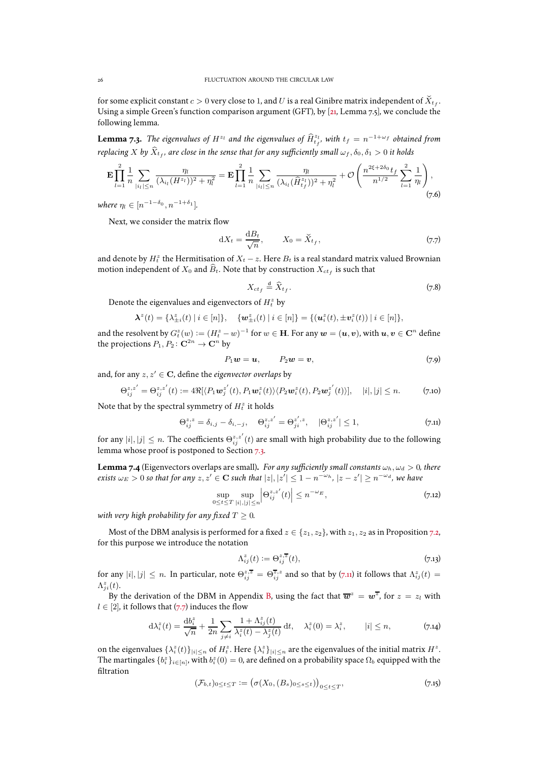for some explicit constant  $c > 0$  very close to 1, and  $U$  is a real Ginibre matrix independent of  $\breve{X}_{t_f}.$ Using a simple Green's function comparison argument (GFT), by [\[21](#page-47-0), Lemma [7.5\]](#page-26-1), we conclude the following lemma.

<span id="page-25-2"></span>**Lemma 7.3.** *The eigenvalues of*  $H^{z_l}$  *and the eigenvalues of*  $\widehat{H}^{z_l}_{t_f}$ *, with*  $t_f = n^{-1+\omega_f}$  *obtained from* replacing  $X$  by  $\hat{X}_{t_f}$ , are close in the sense that for any sufficiently small  $\omega_f, \delta_0, \delta_1 > 0$  it holds

<span id="page-25-6"></span>
$$
\mathbf{E} \prod_{l=1}^{2} \frac{1}{n} \sum_{|i_l| \le n} \frac{\eta_l}{(\lambda_{i_l}(H^{z_l}))^2 + \eta_l^2} = \mathbf{E} \prod_{l=1}^{2} \frac{1}{n} \sum_{|i_l| \le n} \frac{\eta_l}{(\lambda_{i_l}(\hat{H}^{z_l}_{t_j}))^2 + \eta_l^2} + \mathcal{O}\left(\frac{n^{2\xi + 2\delta_0} t_f}{n^{1/2}} \sum_{l=1}^{2} \frac{1}{\eta_l}\right),\tag{7.6}
$$

 $where \eta_l \in [n^{-1-\delta_0}, n^{-1+\delta_1}].$ 

Next, we consider the matrix flow

<span id="page-25-4"></span>
$$
dX_t = \frac{dB_t}{\sqrt{n}}, \qquad X_0 = \check{X}_{t_f}, \tag{7.7}
$$

and denote by  $H_t^z$  the Hermitisation of  $X_t - z$ . Here  $B_t$  is a real standard matrix valued Brownian motion independent of  $X_0$  and  $\bar{B}_t$ . Note that by construction  $X_{ct_f}$  is such that

<span id="page-25-7"></span>
$$
X_{ct_f} \stackrel{\text{d}}{=} \widehat{X}_{t_f}.\tag{7.8}
$$

Denote the eigenvalues and eigenvectors of  $H_t^z$  by

$$
\mathbf{\lambda}^z(t) = \{\lambda_{\pm i}^z(t) \mid i \in [n]\}, \quad \{\mathbf{w}_{\pm i}^z(t) \mid i \in [n]\} = \{(\mathbf{u}_i^z(t), \pm \mathbf{v}_i^z(t)) \mid i \in [n]\},
$$

and the resolvent by  $G_t^z(w):=(H_t^z-w)^{-1}$  for  $w\in \mathbf H.$  For any  $\boldsymbol{w}=(\boldsymbol{u},\boldsymbol{v}),$  with  $\boldsymbol{u},\boldsymbol{v}\in\mathbf C^n$  define the projections  $P_1, P_2 \colon \mathbf{C}^{2n} \to \mathbf{C}^n$  by

<span id="page-25-9"></span>
$$
P_1\mathbf{w}=\mathbf{u},\qquad P_2\mathbf{w}=\mathbf{v},\qquad(7.9)
$$

and, for any  $z, z' \in \mathbf{C}$ , define the *eigenvector overlaps* by

<span id="page-25-11"></span>
$$
\Theta_{ij}^{z,z'} = \Theta_{ij}^{z,z'}(t) := 4\Re[\langle P_1 \mathbf{w}_j^{z'}(t), P_1 \mathbf{w}_i^{z}(t) \rangle \langle P_2 \mathbf{w}_i^{z}(t), P_2 \mathbf{w}_j^{z'}(t) \rangle], \quad |i|, |j| \le n. \tag{7.10}
$$

Note that by the spectral symmetry of  $H_t^z$  it holds

<span id="page-25-3"></span>
$$
\Theta_{ij}^{z,z} = \delta_{i,j} - \delta_{i,-j}, \quad \Theta_{ij}^{z,z'} = \Theta_{ji}^{z',z}, \quad |\Theta_{ij}^{z,z'}| \le 1,
$$
\n(7.11)

for any  $|i|,|j|\le n.$  The coefficients  $\Theta_{ij}^{z,z'}(t)$  are small with high probability due to the following lemma whose proof is postponed to Section [7.3.](#page-32-0)

<span id="page-25-5"></span>**Lemma 7.4** (Eigenvectors overlaps are small). *For any sufficiently small constants*  $\omega_h$ ,  $\omega_d > 0$ *, there exists*  $\omega_E > 0$  *so that for any*  $z, z' \in \mathbf{C}$  *such that*  $|z|, |z'| \leq 1 - n^{-\omega_h}$ ,  $|z - z'| \geq n^{-\omega_d}$ , we have

<span id="page-25-10"></span>
$$
\sup_{0 \le t \le T} \sup_{|i|,|j| \le n} \left| \Theta_{ij}^{z,z'}(t) \right| \le n^{-\omega_E},\tag{7.12}
$$

*with very high probability for any fixed*  $T \geq 0$ *.* 

Most of the DBM analysis is performed for a fixed  $z \in \{z_1, z_2\}$ , with  $z_1, z_2$  as in Proposition [7.2,](#page-23-1) for this purpose we introduce the notation

<span id="page-25-8"></span>
$$
\Lambda_{ij}^z(t) := \Theta_{ij}^{z,\overline{z}}(t),\tag{7.13}
$$

for any  $|i|, |j| \le n$ . In particular, note  $\Theta_{ij}^{z,\overline{z}} = \Theta_{ij}^{\overline{z},z}$  and so that by [\(7.11\)](#page-25-3) it follows that  $\Lambda_{ij}^z(t) =$  $\Lambda_{ji}^z(t)$ .

By the derivation of the DBM in Appendix [B,](#page-45-0) using the fact that  $\overline{\bm{w}}^z = \bm{w}^{\overline{z}}$ , for  $z = z_l$  with  $l \in [2]$ , it follows that [\(7.7\)](#page-25-4) induces the flow

<span id="page-25-0"></span>
$$
d\lambda_i^z(t) = \frac{db_i^z}{\sqrt{n}} + \frac{1}{2n} \sum_{j \neq i} \frac{1 + \Lambda_{ij}^z(t)}{\lambda_i^z(t) - \lambda_j^z(t)} dt, \quad \lambda_i^z(0) = \lambda_i^z, \qquad |i| \leq n,
$$
\n
$$
(7.14)
$$

on the eigenvalues  $\{\lambda_i^z(t)\}_{|i|\leq n}$  of  $H_t^z$ . Here  $\{\lambda_i^z\}_{|i|\leq n}$  are the eigenvalues of the initial matrix  $H^z$ . The martingales  $\{b_i^z\}_{i\in[n]}$ , with  $b_i^z(0)=0$ , are defined on a probability space  $\Omega_b$  equipped with the filtration

<span id="page-25-1"></span>
$$
(\mathcal{F}_{b,t})_{0\leq t\leq T} := \big(\sigma(X_0, (B_s)_{0\leq s\leq t})\big)_{0\leq t\leq T},\tag{7.15}
$$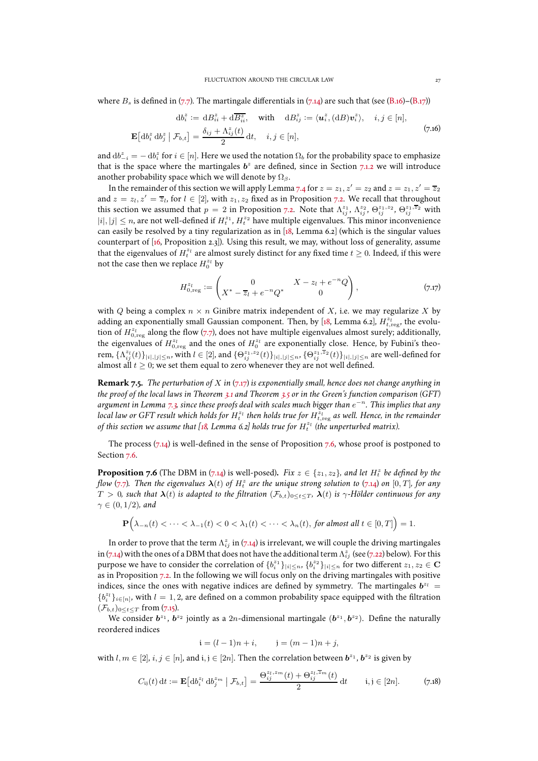<span id="page-26-4"></span>where  $B_s$  is defined in [\(7.7\)](#page-25-4). The martingale differentials in [\(7.14\)](#page-25-0) are such that (see [\(B.16\)](#page-46-1)–[\(B.17\)](#page-46-2))

$$
db_i^z := dB_{ii}^z + d\overline{B_{ii}^z}, \quad \text{with} \quad dB_{ij}^z := \langle u_i^z, (dB)v_i^z \rangle, \quad i, j \in [n],
$$
  

$$
\mathbf{E}\left[db_i^z db_j^z \mid \mathcal{F}_{b,t}\right] = \frac{\delta_{ij} + \Lambda_{ij}^z(t)}{2} dt, \quad i, j \in [n],
$$
 (7.16)

and  $\mathrm{d}b_{-i}^z = -\,\mathrm{d}b_i^z$  for  $i\in [n].$  Here we used the notation  $\Omega_b$  for the probability space to emphasize that is the space where the martingales  $b^z$  are defined, since in Section [7.1.2](#page-28-3) we will introduce another probability space which we will denote by  $\Omega_{\beta}$ .

In the remainder of this section we will apply Lemma [7.4](#page-25-5) for  $z = z_1, z' = z_2$  and  $z = z_1, z' = \overline{z_2}$ and  $z = z_1, z' = \overline{z_1}$ , for  $l \in [2]$ , with  $z_1, z_2$  fixed as in Proposition [7.2.](#page-23-1) We recall that throughout this section we assumed that  $p = 2$  in Proposition [7.2.](#page-23-1) Note that  $\Lambda_{ij}^{z_1}, \Lambda_{ij}^{z_2}, \Theta_{ij}^{z_1, z_2}, \Theta_{ij}^{z_1, \overline{z}_2}$  with  $|i|, |j| \leq n$ , are not well-defined if  $H_t^{z_1}, H_t^{z_2}$  have multiple eigenvalues. This minor inconvenience can easily be resolved by a tiny regularization as in [\[18,](#page-47-11) Lemma 6.2] (which is the singular values counterpart of [\[16](#page-47-10), Proposition 2.3]). Using this result, we may, without loss of generality, assume that the eigenvalues of  $H_t^{z_l}$  are almost surely distinct for any fixed time  $t \geq 0$ . Indeed, if this were not the case then we replace  $H_0^{z_l}$  by

<span id="page-26-0"></span>
$$
H_{0,\text{reg}}^{z_l} := \begin{pmatrix} 0 & X - z_l + e^{-n}Q \\ X^* - \overline{z}_l + e^{-n}Q^* & 0 \end{pmatrix}, \tag{7.17}
$$

with Q being a complex  $n \times n$  Ginibre matrix independent of X, i.e. we may regularize X by adding an exponentially small Gaussian component. Then, by [\[18,](#page-47-11) Lemma 6.2],  $H_{t,\text{reg}}^{z_l}$ , the evolution of  $H^{z_l}_{0,\mathrm{reg}}$  along the flow [\(7.7\)](#page-25-4), does not have multiple eigenvalues almost surely; additionally, the eigenvalues of  $H_{0,reg}^{z_l}$  and the ones of  $H_0^{z_l}$  are exponentially close. Hence, by Fubini's theorem,  $\{\Lambda_{ij}^{z_l}(t)\}_{|i|,|j|\leq n}$ , with  $l\in [2]$ , and  $\{\Theta_{ij}^{z_1,z_2}(t)\}_{|i|,|j|\leq n}$ ,  $\{\Theta_{ij}^{z_1,\overline{z}_2}(t)\}_{|i|,|j|\leq n}$  are well-defined for almost all  $t \geq 0$ ; we set them equal to zero whenever they are not well defined.

<span id="page-26-1"></span>**Remark 7.5.** *The perturbation of* X *in* [\(7.17\)](#page-26-0) *is exponentially small, hence does not change anything in the proof of the local laws in Theorem [3.1](#page-8-1) and Theorem [3.5](#page-10-3) or in the Green's function comparison (GFT) argument in Lemma [7.3,](#page-25-2) since these proofs deal with scales much bigger than* e −n *. This implies that any* local law or GFT result which holds for  $H_t^{z_l}$  then holds true for  $H_{t,\mathrm{reg}}^{z_l}$  as well. Hence, in the remainder of this section we assume that [\[18,](#page-47-11) Lemma 6.2] holds true for  $H_t^{z_l}$  (the unperturbed matrix).

The process  $(7.14)$  is well-defined in the sense of Proposition [7.6,](#page-26-2) whose proof is postponed to Section [7.6.](#page-42-0)

<span id="page-26-2"></span>**Proposition 7.6** (The DBM in [\(7.14\)](#page-25-0) is well-posed). Fix  $z \in \{z_1, z_2\}$ , and let  $H_t^z$  be defined by the flow [\(7.7\)](#page-25-4). Then the eigenvalues  $\bm{\lambda}(t)$  of  $H_t^z$  are the unique strong solution to [\(7.14\)](#page-25-0) on  $[0,T]$ *, for any*  $T > 0$ *, such that*  $\lambda(t)$  *is adapted to the filtration*  $(\mathcal{F}_{b,t})_{0 \leq t \leq T}$ ,  $\lambda(t)$  *is*  $\gamma$ -Hölder continuous for any  $\gamma \in (0, 1/2)$ *, and* 

$$
\mathbf{P}\Big(\lambda_{-n}(t) < \cdots < \lambda_{-1}(t) < 0 < \lambda_1(t) < \cdots < \lambda_n(t), \text{ for almost all } t \in [0,T]\Big) = 1.
$$

In order to prove that the term  $\Lambda_{ij}^z$  in [\(7.14\)](#page-25-0) is irrelevant, we will couple the driving martingales in [\(7.14\)](#page-25-0) with the ones of a DBM that does not have the additional term  $\Lambda_{ij}^z$  (see [\(7.22\)](#page-27-0) below). For this purpose we have to consider the correlation of  $\{b_i^{z_1}\}_{|i|\leq n}$ ,  $\{b_i^{z_2}\}_{|i|\leq n}$  for two different  $z_1,z_2\in{\bf C}$ as in Proposition [7.2.](#page-23-1) In the following we will focus only on the driving martingales with positive indices, since the ones with negative indices are defined by symmetry. The martingales  $b^{z_l} =$  $\{b_i^{z_l}\}_{i\in [n]},$  with  $l=1,2$  are defined on a common probability space equipped with the filtration  $(\mathcal{F}_{b,t})_{0 \le t \le T}$  from [\(7.15\)](#page-25-1).

We consider  $b^{z_1}$ ,  $b^{z_2}$  jointly as a 2n-dimensional martingale  $(b^{z_1}, b^{z_2})$ . Define the naturally reordered indices

$$
i = (l-1)n + i
$$
,  $j = (m-1)n + j$ ,

with  $l, m \in [2]$ ,  $i, j \in [n]$ , and  $i, j \in [2n]$ . Then the correlation between  $\mathbf{b}^{z_1}$ ,  $\mathbf{b}^{z_2}$  is given by

<span id="page-26-3"></span>
$$
C_{ij}(t) dt := \mathbf{E} \left[ \mathrm{d}b_i^{z_l} \, \mathrm{d}b_j^{z_m} \mid \mathcal{F}_{b,t} \right] = \frac{\Theta_{ij}^{z_l, z_m}(t) + \Theta_{ij}^{z_l, \overline{z}_m}(t)}{2} \, \mathrm{d}t \qquad i, j \in [2n]. \tag{7.18}
$$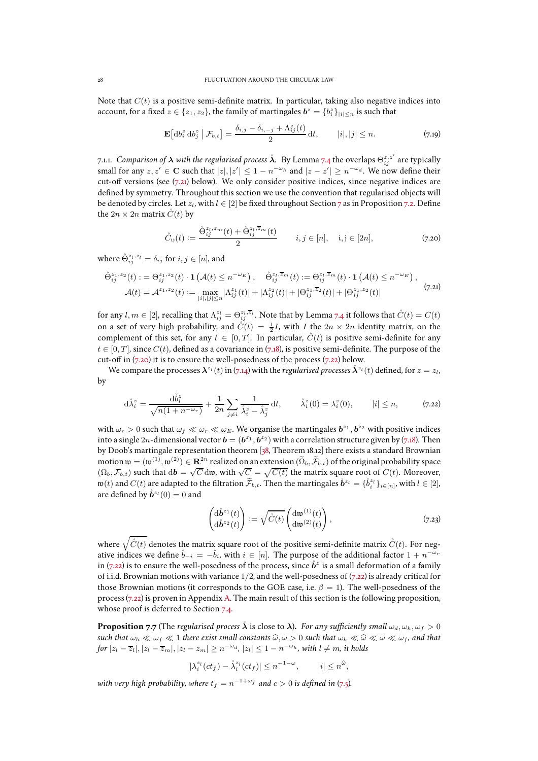Note that  $C(t)$  is a positive semi-definite matrix. In particular, taking also negative indices into account, for a fixed  $z \in \{z_1, z_2\}$ , the family of martingales  $\boldsymbol{b}^z = \{b_i^z\}_{|i| \leq n}$  is such that

$$
\mathbf{E}\left[\mathrm{d}b_i^z \,\mathrm{d}b_j^z \,\middle|\, \mathcal{F}_{b,t}\right] = \frac{\delta_{i,j} - \delta_{i,-j} + \Lambda_{ij}^z(t)}{2} \,\mathrm{d}t, \qquad |i|,|j| \le n. \tag{7.19}
$$

<span id="page-27-5"></span>7.1.1. *Comparison of*  $\bm{\lambda}$  *with the regularised process*  $\bm{\mathring{\lambda}}$ *. By Lemma [7.4](#page-25-5) the overlaps*  $\Theta_{ij}^{z,z'}$  *are typically* small for any  $z, z' \in \mathbf{C}$  such that  $|z|, |z'| \leq 1 - n^{-\omega_h}$  and  $|z - z'| \geq n^{-\omega_d}$ . We now define their cut-off versions (see [\(7.21\)](#page-27-2) below). We only consider positive indices, since negative indices are defined by symmetry. Throughout this section we use the convention that regularised objects will be denoted by circles. Let  $z_l$ , with  $l \in [2]$  be fixed throughout Section [7](#page-23-0) as in Proposition [7.2.](#page-23-1) Define the  $2n \times 2n$  matrix  $\ddot{C}(t)$  by

<span id="page-27-3"></span>
$$
\mathring{C}_{ij}(t) := \frac{\hat{\Theta}_{ij}^{z_l, z_m}(t) + \hat{\Theta}_{ij}^{z_l, \overline{z}_m}(t)}{2} \qquad i, j \in [n], \quad i, j \in [2n], \tag{7.20}
$$

where  $\mathring{\Theta}_{ij}^{z_l, z_l} = \delta_{ij}$  for  $i, j \in [n]$ , and

<span id="page-27-2"></span>
$$
\hat{\Theta}_{ij}^{z_1,z_2}(t) := \Theta_{ij}^{z_1,z_2}(t) \cdot \mathbf{1}\left(\mathcal{A}(t) \le n^{-\omega_E}\right), \quad \hat{\Theta}_{ij}^{z_1,\overline{z}_m}(t) := \Theta_{ij}^{z_1,\overline{z}_m}(t) \cdot \mathbf{1}\left(\mathcal{A}(t) \le n^{-\omega_E}\right),
$$
  

$$
\mathcal{A}(t) = \mathcal{A}^{z_1,z_2}(t) := \max_{|i|,|j| \le n} |\Lambda_{ij}^{z_1}(t)| + |\Lambda_{ij}^{z_2}(t)| + |\Theta_{ij}^{z_1,\overline{z}_2}(t)| + |\Theta_{ij}^{z_1,z_2}(t)| \tag{7.21}
$$

for any  $l,m\in[2]$ , recalling that  $\Lambda_{ij}^{z_l}=\Theta_{ij}^{z_l,\overline{z}_l}.$  Note that by Lemma [7.4](#page-25-5) it follows that  $\mathring{C}(t)=C(t)$ on a set of very high probability, and  $\mathring{C}(t) = \frac{1}{2}I$ , with  $I$  the  $2n \times 2n$  identity matrix, on the complement of this set, for any  $t \in [0, T]$ . In particular,  $\mathring{C}(t)$  is positive semi-definite for any  $t \in [0, T]$ , since  $C(t)$ , defined as a covariance in [\(7.18\)](#page-26-3), is positive semi-definite. The purpose of the cut-off in  $(7.20)$  it is to ensure the well-posedness of the process  $(7.22)$  below.

We compare the processes  $\bm{\lambda}^{z_l}(t)$  in [\(7.14\)](#page-25-0) with the *regularised processes*  $\mathring{\bm{\lambda}}^{z_l}(t)$  defined, for  $z=z_l$ , by

<span id="page-27-0"></span>
$$
\mathrm{d}\mathring{\lambda}_i^z = \frac{\mathrm{d}\mathring{b}_i^z}{\sqrt{n(1+n^{-\omega_r})}} + \frac{1}{2n} \sum_{j \neq i} \frac{1}{\mathring{\lambda}_i^z - \mathring{\lambda}_j^z} \,\mathrm{d}t, \qquad \mathring{\lambda}_i^z(0) = \lambda_i^z(0), \qquad |i| \le n, \tag{7.22}
$$

with  $\omega_r > 0$  such that  $\omega_f \ll \omega_r \ll \omega_E$ . We organise the martingales  $b^{z_1}, b^{z_2}$  with positive indices into a single  $2n$ -dimensional vector  $\mathbf{b} = (\mathbf{b}^{z_1}, \mathbf{b}^{z_2})$  with a correlation structure given by [\(7.18\)](#page-26-3). Then by Doob's martingale representation theorem [\[38](#page-48-23), Theorem 18.12] there exists a standard Brownian motion  $\mathfrak{w} = (\mathfrak{w}^{(1)}, \mathfrak{w}^{(2)}) \in \mathbf{R}^{2n}$  realized on an extension  $(\widetilde{\Omega}_b, \widetilde{\mathcal{F}}_{b,t})$  of the original probability space  $(\Omega_b, \mathcal{F}_{b,t})$  such that  $d\mathbf{b} = \sqrt{C}$  dw, with  $\sqrt{C} = \sqrt{C(t)}$  the matrix square root of  $C(t)$ . Moreover,  $\mathfrak{w}(t)$  and  $C(t)$  are adapted to the filtration  $\widetilde{\mathcal{F}}_{b,t}$ . Then the martingales  $\mathring{b}^{z_l} = \{\mathring{b}^{z_l}_i\}_{i \in [n]},$  with  $l \in [2]$ , are defined by  $\mathring{\bm{b}}^{z_l}(0)=0$  and

<span id="page-27-4"></span>
$$
\begin{pmatrix} \mathrm{d}\mathring{b}^{z_1}(t) \\ \mathrm{d}\mathring{b}^{z_2}(t) \end{pmatrix} := \sqrt{\mathring{C}(t)} \begin{pmatrix} \mathrm{d}\mathfrak{w}^{(1)}(t) \\ \mathrm{d}\mathfrak{w}^{(2)}(t) \end{pmatrix},\tag{7.23}
$$

where  $\sqrt{\mathring{C}(t)}$  denotes the matrix square root of the positive semi-definite matrix  $\mathring{C}(t)$ . For negative indices we define  $\mathring{b}_{-i} = -\mathring{b}_i$ , with  $i \in [n]$ . The purpose of the additional factor  $1 + n^{-\omega_r}$ in [\(7.22\)](#page-27-0) is to ensure the well-posedness of the process, since  $\mathring{b}^z$  is a small deformation of a family of i.i.d. Brownian motions with variance 1/2, and the well-posedness of [\(7.22\)](#page-27-0) is already critical for those Brownian motions (it corresponds to the GOE case, i.e.  $\beta = 1$ ). The well-posedness of the process  $(7.22)$  is proven in Appendix [A.](#page-43-0) The main result of this section is the following proposition, whose proof is deferred to Section [7.4.](#page-32-1)

<span id="page-27-1"></span>**Proposition 7.7** (The *regularised process*  $\hat{\lambda}$  is close to  $\lambda$ ). *For any sufficiently small*  $\omega_d$ ,  $\omega_h$ ,  $\omega_f > 0$ *such that*  $\omega_h \ll \omega_f \ll 1$  *there exist small constants*  $\hat{\omega}, \omega > 0$  *such that*  $\omega_h \ll \hat{\omega} \ll \omega \ll \omega_f$ , and that  $for |z_l - \overline{z}_l|, |z_l - \overline{z}_m|, |z_l - z_m| \geq n^{-\omega_d}$ ,  $|z_l| \leq 1 - n^{-\omega_h}$ , with  $l \neq m$ , it holds

$$
|\lambda_i^{z_l}(ct_f) - \lambda_i^{z_l}(ct_f)| \le n^{-1-\omega}, \qquad |i| \le n^{\widehat{\omega}},
$$

with very high probability, where  $t_f = n^{-1+\omega_f}$  and  $c > 0$  is defined in [\(7.5\)](#page-24-3).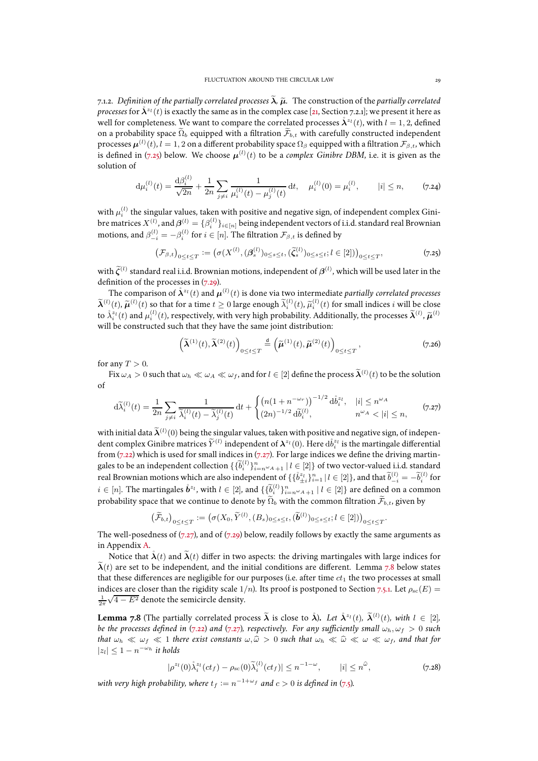<span id="page-28-3"></span>7.1.2. *Definition of the partially correlated processes*  $\tilde{\lambda}$ ,  $\tilde{\mu}$ . The construction of the *partially correlated processes* for  $\mathring{\bm{\lambda}}^{z_l}(t)$  is exactly the same as in the complex case [\[21,](#page-47-0) Section 7.2.1]; we present it here as well for completeness. We want to compare the correlated processes  $\mathring{\bm{\lambda}}^{z_l}(t)$ , with  $l=1,2$ , defined on a probability space  $\widetilde{\Omega}_b$  equipped with a filtration  $\widetilde{\mathcal{F}}_{b,t}$  with carefully constructed independent processes  $\bm{\mu}^{(l)}(t)$ ,  $l=1,2$  on a different probability space  $\Omega_\beta$  equipped with a filtration  $\mathcal{F}_{\beta,t}$ , which is defined in [\(7.25\)](#page-28-4) below. We choose  $\boldsymbol{\mu}^{(l)}(t)$  to be a *complex Ginibre DBM*, i.e. it is given as the solution of

<span id="page-28-1"></span>
$$
\mathrm{d}\mu_i^{(l)}(t) = \frac{\mathrm{d}\beta_i^{(l)}}{\sqrt{2n}} + \frac{1}{2n} \sum_{j \neq i} \frac{1}{\mu_i^{(l)}(t) - \mu_j^{(l)}(t)} \, \mathrm{d}t, \quad \mu_i^{(l)}(0) = \mu_i^{(l)}, \qquad |i| \leq n, \qquad (7.24)
$$

with  $\mu_i^{(l)}$  the singular values, taken with positive and negative sign, of independent complex Ginibre matrices  $X^{(l)}$  , and  $\boldsymbol{\beta}^{(l)}=\{\beta_i^{(l)}\}_{i\in[n]}$  being independent vectors of i.i.d. standard real Brownian motions, and  $\beta_{-i}^{(l)} = -\beta_i^{(l)}$  for  $i \in [n]$ . The filtration  $\mathcal{F}_{\beta,t}$  is defined by

<span id="page-28-4"></span>
$$
(\mathcal{F}_{\beta,t})_{0 \le t \le T} := (\sigma(X^{(l)}, (\beta_s^{(l)})_{0 \le s \le t}, (\tilde{\zeta}_s^{(l)})_{0 \le s \le t}; l \in [2]))_{0 \le t \le T},
$$
\n(7.25)

with  $\tilde{\zeta}^{(l)}$  standard real i.i.d. Brownian motions, independent of  $\beta^{(l)}$ , which will be used later in the definition of the processes in [\(7.29\)](#page-29-0).

The comparison of  $\mathring{\bm{\lambda}}^{z_l}(t)$  and  $\bm{\mu}^{(l)}(t)$  is done via two intermediate *partially correlated processes*  $\widetilde{\lambda}_i^{(l)}(t), \widetilde{\mu}_i^{(l)}(t)$  so that for a time  $t \geq 0$  large enough  $\widetilde{\lambda}_i^{(l)}(t), \widetilde{\mu}_i^{(l)}(t)$  for small indices i will be close to  $\lambda_i^{z_l}(t)$  and  $\mu_i^{(l)}(t)$ , respectively, with very high probability. Additionally, the processes  $\widetilde{\lambda}^{(l)}$ ,  $\widetilde{\mu}^{(l)}$ will be constructed such that they have the same joint distribution:

<span id="page-28-5"></span>
$$
\left(\widetilde{\boldsymbol{\lambda}}^{(1)}(t),\widetilde{\boldsymbol{\lambda}}^{(2)}(t)\right)_{0\leq t\leq T} \stackrel{\text{d}}{=} \left(\widetilde{\boldsymbol{\mu}}^{(1)}(t),\widetilde{\boldsymbol{\mu}}^{(2)}(t)\right)_{0\leq t\leq T},\tag{7.26}
$$

.

for any  $T > 0$ .

Fix  $\omega_A > 0$  such that  $\omega_h \ll \omega_A \ll \omega_f$ , and for  $l \in [2]$  define the process  $\widetilde{\bm{\lambda}}^{(l)}(t)$  to be the solution of

<span id="page-28-0"></span>
$$
d\widetilde{\lambda}_{i}^{(l)}(t) = \frac{1}{2n} \sum_{j \neq i} \frac{1}{\widetilde{\lambda}_{i}^{(l)}(t) - \widetilde{\lambda}_{j}^{(l)}(t)} dt + \begin{cases} \left( n(1 + n^{-\omega_{r}}) \right)^{-1/2} d\mathring{b}_{i}^{z_{l}}, & |i| \leq n^{\omega_{A}} \\ (2n)^{-1/2} d\mathring{b}_{i}^{(l)}, & n^{\omega_{A}} < |i| \leq n, \end{cases}
$$
(7.27)

with initial data  $\widetilde{\bm{\lambda}}^{(l)}(0)$  being the singular values, taken with positive and negative sign, of independent complex Ginibre matrices  $\widetilde{Y}^{(l)}$  independent of  $\bm{\lambda}^{z_l}(0).$  Here  $\mathrm{d}\mathring{b}^{z_l}_i$  is the martingale differential from  $(7.22)$  which is used for small indices in  $(7.27)$ . For large indices we define the driving martingales to be an independent collection  $\{\{\widetilde{b}_i^{(l)}\}_{i=n^\omega A+1}^n | l \in [2]\}$  of two vector-valued i.i.d. standard real Brownian motions which are also independent of  $\{\{\mathring{b}_{\pm i}^{z_l}\}_{i=1}^n\,|\,l\in[2]\},$  and that  $\widetilde{b}_{-i}^{(l)}=-\widetilde{b}_i^{(l)}$  for  $i \in [n]$ . The martingales  $\mathring{b}^{z_l}$ , with  $l \in [2]$ , and  $\{\{\widetilde{b}_i^{(l)}\}_{i=n^{\omega_A}+1}^n \mid l \in [2]\}$  are defined on a common probability space that we continue to denote by  $\tilde{\Omega}_b$  with the common filtration  $\tilde{\mathcal{F}}_{b,t}$ , given by

$$
\big(\widetilde{\mathcal{F}}_{b,t}\big)_{0\leq t\leq T} := \big(\sigma(X_0,\widetilde{Y}^{(l)},(B_s)_{0\leq s\leq t},(\widetilde{\boldsymbol{b}}^{(l)})_{0\leq s\leq t}; l\in [2]\big)\big)_{0\leq t\leq T}
$$

The well-posedness of  $(7.27)$ , and of  $(7.29)$  below, readily follows by exactly the same arguments as in Appendix [A.](#page-43-0)

Notice that  $\hat{\lambda}(t)$  and  $\tilde{\lambda}(t)$  differ in two aspects: the driving martingales with large indices for  $\lambda(t)$  are set to be independent, and the initial conditions are different. Lemma [7.8](#page-28-2) below states that these differences are negligible for our purposes (i.e. after time  $ct_1$  the two processes at small indices are closer than the rigidity scale 1/n). Its proof is postponed to Section [7.5.1.](#page-42-1) Let  $\rho_{\rm sc}(E)$  =  $\frac{1}{2\pi}\sqrt{4-E^2}$  denote the semicircle density.

<span id="page-28-2"></span>**Lemma 7.8** (The partially correlated process  $\widetilde{\lambda}$  is close to  $\overset{\circ}{\lambda}$ ). Let  $\overset{\circ}{\lambda}^{z_l}(t)$ ,  $\widetilde{\lambda}^{(l)}(t)$ , with  $l \in [2]$ , *be the processes defined in* [\(7.22\)](#page-27-0) *and* [\(7.27\)](#page-28-0)*, respectively. For any sufficiently small*  $\omega_h$ ,  $\omega_f > 0$  *such that*  $\omega_h \ll \omega_f \ll 1$  *there exist constants*  $\omega, \hat{\omega} > 0$  *such that*  $\omega_h \ll \hat{\omega} \ll \omega \ll \omega_f$ , and that for  $|z_l|$  ≤ 1 –  $n^{-\omega_h}$  *it holds* 

$$
|\rho^{z_l}(0)\mathring{\lambda}_i^{z_l}(ct_f) - \rho_{\rm sc}(0)\widetilde{\lambda}_i^{(l)}(ct_f)| \le n^{-1-\omega}, \qquad |i| \le n^{\widehat{\omega}}, \tag{7.28}
$$

with very high probability, where  $t_f := n^{-1+\omega_f}$  and  $c > 0$  is defined in [\(7.5\)](#page-24-3).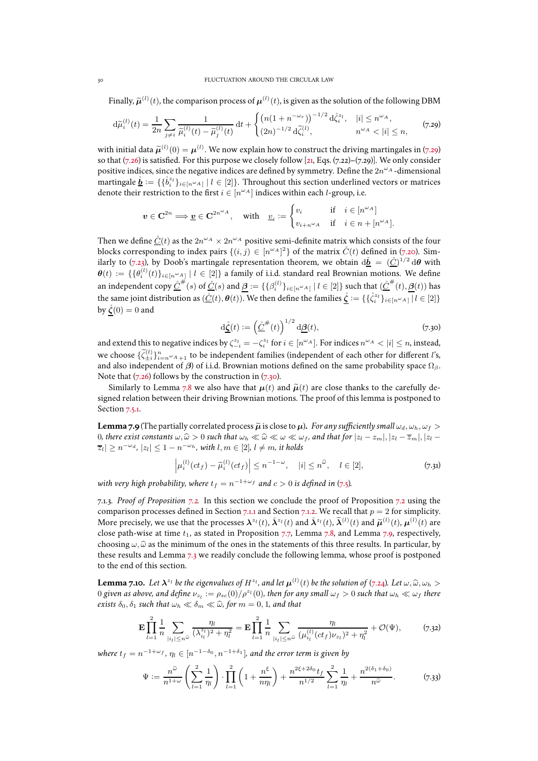Finally,  $\widetilde{\mu}^{(l)}(t)$ , the comparison process of  $\mu^{(l)}(t)$ , is given as the solution of the following DBM

<span id="page-29-0"></span>
$$
\mathrm{d}\widetilde{\mu}_{i}^{(l)}(t) = \frac{1}{2n} \sum_{j \neq i} \frac{1}{\widetilde{\mu}_{i}^{(l)}(t) - \widetilde{\mu}_{j}^{(l)}(t)} \, \mathrm{d}t + \begin{cases} \left( n(1 + n^{-\omega_{r}}) \right)^{-1/2} \mathrm{d}\mathring{\zeta}_{i}^{z_{l}}, & |i| \leq n^{\omega_{A}},\\ (2n)^{-1/2} \, \mathrm{d}\mathring{\zeta}_{i}^{(l)}, & n^{\omega_{A}} < |i| \leq n, \end{cases} \tag{7.29}
$$

with initial data  $\tilde{\mu}^{(l)}(0) = \mu^{(l)}$ . We now explain how to construct the driving martingales in [\(7.29\)](#page-29-0) so that [\(7.26\)](#page-28-5) is satisfied. For this purpose we closely follow [\[21](#page-47-0), Eqs. [\(7.22\)](#page-27-0)–[\(7.29\)](#page-29-0)]. We only consider positive indices, since the negative indices are defined by symmetry. Define the  $2n^{\omega_A}$ -dimensional martingale  $\underline{\mathring{b}}:=\{\{\mathring{b}^{z_l}_i\}_{i\in[n^\omega A]}~|~l\in[2]\}.$  Throughout this section underlined vectors or matrices denote their restriction to the first  $i \in [n^{\omega_A}]$  indices within each  $l$ -group, i.e.

$$
\boldsymbol{v} \in \mathbf{C}^{2n} \Longrightarrow \underline{\boldsymbol{v}} \in \mathbf{C}^{2n^{\omega}A}, \quad \text{with} \quad \underline{v}_{i} := \begin{cases} v_{i} & \text{if} \quad i \in [n^{\omega}A] \\ v_{i+n^{\omega}A} & \text{if} \quad i \in n + [n^{\omega}A]. \end{cases}
$$

Then we define  $\underline{\dot{C}}(t)$  as the  $2n^{\omega_A}\times 2n^{\omega_A}$  positive semi-definite matrix which consists of the four blocks corresponding to index pairs  $\{(i, j) \in [n^{\omega A}]^2\}$  of the matrix  $\mathring{C}(t)$  defined in [\(7.20\)](#page-27-3). Sim-ilarly to [\(7.23\)](#page-27-4), by Doob's martingale representation theorem, we obtain  ${\rm d}\mathring{\bm{b}}\ =\ (\mathring{\bm{\mathcal{C}}})^{1/2}\,{\rm d}\bm{\theta}$  with  $\bm{\theta}(t) \coloneqq \{\{\theta_i^{(l)}(t)\}_{i \in [n^\omega A]} \mid l \in [2]\}$  a family of i.i.d. standard real Brownian motions. We define an independent copy  $\underline{\dot{C}}^{\#}(s)$  of  $\underline{\dot{C}}(s)$  and  $\underline{\beta}:=\{\{\beta_i^{(l)}\}_{i\in[n^\omega A]} \mid l\in[2]\}$  such that  $(\underline{\dot{C}}^{\#}(t),\underline{\beta}(t))$  has the same joint distribution as  $(\underline{\mathring{C}}(t), \theta(t))$ . We then define the families  $\underline{\mathring{\zeta}} := \{ \{ \mathring{\zeta}_i^{z_l} \}_{i \in [n^{\omega_A}]}\,|\, l \in [2]\}$ by  $\ddot{\zeta}(0) = 0$  and

<span id="page-29-2"></span>
$$
\underline{\dot{\mathbf{G}}}(t) := \left(\underline{\dot{\mathbf{C}}}^{\#}(t)\right)^{1/2} \underline{\mathbf{d}\underline{\boldsymbol{\beta}}}(t),\tag{7.30}
$$

and extend this to negative indices by  $\zeta_{-i}^{z_l} = -\zeta_i^{z_l}$  for  $i \in [n^{\omega_A}]$ . For indices  $n^{\omega_A} < |i| \le n$ , instead, and extend this to negative indices by  $\zeta_{-i} = -\zeta_i$  for  $i \in [n]$ . For indices  $n \leq |\zeta| \leq n$ , instead, we choose  $\{\tilde{\zeta}_{\pm i}^{(l)}\}_{i=n^{\omega}A+1}^n$  to be independent families (independent of each other for different *l*' and also independent of  $\beta$ ) of i.i.d. Brownian motions defined on the same probability space  $\Omega_{\beta}$ . Note that  $(7.26)$  follows by the construction in  $(7.30)$ .

Similarly to Lemma [7.8](#page-28-2) we also have that  $\mu(t)$  and  $\tilde{\mu}(t)$  are close thanks to the carefully designed relation between their driving Brownian motions. The proof of this lemma is postponed to Section [7.5.1.](#page-42-1)

<span id="page-29-1"></span>**Lemma 7.9** (The partially correlated process  $\tilde{\mu}$  is close to  $\mu$ ). *For any sufficiently small*  $\omega_d$ ,  $\omega_b$ ,  $\omega_f$  > 0*, there exist constants*  $\omega, \hat{\omega} > 0$  *such that*  $\omega_h \ll \hat{\omega} \ll \omega \ll \omega_f$ , and that for  $|z_l - z_m|, |z_l - \overline{z}_m|, |z_l - \overline{z}_m|$  $|\overline{z}_l| \geq n^{-\omega_d}$ ,  $|z_l| \leq 1 - n^{-\omega_h}$ , with  $l, m \in [2]$ ,  $l \neq m$ , it holds

<span id="page-29-6"></span>
$$
\left|\mu_i^{(l)}(ct_f) - \widetilde{\mu}_i^{(l)}(ct_f)\right| \le n^{-1-\omega}, \quad |i| \le n^{\widehat{\omega}}, \quad l \in [2], \tag{7.31}
$$

with very high probability, where  $t_f = n^{-1+\omega_f}$  and  $c > 0$  is defined in [\(7.5\)](#page-24-3).

7.1.3. *Proof of Proposition [7.2.](#page-23-1)* In this section we conclude the proof of Proposition [7.2](#page-23-1) using the comparison processes defined in Section [7.1.1](#page-27-5) and Section [7.1.2.](#page-28-3) We recall that  $p = 2$  for simplicity. More precisely, we use that the processes  $\lambda^{z_l}(t)$ ,  $\lambda^{z_l}(t)$  and  $\lambda^{z_l}(t)$ ,  $\lambda^{(l)}(t)$  and  $\tilde{\mu}^{(l)}(t)$ ,  $\mu^{(l)}(t)$  are close path-wise at time  $t_1$ , as stated in Proposition [7.7,](#page-27-1) Lemma [7.8,](#page-28-2) and Lemma [7.9,](#page-29-1) respectively, choosing  $\omega$ ,  $\hat{\omega}$  as the minimum of the ones in the statements of this three results. In particular, by these results and Lemma [7.3](#page-25-2) we readily conclude the following lemma, whose proof is postponed to the end of this section.

<span id="page-29-4"></span>**Lemma 7.10.** Let  $\lambda^{z_1}$  be the eigenvalues of  $H^{z_1}$ , and let  $\mu^{(1)}(t)$  be the solution of [\(7.24\)](#page-28-1). Let  $\omega$ ,  $\widehat{\omega}$ ,  $\omega_h >$  $0$  given as above, and define  $\nu_{z_l}:=\rho_{sc}(0)/\rho^{z_l}(0)$ , then for any small  $\omega_f>0$  such that  $\omega_h\ll\omega_f$  there *exists*  $\delta_0$ ,  $\delta_1$  *such that*  $\omega_h \ll \delta_m \ll \hat{\omega}$ , *for*  $m = 0, 1$ *, and that* 

<span id="page-29-5"></span>
$$
\mathbf{E} \prod_{l=1}^{2} \frac{1}{n} \sum_{|i_l| \le n^{\widehat{\omega}}} \frac{\eta_l}{(\lambda_{i_l}^{z_l})^2 + \eta_l^2} = \mathbf{E} \prod_{l=1}^{2} \frac{1}{n} \sum_{|i_l| \le n^{\widehat{\omega}}} \frac{\eta_l}{(\mu_{i_l}^{(l)} (ct_f) \nu_{z_l})^2 + \eta_l^2} + \mathcal{O}(\Psi), \tag{7.32}
$$

where  $t_f = n^{-1 + \omega_f}$ ,  $\eta_l \in [n^{-1-\delta_0}, n^{-1+\delta_1}]$ , and the error term is given by

<span id="page-29-3"></span>
$$
\Psi := \frac{n^{\widehat{\omega}}}{n^{1+\omega}} \left( \sum_{l=1}^{2} \frac{1}{\eta_l} \right) \cdot \prod_{l=1}^{2} \left( 1 + \frac{n^{\xi}}{n\eta_l} \right) + \frac{n^{2\xi + 2\delta_0} t_f}{n^{1/2}} \sum_{l=1}^{2} \frac{1}{\eta_l} + \frac{n^{2(\delta_1 + \delta_0)}}{n^{\widehat{\omega}}}.
$$
 (7.33)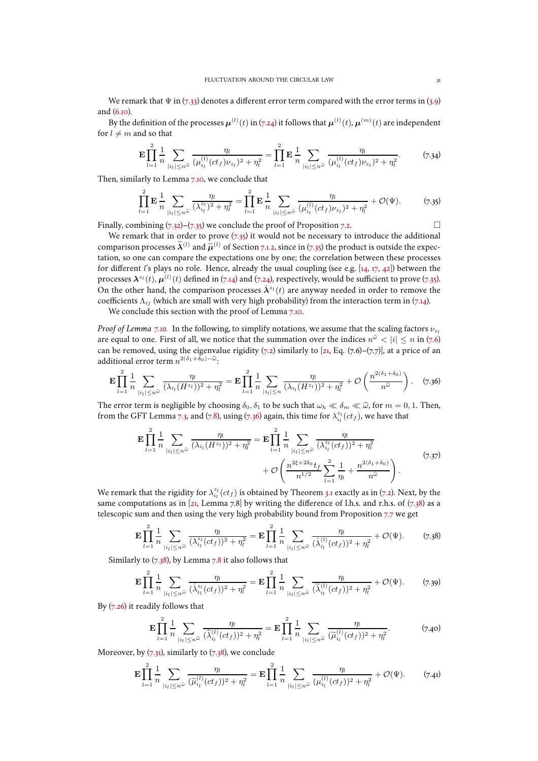We remark that  $\Psi$  in [\(7.33\)](#page-29-3) denotes a different error term compared with the error terms in [\(3.9\)](#page-9-1) and [\(6.10\)](#page-17-4).

By the definition of the processes  $\bm{\mu}^{(l)}(t)$  in [\(7.24\)](#page-28-1) it follows that  $\bm{\mu}^{(l)}(t)$ ,  $\bm{\mu}^{(m)}(t)$  are independent for  $l \neq m$  and so that

$$
\mathbf{E} \prod_{l=1}^{2} \frac{1}{n} \sum_{|i_l| \le n^{\widehat{\omega}}} \frac{\eta_l}{(\mu_{i_l}^{(l)} (ct_f) \nu_{z_l})^2 + \eta_l^2} = \prod_{l=1}^{2} \mathbf{E} \frac{1}{n} \sum_{|i_l| \le n^{\widehat{\omega}}} \frac{\eta_l}{(\mu_{i_l}^{(l)} (ct_f) \nu_{z_l})^2 + \eta_l^2}.
$$
 (7.34)

Then, similarly to Lemma [7.10,](#page-29-4) we conclude that

<span id="page-30-0"></span>
$$
\prod_{l=1}^{2} \mathbf{E} \frac{1}{n} \sum_{|i_l| \le n^{\widehat{\omega}}} \frac{\eta_l}{(\lambda_{i_l}^{z_l})^2 + \eta_l^2} = \prod_{l=1}^{2} \mathbf{E} \frac{1}{n} \sum_{|i_l| \le n^{\widehat{\omega}}} \frac{\eta_l}{(\mu_{i_l}^{(l)} (ct_f) \nu_{z_l})^2 + \eta_l^2} + \mathcal{O}(\Psi). \tag{7.35}
$$

Finally, combining  $(7.32)$ – $(7.35)$  we conclude the proof of Proposition [7.2.](#page-23-1)

We remark that in order to prove  $(7.35)$  it would not be necessary to introduce the additional comparison processes  $\widetilde{\lambda}^{(l)}$  and  $\widetilde{\mu}^{(l)}$  of Section [7.1.2,](#page-28-3) since in [\(7.35\)](#page-30-0) the product is outside the expectation, so one can compare the expectations one by one; the correlation between these processes for different l's plays no role. Hence, already the usual coupling (see e.g.  $[14, 17, 42]$  $[14, 17, 42]$  $[14, 17, 42]$  $[14, 17, 42]$  $[14, 17, 42]$ ) between the processes  $\mathbf{\lambda}^{z_l}(t)$ ,  $\mu^{(l)}(t)$  defined in [\(7.14\)](#page-25-0) and [\(7.24\)](#page-28-1), respectively, would be sufficient to prove [\(7.35\)](#page-30-0). On the other hand, the comparison processes  $\mathring{X}^{z_i}(t)$  are anyway needed in order to remove the coefficients  $\Lambda_{ij}$  (which are small with very high probability) from the interaction term in [\(7.14\)](#page-25-0).

We conclude this section with the proof of Lemma [7.10.](#page-29-4)

*Proof of Lemma* [7.10.](#page-29-4) In the following, to simplify notations, we assume that the scaling factors  $\nu_{z_1}$ are equal to one. First of all, we notice that the summation over the indices  $n^{\hat\omega} < |i| \le n$  in [\(7.6\)](#page-25-6) can be removed, using the eigenvalue rigidity  $(7.2)$  similarly to [\[21](#page-47-0), Eq. [\(7.6\)](#page-25-6)–[\(7.7\)](#page-25-4)], at a price of an additional error term  $n^{2(\delta_1+\delta_0)-\widehat{\omega}}$ :

<span id="page-30-1"></span>
$$
\mathbf{E} \prod_{l=1}^{2} \frac{1}{n} \sum_{|i_{l}| \leq n^{\widehat{\omega}}} \frac{\eta_{l}}{(\lambda_{i_{l}}(H^{z_{l}}))^{2} + \eta_{l}^{2}} = \mathbf{E} \prod_{l=1}^{2} \frac{1}{n} \sum_{|i_{l}| \leq n} \frac{\eta_{l}}{(\lambda_{i_{l}}(H^{z_{l}}))^{2} + \eta_{l}^{2}} + \mathcal{O}\left(\frac{n^{2(\delta_{1} + \delta_{0})}}{n^{\widehat{\omega}}}\right).
$$
 (7.36)

The error term is negligible by choosing  $\delta_0$ ,  $\delta_1$  to be such that  $\omega_h \ll \delta_m \ll \hat{\omega}$ , for  $m = 0, 1$ . Then, from the GFT Lemma [7.3,](#page-25-2) and [\(7.8\)](#page-25-7), using [\(7.36\)](#page-30-1) again, this time for  $\lambda_{i_l}^{z_l}(ct_f)$ , we have that

$$
\mathbf{E} \prod_{l=1}^{2} \frac{1}{n} \sum_{|i_{l}| \leq n^{\widehat{\omega}}} \frac{\eta_{l}}{(\lambda_{i_{l}}(H^{z_{l}}))^{2} + \eta_{l}^{2}} = \mathbf{E} \prod_{l=1}^{2} \frac{1}{n} \sum_{|i_{l}| \leq n^{\widehat{\omega}}} \frac{\eta_{l}}{(\lambda_{i_{l}}^{z_{l}}(ct_{f}))^{2} + \eta_{l}^{2}} + \mathcal{O}\left(\frac{n^{2\xi + 2\delta_{0}} t_{f}}{n^{1/2}} \sum_{l=1}^{2} \frac{1}{\eta_{l}} + \frac{n^{2(\delta_{1} + \delta_{0})}}{n^{\widehat{\omega}}}\right).
$$
\n(7.37)

<span id="page-30-3"></span>We remark that the rigidity for  $\lambda_{i_l}^{z_l}(ct_f)$  is obtained by Theorem [3.1](#page-8-1) exactly as in [\(7.2\)](#page-23-2). Next, by the same computations as in [\[21,](#page-47-0) Lemma [7.8\]](#page-28-2) by writing the difference of l.h.s. and r.h.s. of  $(7.38)$  as a telescopic sum and then using the very high probability bound from Proposition [7.7](#page-27-1) we get

<span id="page-30-2"></span>
$$
\mathbf{E} \prod_{l=1}^{2} \frac{1}{n} \sum_{|i_l| \le n^{\widehat{\omega}}} \frac{\eta_l}{(\lambda_{i_l}^{z_l}(ct_f))^2 + \eta_l^2} = \mathbf{E} \prod_{l=1}^{2} \frac{1}{n} \sum_{|i_l| \le n^{\widehat{\omega}}} \frac{\eta_l}{(\lambda_{i_l}^{(l)}(ct_f))^2 + \eta_l^2} + \mathcal{O}(\Psi). \tag{7.38}
$$

Similarly to  $(7.38)$ , by Lemma [7.8](#page-28-2) it also follows that

$$
\mathbf{E} \prod_{l=1}^{2} \frac{1}{n} \sum_{|i_l| \le n^{\widehat{\omega}}} \frac{\eta_l}{(\mathring{\lambda}_{i_l}^{z_l}(ct_f))^2 + \eta_l^2} = \mathbf{E} \prod_{l=1}^{2} \frac{1}{n} \sum_{|i_l| \le n^{\widehat{\omega}}} \frac{\eta_l}{(\widetilde{\lambda}_{i_l}^{(l)}(ct_f))^2 + \eta_l^2} + \mathcal{O}(\Psi). \tag{7.39}
$$

By [\(7.26\)](#page-28-5) it readily follows that

$$
\mathbf{E} \prod_{l=1}^{2} \frac{1}{n} \sum_{|i_l| \le n^{\widehat{\omega}}} \frac{\eta_l}{(\widetilde{\lambda}_{i_l}^{(l)}(ct_f))^2 + \eta_l^2} = \mathbf{E} \prod_{l=1}^{2} \frac{1}{n} \sum_{|i_l| \le n^{\widehat{\omega}}} \frac{\eta_l}{(\widetilde{\mu}_{i_l}^{(l)}(ct_f))^2 + \eta_l^2}.
$$
 (7.40)

Moreover, by  $(7.31)$ , similarly to  $(7.38)$ , we conclude

<span id="page-30-4"></span>
$$
\mathbf{E} \prod_{l=1}^{2} \frac{1}{n} \sum_{|i_l| \le n^{\widehat{\omega}}} \frac{\eta_l}{(\widetilde{\mu}_{i_l}^{(l)}(ct_f))^2 + \eta_l^2} = \mathbf{E} \prod_{l=1}^{2} \frac{1}{n} \sum_{|i_l| \le n^{\widehat{\omega}}} \frac{\eta_l}{(\mu_{i_l}^{(l)}(ct_f))^2 + \eta_l^2} + \mathcal{O}(\Psi). \tag{7.41}
$$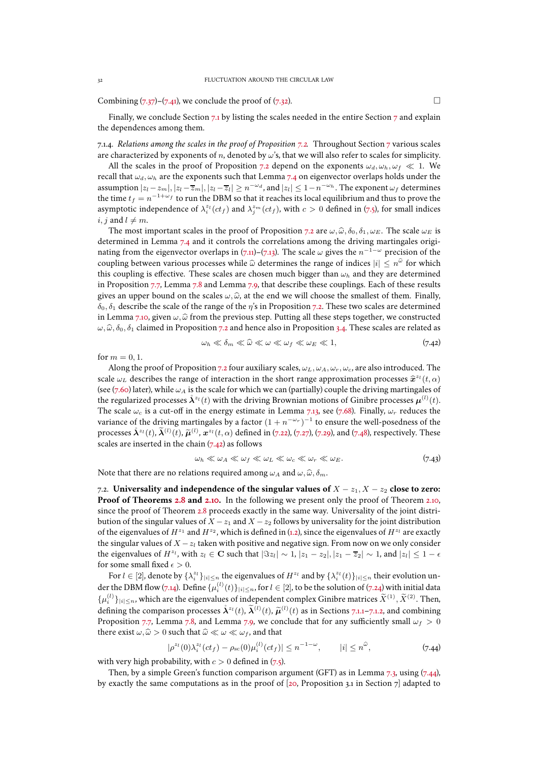Combining  $(7.37)$ – $(7.41)$ , we conclude the proof of  $(7.32)$ .

Finally, we conclude Section [7.1](#page-24-0) by listing the scales needed in the entire Section [7](#page-23-0) and explain the dependences among them.

7.1.4. *Relations among the scales in the proof of Proposition [7.2.](#page-23-1)* Throughout Section [7](#page-23-0) various scales are characterized by exponents of n, denoted by  $\omega$ 's, that we will also refer to scales for simplicity.

All the scales in the proof of Proposition [7.2](#page-23-1) depend on the exponents  $\omega_d, \omega_h, \omega_f \ll 1$ . We recall that  $\omega_d$ ,  $\omega_h$  are the exponents such that Lemma [7.4](#page-25-5) on eigenvector overlaps holds under the assumption  $|z_l - z_m|, |z_l - \overline{z}_m|, |z_l - \overline{z}_l| \ge n^{-\omega_d}$ , and  $|z_l| \le 1 - n^{-\omega_h}$ . The exponent  $\omega_f$  determines the time  $t_f = n^{-1+\omega_f}$  to run the DBM so that it reaches its local equilibrium and thus to prove the asymptotic independence of  $\lambda_i^{z_l}(ct_f)$  and  $\lambda_j^{z_m}(ct_f)$ , with  $c > 0$  defined in [\(7.5\)](#page-24-3), for small indices *i*, *j* and  $l \neq m$ .

The most important scales in the proof of Proposition [7.2](#page-23-1) are  $\omega$ ,  $\hat{\omega}$ ,  $\delta_0$ ,  $\delta_1$ ,  $\omega_E$ . The scale  $\omega_E$  is determined in Lemma [7.4](#page-25-5) and it controls the correlations among the driving martingales origi-nating from the eigenvector overlaps in [\(7.11\)](#page-25-3)–[\(7.13\)](#page-25-8). The scale  $\omega$  gives the  $n^{-1-\omega}$  precision of the coupling between various processes while  $\hat{\omega}$  determines the range of indices  $|i| \leq n^{\hat{\omega}}$  for which this coupling is effective. These scales are chosen much bigger than  $\omega_h$  and they are determined in Proposition [7.7,](#page-27-1) Lemma [7.8](#page-28-2) and Lemma [7.9,](#page-29-1) that describe these couplings. Each of these results gives an upper bound on the scales  $\omega, \hat{\omega}$ , at the end we will choose the smallest of them. Finally,  $\delta_0$ ,  $\delta_1$  describe the scale of the range of the  $\eta$ 's in Proposition [7.2.](#page-23-1) These two scales are determined in Lemma [7.10,](#page-29-4) given  $\omega$ ,  $\hat{\omega}$  from the previous step. Putting all these steps together, we constructed  $\omega, \hat{\omega}, \delta_0, \delta_1$  claimed in Proposition [7.2](#page-23-1) and hence also in Proposition [3.4.](#page-9-4) These scales are related as

<span id="page-31-1"></span>
$$
\omega_h \ll \delta_m \ll \widehat{\omega} \ll \omega \ll \omega_f \ll \omega_E \ll 1, \tag{7.42}
$$

for  $m = 0, 1$ .

Along the proof of Proposition [7.2](#page-23-1) four auxiliary scales,  $\omega_L$ ,  $\omega_A$ ,  $\omega_r$ ,  $\omega_c$ , are also introduced. The scale  $\omega_L$  describes the range of interaction in the short range approximation processes  $\hat{x}^{z_l}(t, \alpha)$ (see [\(7.60\)](#page-35-0) later), while  $\omega_A$  is the scale for which we can (partially) couple the driving martingales of the regularized processes  $\mathring{\bm{\lambda}}^{z_l}(t)$  with the driving Brownian motions of Ginibre processes  $\bm{\mu}^{(l)}(t)$ . The scale  $\omega_c$  is a cut-off in the energy estimate in Lemma [7.13,](#page-36-0) see [\(7.68\)](#page-36-1). Finally,  $\omega_r$  reduces the variance of the driving martingales by a factor  $(1 + n^{-\omega_r})^{-1}$  to ensure the well-posedness of the processes  $\mathring{X}^{z_l}(t)$ ,  $\widetilde{\mathcal{A}}^{(l)}(t)$ ,  $\widetilde{\boldsymbol{\mu}}^{(l)}$ ,  $\boldsymbol{x}^{z_l}(t,\alpha)$  defined in [\(7.22\)](#page-27-0), [\(7.27\)](#page-28-0), [\(7.29\)](#page-29-0), and [\(7.48\)](#page-33-0), respectively. These scales are inserted in the chain  $(7.42)$  as follows

<span id="page-31-3"></span>
$$
\omega_h \ll \omega_A \ll \omega_f \ll \omega_L \ll \omega_c \ll \omega_r \ll \omega_E. \tag{7.43}
$$

<span id="page-31-0"></span>Note that there are no relations required among  $\omega_A$  and  $\omega, \hat{\omega}, \delta_m$ .

7.2. **Universality and independence of the singular values of**  $X - z_1, X - z_2$  close to zero: **Proof of Theorems [2.8](#page-7-0) and [2.10.](#page-7-3)** In the following we present only the proof of Theorem [2.10,](#page-7-3) since the proof of Theorem [2.8](#page-7-0) proceeds exactly in the same way. Universality of the joint distribution of the singular values of  $X - z_1$  and  $X - z_2$  follows by universality for the joint distribution of the eigenvalues of  $H^{z_1}$  and  $H^{z_2}$ , which is defined in [\(1.2\)](#page-1-1), since the eigenvalues of  $H^{z_1}$  are exactly the singular values of  $X - z_l$  taken with positive and negative sign. From now on we only consider the eigenvalues of  $H^{z_l}$ , with  $z_l \in \mathbf{C}$  such that  $|\Im z_l| \sim 1$ ,  $|z_1 - \overline{z}_2| \sim 1$ , and  $|z_l| \leq 1 - \epsilon$ for some small fixed  $\epsilon > 0$ .

For  $l \in [2]$ , denote by  $\{\lambda_i^{z_l}\}_{|i| \le n}$  the eigenvalues of  $H^{z_l}$  and by  $\{\lambda_i^{z_l}(t)\}_{|i| \le n}$  their evolution un-der the DBM flow [\(7.14\)](#page-25-0). Define  $\{\mu_i^{(l)}(t)\}_{|i|\leq n}$ , for  $l\in [2]$ , to be the solution of [\(7.24\)](#page-28-1) with initial data  $\{\mu_i^{(l)}\}_{|i|\leq n}$ , which are the eigenvalues of independent complex Ginibre matrices  $\widetilde{X}^{(1)}$ ,  $\widetilde{X}^{(2)}$ . Then, defining the comparison processes  $\mathring{\mathbf{\lambda}}^{z_l}(t)$ ,  $\widetilde{\mathbf{\lambda}}^{(l)}(t)$ ,  $\widetilde{\mathbf{\mu}}^{(l)}(t)$  as in Sections [7.1.1](#page-27-5)[–7.1.2,](#page-28-3) and combining Proposition [7.7,](#page-27-1) Lemma [7.8,](#page-28-2) and Lemma [7.9,](#page-29-1) we conclude that for any sufficiently small  $\omega_f > 0$ there exist  $\omega, \widehat{\omega} > 0$  such that  $\widehat{\omega} \ll \omega \ll \omega_f$ , and that

<span id="page-31-2"></span>
$$
|\rho^{z_l}(0)\lambda_i^{z_l}(ct_f) - \rho_{\rm sc}(0)\mu_i^{(l)}(ct_f)| \le n^{-1-\omega}, \qquad |i| \le n^{\hat{\omega}}, \tag{7.44}
$$

with very high probability, with  $c > 0$  defined in [\(7.5\)](#page-24-3).

Then, by a simple Green's function comparison argument (GFT) as in Lemma [7.3,](#page-25-2) using [\(7.44\)](#page-31-2), by exactly the same computations as in the proof of [\[20](#page-47-23), Proposition 3.1 in Section 7] adapted to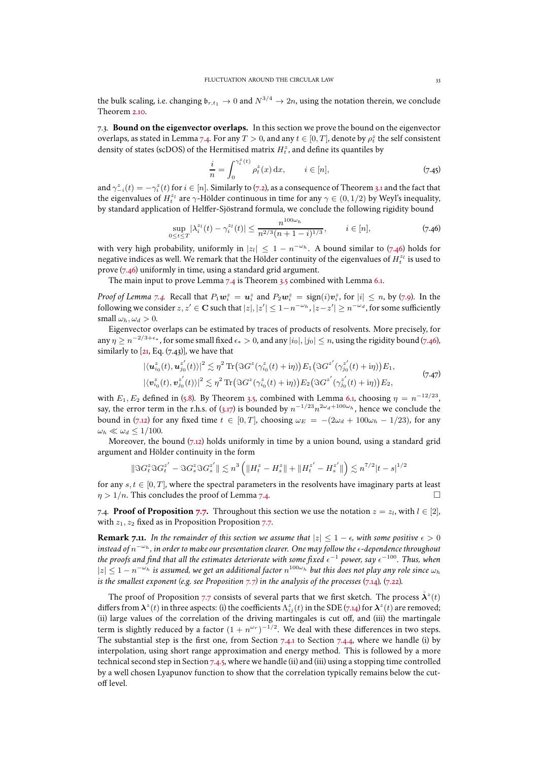the bulk scaling, i.e. changing  $\mathfrak{b}_{r,t_1} \to 0$  and  $N^{3/4} \to 2n$ , using the notation therein, we conclude Theorem [2.10.](#page-7-3)

<span id="page-32-0"></span>7.3. **Bound on the eigenvector overlaps.** In this section we prove the bound on the eigenvector overlaps, as stated in Lemma [7.4.](#page-25-5) For any  $T>0$ , and any  $t\in[0,T]$ , denote by  $\rho^z_t$  the self consistent density of states (scDOS) of the Hermitised matrix  $H_t^z$ , and define its quantiles by

<span id="page-32-3"></span>
$$
\frac{i}{n} = \int_0^{\gamma_i^z(t)} \rho_t^z(x) dx, \qquad i \in [n], \tag{7.45}
$$

and  $\gamma_{-i}^z(t) = -\gamma_i^z(t)$  for  $i \in [n]$ . Similarly to [\(7.2\)](#page-23-2), as a consequence of Theorem [3.1](#page-8-1) and the fact that the eigenvalues of  $H_t^{z_l}$  are  $\gamma$ -Hölder continuous in time for any  $\gamma \in (0, 1/2)$  by Weyl's inequality, by standard application of Helffer-Sjöstrand formula, we conclude the following rigidity bound

<span id="page-32-2"></span>
$$
\sup_{0 \le t \le T} |\lambda_i^{z_l}(t) - \gamma_i^{z_l}(t)| \le \frac{n^{100\omega_h}}{n^{2/3}(n+1-i)^{1/3}}, \qquad i \in [n], \tag{7.46}
$$

with very high probability, uniformly in  $|z_l| \leq 1 - n^{-\omega_h}$ . A bound similar to [\(7.46\)](#page-32-2) holds for negative indices as well. We remark that the Hölder continuity of the eigenvalues of  $H_t^{z_l}$  is used to prove [\(7.46\)](#page-32-2) uniformly in time, using a standard grid argument.

The main input to prove Lemma [7.4](#page-25-5) is Theorem [3.5](#page-10-3) combined with Lemma [6.1.](#page-16-1)

*Proof of Lemma* [7.4.](#page-25-5) Recall that  $P_1w_i^z = u_i^z$  and  $P_2w_i^z = \text{sign}(i)v_i^z$ , for  $|i| \le n$ , by [\(7.9\)](#page-25-9). In the following we consider  $z, z' \in \mathbf C$  such that  $|z|, |z'| \leq 1-n^{-\omega_h}, |z-z'| \geq n^{-\omega_d}$ , for some sufficiently small  $\omega_h$ ,  $\omega_d > 0$ .

Eigenvector overlaps can be estimated by traces of products of resolvents. More precisely, for any  $\eta\geq n^{-2/3+\epsilon_*}$ , for some small fixed  $\epsilon_*>0$ , and any  $|i_0|,|j_0|\leq n$ , using the rigidity bound [\(7.46\)](#page-32-2), similarly to  $[21, Eq. (7.43)]$  $[21, Eq. (7.43)]$  $[21, Eq. (7.43)]$ , we have that

$$
|\langle \mathbf{u}_{i_0}^{z}(t), \mathbf{u}_{j_0}^{z'}(t)\rangle|^2 \lesssim \eta^2 \operatorname{Tr}(\Im G^{z}(\gamma_{i_0}^{z}(t)+i\eta)) E_1(\Im G^{z'}(\gamma_{j_0}^{z'}(t)+i\eta)) E_1,|\langle \mathbf{v}_{i_0}^{z}(t), \mathbf{v}_{j_0}^{z'}(t)\rangle|^2 \lesssim \eta^2 \operatorname{Tr}(\Im G^{z}(\gamma_{i_0}^{z}(t)+i\eta)) E_2(\Im G^{z'}(\gamma_{j_0}^{z'}(t)+i\eta)) E_2,
$$
\n(7.47)

with  $E_1, E_2$  defined in [\(5.8\)](#page-14-5). By Theorem [3.5,](#page-10-3) combined with Lemma [6.1,](#page-16-1) choosing  $\eta = n^{-12/23}$ , say, the error term in the r.h.s. of [\(3.17\)](#page-10-4) is bounded by  $n^{-1/23}n^{2\omega_d+100\omega_h}$ , hence we conclude the bound in [\(7.12\)](#page-25-10) for any fixed time  $t \in [0, T]$ , choosing  $\omega_E = -(2\omega_d + 100\omega_h - 1/23)$ , for any  $\omega_h \ll \omega_d \leq 1/100$ .

Moreover, the bound  $(7.12)$  holds uniformly in time by a union bound, using a standard grid argument and Hölder continuity in the form

$$
\|\Im G_t^z\Im G_t^{z'}-\Im G_s^z\Im G_s^{z'}\|\lesssim n^3\left(\|H_t^z-H_s^z\|+\|H_t^{z'}-H_s^{z'}\|\right)\lesssim n^{7/2}|t-s|^{1/2}
$$

for any  $s, t \in [0, T]$ , where the spectral parameters in the resolvents have imaginary parts at least  $n > 1/n$ . This concludes the proof of Lemma 7.4.  $\eta > 1/n$ . This concludes the proof of Lemma [7.4.](#page-25-5)

<span id="page-32-1"></span>7.4. **Proof of Proposition** [7.7.](#page-27-1) Throughout this section we use the notation  $z = z_l$ , with  $l \in [2]$ , with  $z_1$ ,  $z_2$  fixed as in Proposition Proposition [7.7.](#page-27-1)

<span id="page-32-4"></span>**Remark 7.11.** *In the remainder of this section we assume that*  $|z| \leq 1 - \epsilon$ *, with some positive*  $\epsilon > 0$ instead of n<sup>−ω</sup>h, in order to make our presentation clearer. One may follow the <sub>€</sub>-dependence throughout the proofs and find that all the estimates deteriorate with some fixed  $\epsilon^{-1}$  power, say  $\epsilon^{-100}.$  Thus, when  $|z|\leq 1-n^{-\omega_h}$  is assumed, we get an additional factor  $n^{100\omega_h}$  but this does not play any role since  $\omega_h$ *is the smallest exponent (e.g. see Proposition [7.7\)](#page-27-1) in the analysis of the processes* [\(7.14\)](#page-25-0)*,* [\(7.22\)](#page-27-0)*.*

The proof of Proposition [7.7](#page-27-1) consists of several parts that we first sketch. The process  $\mathring{\bm{\lambda}}^z(t)$ differs from  $\bm{\lambda}^z(t)$  in three aspects: (i) the coefficients  $\Lambda^z_{ij}(t)$  in the SDE [\(7.14\)](#page-25-0) for  $\bm{\lambda}^z(t)$  are removed; (ii) large values of the correlation of the driving martingales is cut off, and (iii) the martingale term is slightly reduced by a factor  $(1 + n^{\omega_r})^{-1/2}$ . We deal with these differences in two steps. The substantial step is the first one, from Section [7.4.1](#page-33-1) to Section [7.4.4,](#page-36-2) where we handle (i) by interpolation, using short range approximation and energy method. This is followed by a more technical second step in Section [7.4.5,](#page-38-1) where we handle (ii) and (iii) using a stopping time controlled by a well chosen Lyapunov function to show that the correlation typically remains below the cutoff level.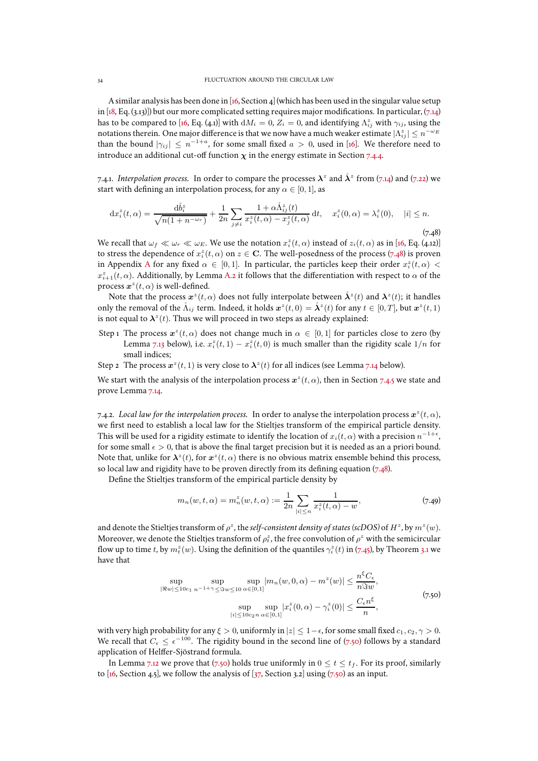A similar analysis has been done in [\[16,](#page-47-10) Section 4] (which has been used in the singular value setup in [\[18](#page-47-11), Eq. (3.13)]) but our more complicated setting requires major modifications. In particular, [\(7.14\)](#page-25-0) has to be compared to [\[16](#page-47-10), Eq. (4.1)] with  $dM_i = 0$ ,  $Z_i = 0$ , and identifying  $\Lambda_{ij}^z$  with  $\gamma_{ij}$ , using the notations therein. One major difference is that we now have a much weaker estimate  $|\Lambda^z_{ij}|\le n^{-\omega_E}$ than the bound  $|\gamma_{ij}| \leq n^{-1+a}$ , for some small fixed  $a > 0$ , used in [\[16\]](#page-47-10). We therefore need to introduce an additional cut-off function  $\chi$  in the energy estimate in Section [7.4.4.](#page-36-2)

<span id="page-33-1"></span>7.4.1. *Interpolation process.* In order to compare the processes  $\lambda^z$  and  $\mathring{\lambda}^z$  from [\(7.14\)](#page-25-0) and [\(7.22\)](#page-27-0) we start with defining an interpolation process, for any  $\alpha \in [0, 1]$ , as

<span id="page-33-0"></span>
$$
dx_i^z(t,\alpha) = \frac{d\mathring{b}_i^z}{\sqrt{n(1+n^{-\omega_r})}} + \frac{1}{2n} \sum_{j \neq i} \frac{1 + \alpha \mathring{\Lambda}_{ij}^z(t)}{x_i^z(t,\alpha) - x_j^z(t,\alpha)} dt, \quad x_i^z(0,\alpha) = \lambda_i^z(0), \quad |i| \leq n. \tag{7.48}
$$

We recall that  $\omega_f \ll \omega_r \ll \omega_E$ . We use the notation  $x_i^z(t, \alpha)$  instead of  $z_i(t, \alpha)$  as in [\[16](#page-47-10), Eq. (4.12)] to stress the dependence of  $x_i^z(t, \alpha)$  on  $z \in \mathbf{C}$ . The well-posedness of the process [\(7.48\)](#page-33-0) is proven in [A](#page-43-0)ppendix A for any fixed  $\alpha \in [0,1]$ . In particular, the particles keep their order  $x_i^z(t,\alpha)$  <  $x_{i+1}^z(t, \alpha)$ . Additionally, by Lemma [A.2](#page-45-1) it follows that the differentiation with respect to  $\alpha$  of the process  $\boldsymbol{x}^z(t,\alpha)$  is well-defined.

Note that the process  $\bm{x}^z(t,\alpha)$  does not fully interpolate between  $\mathring{\bm{\lambda}}^z(t)$  and  $\bm{\lambda}^z(t)$ ; it handles only the removal of the  $\mathring{\Lambda}_{ij}$  term. Indeed, it holds  $\mathbf{x}^z(t,0) = \mathring{\lambda}^z(t)$  for any  $t \in [0,T]$ , but  $\mathbf{x}^z(t,1)$ is not equal to  $\mathbf{\lambda}^z(t)$ . Thus we will proceed in two steps as already explained:

- <span id="page-33-4"></span>Step 1 The process  $x^z(t, \alpha)$  does not change much in  $\alpha \in [0, 1]$  for particles close to zero (by Lemma [7.13](#page-36-0) below), i.e.  $x_i^z(t,1) - x_i^z(t,0)$  is much smaller than the rigidity scale  $1/n$  for small indices;
- <span id="page-33-5"></span>Step 2 The process  $\boldsymbol{x}^z(t,1)$  is very close to  $\boldsymbol{\lambda}^z(t)$  for all indices (see Lemma [7.14](#page-38-0) below).

We start with the analysis of the interpolation process  $\boldsymbol{x}^z(t,\alpha)$ , then in Section [7.4.5](#page-38-1) we state and prove Lemma [7.14.](#page-38-0)

7.4.2. Local law for the interpolation process. In order to analyse the interpolation process  $\bm{x}^z(t,\alpha)$ , we first need to establish a local law for the Stieltjes transform of the empirical particle density. This will be used for a rigidity estimate to identify the location of  $x_i(t,\alpha)$  with a precision  $n^{-1+\epsilon}$ , for some small  $\epsilon > 0$ , that is above the final target precision but it is needed as an a priori bound. Note that, unlike for  $\lambda^z(t)$ , for  $x^z(t, \alpha)$  there is no obvious matrix ensemble behind this process, so local law and rigidity have to be proven directly from its defining equation  $(7.48)$ .

Define the Stieltjes transform of the empirical particle density by

<span id="page-33-3"></span>
$$
m_n(w, t, \alpha) = m_n^z(w, t, \alpha) := \frac{1}{2n} \sum_{|i| \le n} \frac{1}{x_i^z(t, \alpha) - w},
$$
\n(7.49)

and denote the Stieltjes transform of  $\rho^z$ , the *self-consistent density of states (scDOS)* of  $H^z$ , by  $m^z(w)$ . Moreover, we denote the Stieltjes transform of  $\rho^z_t$ , the free convolution of  $\rho^z$  with the semicircular flow up to time t, by  $m_t^z(w)$ . Using the definition of the quantiles  $\gamma_i^z(t)$  in [\(7.45\)](#page-32-3), by Theorem [3.1](#page-8-1) we have that

$$
\sup_{\|\Re w\| \le 10c_1} \sup_{n^{-1+\gamma} \le \Im w \le 10} \sup_{\alpha \in [0,1]} |m_n(w, 0, \alpha) - m^z(w)| \le \frac{n^{\xi} C_{\epsilon}}{n \Im w},
$$
\n
$$
\sup_{\|i\| \le 10c_2 n} \sup_{\alpha \in [0,1]} |x_i^z(0, \alpha) - \gamma_i^z(0)| \le \frac{C_{\epsilon} n^{\xi}}{n},
$$
\n(7.50)

<span id="page-33-2"></span>with very high probability for any  $\xi > 0$ , uniformly in  $|z| \leq 1 - \epsilon$ , for some small fixed  $c_1, c_2, \gamma > 0$ . We recall that  $C_{\epsilon} \leq \epsilon^{-100}$ . The rigidity bound in the second line of [\(7.50\)](#page-33-2) follows by a standard application of Helffer-Sjöstrand formula.

In Lemma [7.12](#page-34-0) we prove that [\(7.50\)](#page-33-2) holds true uniformly in  $0 \le t \le t_f$ . For its proof, similarly to [\[16](#page-47-10), Section 4.5], we follow the analysis of  $[37,$  Section 3.2] using [\(7.50\)](#page-33-2) as an input.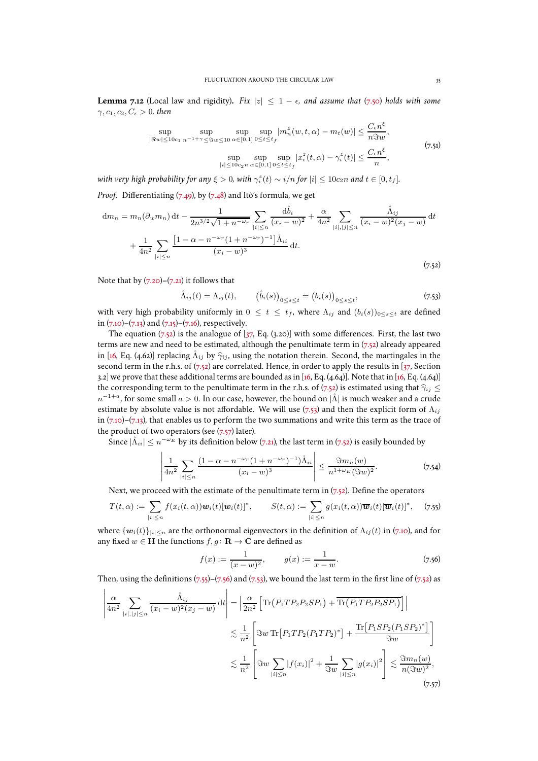<span id="page-34-0"></span>**Lemma 7.12** (Local law and rigidity). Fix  $|z| \leq 1 - \epsilon$ , and assume that [\(7.50\)](#page-33-2) holds with some  $\gamma, c_1, c_2, C_{\epsilon} > 0$ , then

$$
\sup_{\|\Re w\| \le 10c_1} \sup_{n^{-1+\gamma} \le \Im w \le 10} \sup_{\alpha \in [0,1]} \sup_{0 \le t \le t_f} |m_n^{z}(w,t,\alpha) - m_t(w)| \le \frac{C_{\epsilon}n^{\xi}}{n \Im w},
$$
  
\n
$$
\sup_{|i| \le 10c_2n} \sup_{\alpha \in [0,1]} \sup_{0 \le t \le t_f} |x_i^{z}(t,\alpha) - \gamma_i^{z}(t)| \le \frac{C_{\epsilon}n^{\xi}}{n},
$$
\n(7.51)

<span id="page-34-7"></span>with very high probability for any  $\xi > 0$ , with  $\gamma_i^z(t) \sim i/n$  for  $|i| \leq 10c_2n$  and  $t \in [0, t_f]$ *.* 

*Proof.* Differentiating  $(7.49)$ , by  $(7.48)$  and Itô's formula, we get

<span id="page-34-1"></span>
$$
dm_n = m_n(\partial_w m_n) dt - \frac{1}{2n^{3/2}\sqrt{1+n^{-\omega_r}}} \sum_{|i| \le n} \frac{d\mathring{b}_i}{(x_i - w)^2} + \frac{\alpha}{4n^2} \sum_{|i|,|j| \le n} \frac{\mathring{A}_{ij}}{(x_i - w)^2 (x_j - w)} dt
$$

$$
+ \frac{1}{4n^2} \sum_{|i| \le n} \frac{\left[1 - \alpha - n^{-\omega_r} (1 + n^{-\omega_r})^{-1}\right] \mathring{A}_{ii}}{(x_i - w)^3} dt.
$$
(7.52)

Note that by  $(7.20)$ – $(7.21)$  it follows that

<span id="page-34-2"></span>
$$
\mathring{\Lambda}_{ij}(t) = \Lambda_{ij}(t), \qquad (\mathring{b}_i(s))_{0 \le s \le t} = (b_i(s))_{0 \le s \le t}, \qquad (7.53)
$$

with very high probability uniformly in  $0 \le t \le t_f$ , where  $\Lambda_{ij}$  and  $(b_i(s))_{0 \le s \le t}$  are defined in  $(7.10)$ – $(7.13)$  and  $(7.15)$ – $(7.16)$ , respectively.

The equation  $(7.52)$  is the analogue of  $[37, Eq. (3.20)]$  with some differences. First, the last two terms are new and need to be estimated, although the penultimate term in  $(7.52)$  already appeared in [\[16](#page-47-10), Eq. (4.62)] replacing  $\tilde{\Lambda}_{ij}$  by  $\tilde{\gamma}_{ij}$ , using the notation therein. Second, the martingales in the second term in the r.h.s. of  $(7.52)$  are correlated. Hence, in order to apply the results in  $[37,$  Section 3.2] we prove that these additional terms are bounded as in [\[16](#page-47-10), Eq. (4.64)]. Note that in [\[16,](#page-47-10) Eq. (4.64)] the corresponding term to the penultimate term in the r.h.s. of [\(7.52\)](#page-34-1) is estimated using that  $\hat{\gamma}_{ij} \leq$  $n^{-1+a}$ , for some small  $a > 0$ . In our case, however, the bound on  $|\mathring{\Lambda}|$  is much weaker and a crude estimate by absolute value is not affordable. We will use [\(7.53\)](#page-34-2) and then the explicit form of  $\Lambda_{ij}$ in  $(7.10)$ – $(7.13)$ , that enables us to perform the two summations and write this term as the trace of the product of two operators (see  $(7.57)$  later).

Since  $|\mathring{\Lambda}_{ii}|\leq n^{-\omega_E}$  by its definition below [\(7.21\)](#page-27-2), the last term in [\(7.52\)](#page-34-1) is easily bounded by

<span id="page-34-6"></span>
$$
\left| \frac{1}{4n^2} \sum_{|i| \le n} \frac{(1 - \alpha - n^{-\omega_r} (1 + n^{-\omega_r})^{-1}) \mathring{\Lambda}_{ii}}{(x_i - w)^3} \right| \le \frac{\Im m_n(w)}{n^{1 + \omega_E} (\Im w)^2}.
$$
 (7.54)

Next, we proceed with the estimate of the penultimate term in  $(7.52)$ . Define the operators

<span id="page-34-4"></span>
$$
T(t,\alpha) := \sum_{|i| \leq n} f(x_i(t,\alpha)) \mathbf{w}_i(t) [\mathbf{w}_i(t)]^*, \qquad S(t,\alpha) := \sum_{|i| \leq n} g(x_i(t,\alpha)) \overline{\mathbf{w}}_i(t) [\overline{\mathbf{w}}_i(t)]^*, \quad (7.55)
$$

where  $\{w_i(t)\}_{|i| \leq n}$  are the orthonormal eigenvectors in the definition of  $\Lambda_{ij}(t)$  in [\(7.10\)](#page-25-11), and for any fixed  $w \in H$  the functions  $f, g \colon \mathbf{R} \to \mathbf{C}$  are defined as

<span id="page-34-5"></span>
$$
f(x) := \frac{1}{(x - w)^2}, \qquad g(x) := \frac{1}{x - w}.
$$
\n(7.56)

Then, using the definitions [\(7.55\)](#page-34-4)–[\(7.56\)](#page-34-5) and [\(7.53\)](#page-34-2), we bound the last term in the first line of [\(7.52\)](#page-34-1) as

<span id="page-34-3"></span>
$$
\left| \frac{\alpha}{4n^2} \sum_{|i|,|j| \le n} \frac{\mathring{\Lambda}_{ij}}{(x_i - w)^2 (x_j - w)} \, \mathrm{d}t \right| = \left| \frac{\alpha}{2n^2} \left[ \text{Tr} \left( P_1 T P_2 P_2 S P_1 \right) + \overline{\text{Tr} \left( P_1 T P_2 P_2 S P_1 \right)} \right] \right|
$$
  

$$
\lesssim \frac{1}{n^2} \left[ \Im w \, \text{Tr} \left[ P_1 T P_2 (P_1 T P_2)^* \right] + \frac{\text{Tr} \left[ P_1 S P_2 (P_1 S P_2)^* \right]}{\Im w} \right]
$$
  

$$
\lesssim \frac{1}{n^2} \left[ \Im w \sum_{|i| \le n} |f(x_i)|^2 + \frac{1}{\Im w} \sum_{|i| \le n} |g(x_i)|^2 \right] \lesssim \frac{\Im m_n(w)}{n(\Im w)^2}, \tag{7.57}
$$

ξ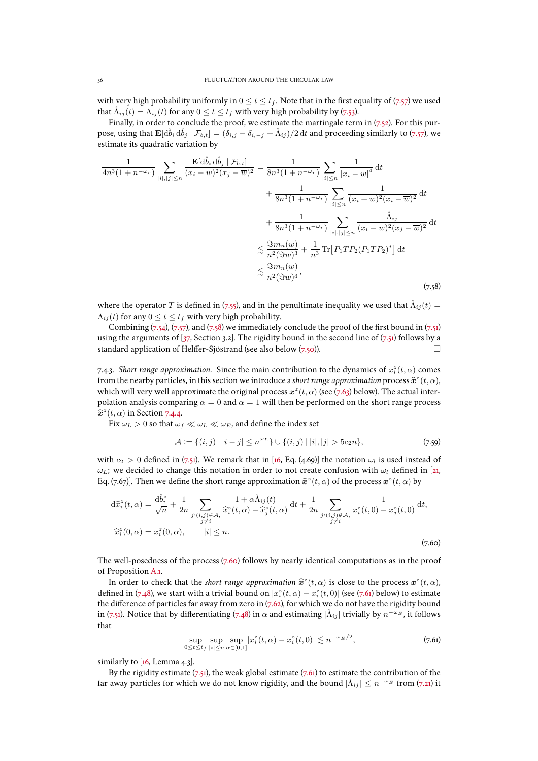with very high probability uniformly in  $0 \le t \le t_f$ . Note that in the first equality of [\(7.57\)](#page-34-3) we used that  $\Lambda_{ij}(t) = \Lambda_{ij}(t)$  for any  $0 \le t \le t_f$  with very high probability by [\(7.53\)](#page-34-2).

Finally, in order to conclude the proof, we estimate the martingale term in  $(7.52)$ . For this purpose, using that  $\mathbf{E}[\text{d}\mathring{b}_i \text{d}\mathring{b}_j | \mathcal{F}_{b,t}] = (\delta_{i,j} - \delta_{i,-j} + \mathring{\Lambda}_{ij})/2 \text{d}t$  and proceeding similarly to [\(7.57\)](#page-34-3), we estimate its quadratic variation by

<span id="page-35-1"></span>
$$
\frac{1}{4n^3(1+n^{-\omega_r})} \sum_{|i|,|j| \le n} \frac{\mathbf{E}[d\mathring{b}_i d\mathring{b}_j | \mathcal{F}_{b,t}]}{(x_i - w)^2 (x_j - \overline{w})^2} = \frac{1}{8n^3(1+n^{-\omega_r})} \sum_{|i| \le n} \frac{1}{|x_i - w|^4} dt \n+ \frac{1}{8n^3(1+n^{-\omega_r})} \sum_{|i| \le n} \frac{1}{(x_i + w)^2 (x_i - \overline{w})^2} dt \n+ \frac{1}{8n^3(1+n^{-\omega_r})} \sum_{|i|,|j| \le n} \frac{\mathring{\Lambda}_{ij}}{(x_i - w)^2 (x_j - \overline{w})^2} dt \n\lesssim \frac{3m_n(w)}{n^2(3w)^3} + \frac{1}{n^3} \text{Tr} [P_1 T P_2 (P_1 T P_2)^*] dt \n\lesssim \frac{3m_n(w)}{n^2(3w)^3},
$$
\n(7.58)

where the operator T is defined in [\(7.55\)](#page-34-4), and in the penultimate inequality we used that  $\tilde{\Lambda}_{ij}(t)$  =  $\Lambda_{ij}(t)$  for any  $0 \le t \le t_f$  with very high probability.

Combining  $(7.54)$ ,  $(7.57)$ , and  $(7.58)$  we immediately conclude the proof of the first bound in  $(7.51)$ using the arguments of  $[37,$  Section 3.2]. The rigidity bound in the second line of  $(7.51)$  follows by a standard application of Helffer-Sjöstrand (see also below [\(7.50\)](#page-33-2)).

7.4.3. *Short range approximation.* Since the main contribution to the dynamics of  $x_i^z(t, \alpha)$  comes from the nearby particles, in this section we introduce a *short range approximation* process  $\hat{\mathbf{x}}^z(t, \alpha)$ , which will very well approximate the original process  $x^z(t, \alpha)$  (see [\(7.63\)](#page-36-3) below). The actual interpolation analysis comparing  $\alpha = 0$  and  $\alpha = 1$  will then be performed on the short range process  $\hat{\mathbf{x}}^z(t, \alpha)$  in Section [7.4.4.](#page-36-2)

Fix  $\omega_L>0$  so that  $\omega_f\ll\omega_L\ll\omega_E$  , and define the index set

$$
\mathcal{A} := \{(i, j) \mid |i - j| \le n^{\omega_L}\} \cup \{(i, j) \mid |i|, |j| > 5c_2n\},\tag{7.59}
$$

with  $c_2 > 0$  defined in [\(7.51\)](#page-34-7). We remark that in [\[16](#page-47-10), Eq. (4.69)] the notation  $\omega_l$  is used instead of  $\omega_L$ ; we decided to change this notation in order to not create confusion with  $\omega_l$  defined in [\[21](#page-47-0), Eq. [\(7.67\)](#page-36-4)]. Then we define the short range approximation  $\hat{\bm{x}}^z(t,\alpha)$  of the process  $\bm{x}^z(t,\alpha)$  by

<span id="page-35-0"></span>
$$
d\hat{x}_{i}^{z}(t,\alpha) = \frac{d\mathring{b}_{i}^{z}}{\sqrt{n}} + \frac{1}{2n} \sum_{\substack{j:(i,j)\in\mathcal{A},\\j\neq i}} \frac{1+\alpha \mathring{\Lambda}_{ij}(t)}{\hat{x}_{i}^{z}(t,\alpha) - \hat{x}_{j}^{z}(t,\alpha)} dt + \frac{1}{2n} \sum_{\substack{j:(i,j)\notin\mathcal{A},\\j\neq i}} \frac{1}{x_{i}^{z}(t,0) - x_{j}^{z}(t,0)} dt,
$$
  

$$
\hat{x}_{i}^{z}(0,\alpha) = x_{i}^{z}(0,\alpha), \qquad |i| \leq n.
$$
 (7.60)

The well-posedness of the process [\(7.60\)](#page-35-0) follows by nearly identical computations as in the proof of Proposition [A.1.](#page-43-1)

In order to check that the *short range approximation*  $\hat{\mathbf{x}}^z(t, \alpha)$  is close to the process  $\mathbf{x}^z(t, \alpha)$ , defined in [\(7.48\)](#page-33-0), we start with a trivial bound on  $|x_i^z(t,\alpha)-x_i^z(t,0)|$  (see [\(7.61\)](#page-35-2) below) to estimate the difference of particles far away from zero in  $(7.62)$ , for which we do not have the rigidity bound in [\(7.51\)](#page-34-7). Notice that by differentiating [\(7.48\)](#page-33-0) in  $\alpha$  and estimating  $|\mathring{\Lambda}_{ij}|$  trivially by  $n^{-\omega_E}$ , it follows that

<span id="page-35-2"></span>
$$
\sup_{0 \le t \le t_f} \sup_{|i| \le n} \sup_{\alpha \in [0,1]} |x_i^z(t,\alpha) - x_i^z(t,0)| \lesssim n^{-\omega_E/2},\tag{7.61}
$$

similarly to  $[16, \text{Lemma } 4.3]$ .

By the rigidity estimate  $(7.51)$ , the weak global estimate  $(7.61)$  to estimate the contribution of the far away particles for which we do not know rigidity, and the bound  $|\mathring{\Lambda}_{ij}| \leq n^{-\omega_E}$  from [\(7.21\)](#page-27-2) it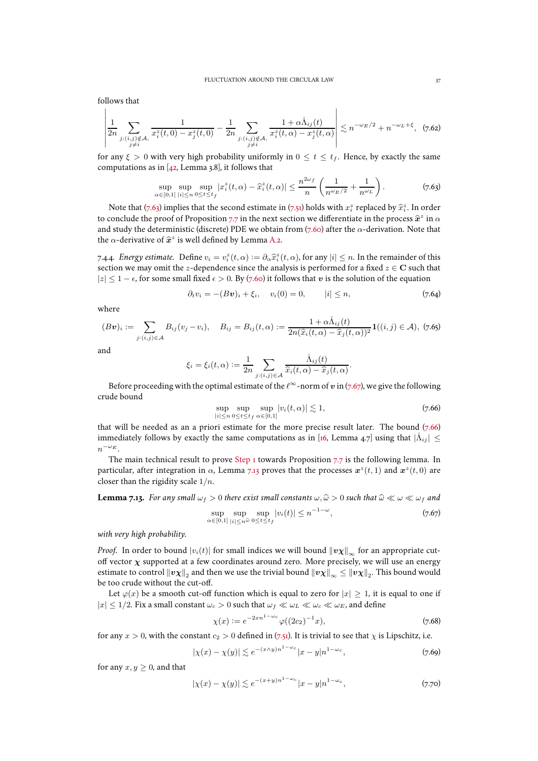follows that

<span id="page-36-5"></span>
$$
\left| \frac{1}{2n} \sum_{\substack{j:(i,j)\notin\mathcal{A},\\j\neq i}} \frac{1}{x_i^z(t,0) - x_j^z(t,0)} - \frac{1}{2n} \sum_{\substack{j:(i,j)\notin\mathcal{A},\\j\neq i}} \frac{1 + \alpha \mathring{\Lambda}_{ij}(t)}{x_i^z(t,\alpha) - x_j^z(t,\alpha)} \right| \lesssim n^{-\omega_E/2} + n^{-\omega_L + \xi}, \quad (7.62)
$$

for any  $\xi > 0$  with very high probability uniformly in  $0 \le t \le t_f$ . Hence, by exactly the same computations as in  $[42, \text{Lemma } 3.8]$ , it follows that

<span id="page-36-3"></span>
$$
\sup_{\alpha \in [0,1]} \sup_{|i| \le n} \sup_{0 \le t \le t_f} |x_i^z(t, \alpha) - \hat{x}_i^z(t, \alpha)| \le \frac{n^{2\omega_f}}{n} \left( \frac{1}{n^{\omega_E/2}} + \frac{1}{n^{\omega_L}} \right). \tag{7.63}
$$

Note that [\(7.63\)](#page-36-3) implies that the second estimate in [\(7.51\)](#page-34-7) holds with  $x_i^z$  replaced by  $\hat{x}_i^z$ . In order to conclude the proof of Proposition [7.7](#page-27-1) in the next section we differentiate in the process  $\hat{x}^z$  in  $\alpha$ and study the deterministic (discrete) PDE we obtain from [\(7.60\)](#page-35-0) after the  $\alpha$ -derivation. Note that the  $\alpha$ -derivative of  $\hat{\mathbf{x}}^z$  is well defined by Lemma [A.2.](#page-45-1)

<span id="page-36-2"></span>7.4.4. *Energy estimate.* Define  $v_i = v_i^z(t, \alpha) := \partial_\alpha \hat{x}_i^z(t, \alpha)$ , for any  $|i| \leq n$ . In the remainder of this section we may omit the z-dependence since the analysis is performed for a fixed  $z \in \mathbb{C}$  such that  $|z| \leq 1 - \epsilon$ , for some small fixed  $\epsilon > 0$ . By [\(7.60\)](#page-35-0) it follows that v is the solution of the equation

<span id="page-36-7"></span>
$$
\partial_t v_i = -(Bv)_i + \xi_i, \quad v_i(0) = 0, \quad |i| \le n,
$$
\n(7.64)

where

<span id="page-36-8"></span>
$$
(Bv)_i := \sum_{j:(i,j)\in A} B_{ij}(v_j - v_i), \quad B_{ij} = B_{ij}(t,\alpha) := \frac{1 + \alpha \hat{\Lambda}_{ij}(t)}{2n(\hat{x}_i(t,\alpha) - \hat{x}_j(t,\alpha))^2} \mathbf{1}((i,j) \in \mathcal{A}), \ (7.65)
$$

and

$$
\xi_i=\xi_i(t,\alpha):=\frac{1}{2n}\sum_{j:(i,j)\in\mathcal{A}}\frac{\mathring{\Lambda}_{ij}(t)}{\widehat{x}_i(t,\alpha)-\widehat{x}_j(t,\alpha)}.
$$

Before proceeding with the optimal estimate of the  $\ell^{\infty}$ -norm of  $v$  in [\(7.67\)](#page-36-4), we give the following crude bound

<span id="page-36-6"></span>
$$
\sup_{|i| \le n} \sup_{0 \le t \le t_f} \sup_{\alpha \in [0,1]} |v_i(t,\alpha)| \lesssim 1,
$$
\n
$$
(7.66)
$$

that will be needed as an a priori estimate for the more precise result later. The bound [\(7.66\)](#page-36-6) immediately follows by exactly the same computations as in [\[16](#page-47-10), Lemma 4.7] using that  $|\mathring{\Lambda}_{ij}| \leq$  $n^{-\omega_E}$ .

The main technical result to prove [Step 1](#page-33-4) towards Proposition [7.7](#page-27-1) is the following lemma. In particular, after integration in  $\alpha$ , Lemma [7.13](#page-36-0) proves that the processes  $\boldsymbol{x}^z(t,1)$  and  $\boldsymbol{x}^z(t,0)$  are closer than the rigidity scale  $1/n$ .

<span id="page-36-0"></span>**Lemma 7.13.** *For any small*  $\omega_f > 0$  *there exist small constants*  $\omega$ ,  $\widehat{\omega} > 0$  *such that*  $\widehat{\omega} \ll \omega \ll \omega_f$  *and*  $-1-\omega$ 

<span id="page-36-4"></span>
$$
\sup_{\alpha \in [0,1]} \sup_{|i| \le n^{\widehat{\omega}}} \sup_{0 \le t \le t_f} |v_i(t)| \le n^{-1-\omega},\tag{7.67}
$$

*with very high probability.*

*Proof.* In order to bound  $|v_i(t)|$  for small indices we will bound  $||vx||_{\infty}$  for an appropriate cutoff vector  $\chi$  supported at a few coordinates around zero. More precisely, we will use an energy estimate to control  $\|v\chi\|_2$  and then we use the trivial bound  $\|v\chi\|_\infty\le\|v\chi\|_2.$  This bound would be too crude without the cut-off.

Let  $\varphi(x)$  be a smooth cut-off function which is equal to zero for  $|x| > 1$ , it is equal to one if  $|x| \leq 1/2$ . Fix a small constant  $\omega_c > 0$  such that  $\omega_f \ll \omega_L \ll \omega_c \ll \omega_E$ , and define

<span id="page-36-1"></span>
$$
\chi(x) := e^{-2x n^{1-\omega_c}} \varphi((2c_2)^{-1}x),\tag{7.68}
$$

for any  $x > 0$ , with the constant  $c_2 > 0$  defined in [\(7.51\)](#page-34-7). It is trivial to see that  $\chi$  is Lipschitz, i.e.

<span id="page-36-10"></span>
$$
|\chi(x) - \chi(y)| \lesssim e^{-(x \wedge y)n^{1-\omega_c}} |x - y| n^{1-\omega_c},
$$
 (7.69)

for any  $x, y \geq 0$ , and that

<span id="page-36-9"></span>
$$
|\chi(x) - \chi(y)| \lesssim e^{-(x+y)n^{1-\omega_c}} |x-y| n^{1-\omega_c},
$$
 (7.70)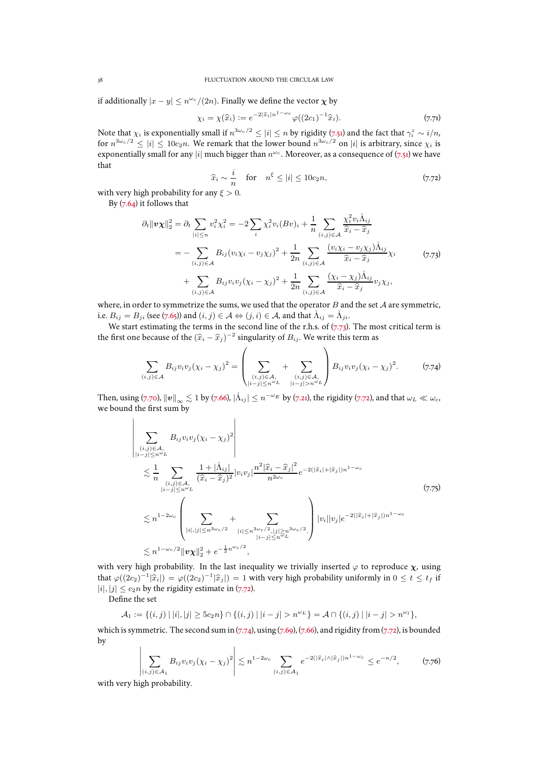if additionally  $|x-y| \leq n^{\omega_c}/(2n)$ . Finally we define the vector  $\boldsymbol{\chi}$  by

$$
\chi_i = \chi(\widehat{x}_i) := e^{-2|\widehat{x}_i|n^{1-\omega_c}} \varphi((2c_1)^{-1}\widehat{x}_i).
$$
\n(7.7)

Note that  $\chi_i$  is exponentially small if  $n^{3\omega_c/2} \leq |i| \leq n$  by rigidity [\(7.51\)](#page-34-7) and the fact that  $\gamma_i^z \sim i/n$ , for  $n^{3\omega_c/2} \le |i| \le 10c_2n$ . We remark that the lower bound  $n^{3\omega_c/2}$  on  $|i|$  is arbitrary, since  $\chi_i$  is exponentially small for any  $|i|$  much bigger than  $n^{\omega_c}$ . Moreover, as a consequence of  $(7.51)$  we have that

<span id="page-37-1"></span>
$$
\widehat{x}_i \sim \frac{i}{n} \quad \text{for} \quad n^{\xi} \le |i| \le 10c_2 n,\tag{7.72}
$$

with very high probability for any  $\xi > 0$ .

By  $(7.64)$  it follows that

$$
\partial_t \|\mathbf{v}\chi\|_2^2 = \partial_t \sum_{|i| \le n} v_i^2 \chi_i^2 = -2 \sum_i \chi_i^2 v_i (Bv)_i + \frac{1}{n} \sum_{(i,j) \in \mathcal{A}} \frac{\chi_i^2 v_i \mathring{\Lambda}_{ij}}{\hat{x}_i - \hat{x}_j}
$$
  
\n
$$
= - \sum_{(i,j) \in \mathcal{A}} B_{ij} (v_i \chi_i - v_j \chi_j)^2 + \frac{1}{2n} \sum_{(i,j) \in \mathcal{A}} \frac{(v_i \chi_i - v_j \chi_j) \mathring{\Lambda}_{ij}}{\hat{x}_i - \hat{x}_j} \chi_i
$$
  
\n
$$
+ \sum_{(i,j) \in \mathcal{A}} B_{ij} v_i v_j (\chi_i - \chi_j)^2 + \frac{1}{2n} \sum_{(i,j) \in \mathcal{A}} \frac{(\chi_i - \chi_j) \mathring{\Lambda}_{ij}}{\hat{x}_i - \hat{x}_j} v_j \chi_j,
$$
\n(7.73)

<span id="page-37-0"></span>where, in order to symmetrize the sums, we used that the operator  $B$  and the set  $A$  are symmetric, i.e.  $B_{ij} = B_{ji}$  (see [\(7.65\)](#page-36-8)) and  $(i, j) \in A \Leftrightarrow (j, i) \in A$ , and that  $\mathring{\Lambda}_{ij} = \mathring{\Lambda}_{ji}$ .

We start estimating the terms in the second line of the r.h.s. of  $(7.73)$ . The most critical term is the first one because of the  $(\widehat{x}_i - \widehat{x}_j )^{-2}$  singularity of  $B_{ij}$ . We write this term as

<span id="page-37-2"></span>
$$
\sum_{(i,j)\in\mathcal{A}} B_{ij} v_i v_j (\chi_i - \chi_j)^2 = \left( \sum_{\substack{(i,j)\in\mathcal{A},\\|i-j|\le n^{\omega_L}}} + \sum_{\substack{(i,j)\in\mathcal{A},\\|i-j|>n^{\omega_L}}} \right) B_{ij} v_i v_j (\chi_i - \chi_j)^2.
$$
 (7.74)

Then, using [\(7.70\)](#page-36-9),  $\left\|\bm{v}\right\|_{\infty}\lesssim1$  by [\(7.66\)](#page-36-6),  $|\mathring{\Lambda}_{ij}|\leq n^{-\omega_E}$  by [\(7.21\)](#page-27-2), the rigidity [\(7.72\)](#page-37-1), and that  $\omega_L\ll\omega_c$ , we bound the first sum by

<span id="page-37-3"></span>
$$
\left| \sum_{\substack{(i,j)\in\mathcal{A},\\|i-j|\leq n^{\omega}L}} B_{ij} v_i v_j (\chi_i - \chi_j)^2 \right|
$$
\n
$$
\lesssim \frac{1}{n} \sum_{\substack{(i,j)\in\mathcal{A},\\|i-j|\leq n^{\omega}L}} \frac{1 + |\mathring{\Lambda}_{ij}|}{(\hat{x}_i - \hat{x}_j)^2} |v_i v_j| \frac{n^2 |\hat{x}_i - \hat{x}_j|^2}{n^{2\omega_c}} e^{-2(|\hat{x}_i| + |\hat{x}_j|)n^{1-\omega_c}} \right.
$$
\n
$$
\lesssim n^{1-2\omega_c} \left( \sum_{\substack{|i|,|j|\leq n^{3\omega_c/2}\\|i-j|\leq n^{3\omega_c/2},|j|\geq n^{3\omega_c/2},|j|\geq n^{3\omega_c/2},|j|\geq n^{3\omega_c/2},|j|\geq n^{3\omega_c/2},|j|\geq n^{3\omega_c/2},|j|\geq n^{3\omega_c/2},|j|\geq n^{3\omega_c/2},|j|\geq n^{3\omega_c/2},|j|\geq n^{3\omega_c/2},|j|\geq n^{3\omega_c/2},|j|\geq n^{3\omega_c/2},|j|\geq n^{3\omega_c/2},|j|\geq n^{3\omega_c/2},|j|\geq n^{3\omega_c/2},|j|\geq n^{3\omega_c/2},|j|\geq n^{3\omega_c/2} \right)
$$
\n
$$
\lesssim n^{1-\omega_c/2} \|v\chi\|_2^2 + e^{-\frac{1}{2}n^{\omega_c/2}},
$$
\n(7.75)

with very high probability. In the last inequality we trivially inserted  $\varphi$  to reproduce  $\chi$ , using that  $\varphi((2c_2)^{-1}|\hat{x}_i|) = \varphi((2c_2)^{-1}|\hat{x}_j|) = 1$  with very high probability uniformly in  $0 \le t \le t_f$  if  $|i|, |j| \leq c_2 n$  by the rigidity estimate in [\(7.72\)](#page-37-1).

Define the set

$$
\mathcal{A}_1 := \{(i,j) \mid |i|, |j| \ge 5c_2n\} \cap \{(i,j) \mid |i-j| > n^{\omega_L}\} = \mathcal{A} \cap \{(i,j) \mid |i-j| > n^{\omega_l}\},\
$$

which is symmetric. The second sum in  $(7.74)$ , using  $(7.69)$ ,  $(7.66)$ , and rigidity from  $(7.72)$ , is bounded by  $\begin{array}{c} \hline \end{array}$ 

$$
\sum_{(i,j)\in\mathcal{A}_1} B_{ij} v_i v_j (\chi_i - \chi_j)^2 \Bigg| \lesssim n^{1-2\omega_c} \sum_{(i,j)\in\mathcal{A}_1} e^{-2(|\hat{x}_i| \wedge |\hat{x}_j|) n^{1-\omega_c}} \leq e^{-n/2}, \tag{7.76}
$$

I I with very high probability.

<span id="page-37-4"></span>I I I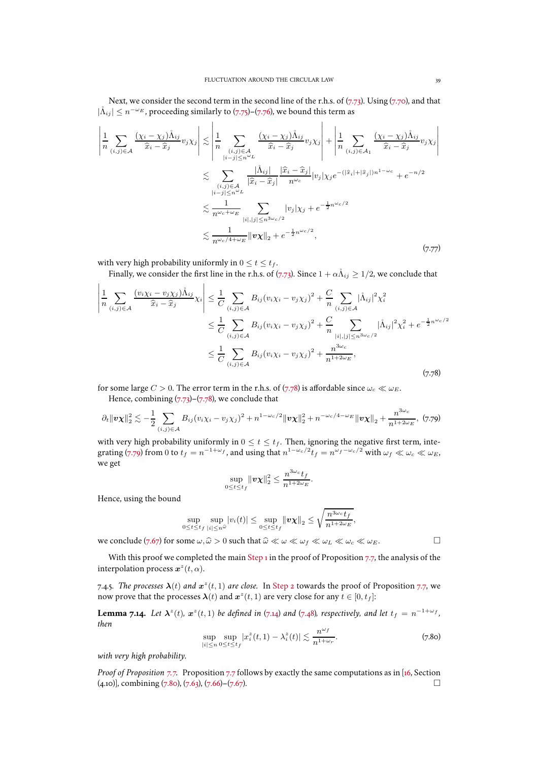Next, we consider the second term in the second line of the r.h.s. of  $(7.73)$ . Using  $(7.70)$ , and that  $|\mathring{\Lambda}_{ij}| \leq n^{-\omega_E}$ , proceeding similarly to [\(7.75\)](#page-37-3)–[\(7.76\)](#page-37-4), we bound this term as

 $\overline{1}$ 

$$
\left| \frac{1}{n} \sum_{(i,j)\in\mathcal{A}} \frac{(\chi_i - \chi_j) \mathring{\Lambda}_{ij}}{\hat{x}_i - \hat{x}_j} v_j \chi_j \right| \lesssim \left| \frac{1}{n} \sum_{\substack{(i,j)\in\mathcal{A} \\ |i-j| \le n^{\omega_L}}} \frac{(\chi_i - \chi_j) \mathring{\Lambda}_{ij}}{\hat{x}_i - \hat{x}_j} v_j \chi_j \right| + \left| \frac{1}{n} \sum_{(i,j)\in\mathcal{A}_1} \frac{(\chi_i - \chi_j) \mathring{\Lambda}_{ij}}{\hat{x}_i - \hat{x}_j} v_j \chi_j \right|
$$
  

$$
\lesssim \sum_{\substack{(i,j)\in\mathcal{A} \\ |i-j| \le n^{\omega_L}}} \frac{|\mathring{\Lambda}_{ij}|}{|\hat{x}_i - \hat{x}_j|} \frac{|\hat{x}_i - \hat{x}_j|}{n^{\omega_c}} |v_j| \chi_j e^{-(|\hat{x}_i| + |\hat{x}_j|) n^{1 - \omega_c}} + e^{-n/2}
$$
  

$$
\lesssim \frac{1}{n^{\omega_c + \omega_E}} \sum_{|i|, |j| \le n^{3\omega_c/2}} |v_j| \chi_j + e^{-\frac{1}{2}n^{\omega_c/2}}
$$
  

$$
\lesssim \frac{1}{n^{\omega_c/4 + \omega_E}} \|v\chi\|_2 + e^{-\frac{1}{2}n^{\omega_c/2}}, \tag{7.77}
$$

with very high probability uniformly in  $0 \le t \le t_f$ .

 $\mathbf{I}$ 

 $\mathbf{I}$ 

Finally, we consider the first line in the r.h.s. of [\(7.73\)](#page-37-0). Since  $1 + \alpha \mathring{\Lambda}_{ij} \geq 1/2$ , we conclude that

<span id="page-38-2"></span>
$$
\left| \frac{1}{n} \sum_{(i,j)\in A} \frac{(v_i \chi_i - v_j \chi_j) \mathring{\Lambda}_{ij}}{\hat{x}_i - \hat{x}_j} \chi_i \right| \leq \frac{1}{C} \sum_{(i,j)\in A} B_{ij} (v_i \chi_i - v_j \chi_j)^2 + \frac{C}{n} \sum_{(i,j)\in A} |\mathring{\Lambda}_{ij}|^2 \chi_i^2
$$
\n
$$
\leq \frac{1}{C} \sum_{(i,j)\in A} B_{ij} (v_i \chi_i - v_j \chi_j)^2 + \frac{C}{n} \sum_{|i|, |j| \leq n^{3\omega_c}/2} |\mathring{\Lambda}_{ij}|^2 \chi_i^2 + e^{-\frac{1}{2}n^{\omega_c}/2}
$$
\n
$$
\leq \frac{1}{C} \sum_{(i,j)\in A} B_{ij} (v_i \chi_i - v_j \chi_j)^2 + \frac{n^{3\omega_c}}{n^{1+2\omega_E}}, \tag{7.78}
$$

for some large  $C > 0$ . The error term in the r.h.s. of [\(7.78\)](#page-38-2) is affordable since  $\omega_c \ll \omega_E$ .

Hence, combining  $(7.73)-(7.78)$  $(7.73)-(7.78)$ , we conclude that

<span id="page-38-3"></span>
$$
\partial_t \|\mathbf{v}\chi\|_2^2 \lesssim -\frac{1}{2} \sum_{(i,j)\in\mathcal{A}} B_{ij} (v_i \chi_i - v_j \chi_j)^2 + n^{1-\omega_c/2} \|\mathbf{v}\chi\|_2^2 + n^{-\omega_c/4-\omega_E} \|\mathbf{v}\chi\|_2 + \frac{n^{3\omega_c}}{n^{1+2\omega_E}},
$$
 (7.79)

with very high probability uniformly in  $0 \le t \le t_f$ . Then, ignoring the negative first term, inte-grating [\(7.79\)](#page-38-3) from 0 to  $t_f = n^{-1+\omega_f}$ , and using that  $n^{1-\omega_c/2}t_f = n^{\omega_f-\omega_c/2}$  with  $\omega_f \ll \omega_c \ll \omega_E$ , we get

$$
\sup_{0\leq t\leq t_f}\|\boldsymbol{v}\boldsymbol{\chi}\|_2^2\leq \frac{n^{3\omega_c}t_f}{n^{1+2\omega_E}}.
$$

Hence, using the bound

 $\mathbf{r}$ 

$$
\sup_{0\leq t\leq t_f}\sup_{|i|\leq n^\mathbb{Q}}|v_i(t)|\leq \sup_{0\leq t\leq t_f}\|\boldsymbol{v}\boldsymbol{\chi}\|_2\leq \sqrt{\frac{n^{3\omega_c}t_f}{n^{1+2\omega_E}}},
$$

we conclude [\(7.67\)](#page-36-4) for some  $\omega, \hat{\omega} > 0$  such that  $\hat{\omega} \ll \omega \ll \omega_f \ll \omega_L \ll \omega_c \ll \omega_E$ .

With this proof we completed the main [Step 1](#page-33-4) in the proof of Proposition [7.7,](#page-27-1) the analysis of the interpolation process  $\boldsymbol{x}^z(t, \alpha)$ .

<span id="page-38-1"></span>7.4.5. *The processes*  $\lambda(t)$  *and*  $x^z(t, 1)$  *are close.* In [Step 2](#page-33-5) towards the proof of Proposition [7.7,](#page-27-1) we now prove that the processes  $\boldsymbol{\lambda}(t)$  and  $\boldsymbol{x}^z(t,1)$  are very close for any  $t\in[0,t_f]$ :

<span id="page-38-0"></span>**Lemma 7.14.** Let  $\lambda^z(t)$ ,  $x^z(t,1)$  be defined in [\(7.14\)](#page-25-0) and [\(7.48\)](#page-33-0), respectively, and let  $t_f = n^{-1+\omega_f}$ , *then*

<span id="page-38-4"></span>
$$
\sup_{|i| \le n} \sup_{0 \le t \le t_f} |x_i^z(t, 1) - \lambda_i^z(t)| \lesssim \frac{n^{\omega_f}}{n^{1 + \omega_r}}.
$$
\n(7.80)

*with very high probability.*

*Proof of Proposition [7.7.](#page-27-1)* Proposition [7.7](#page-27-1) follows by exactly the same computations as in [\[16](#page-47-10), Section (4.10)], combining [\(7.80\)](#page-38-4), [\(7.63\)](#page-36-3), [\(7.66\)](#page-36-6)–[\(7.67\)](#page-36-4).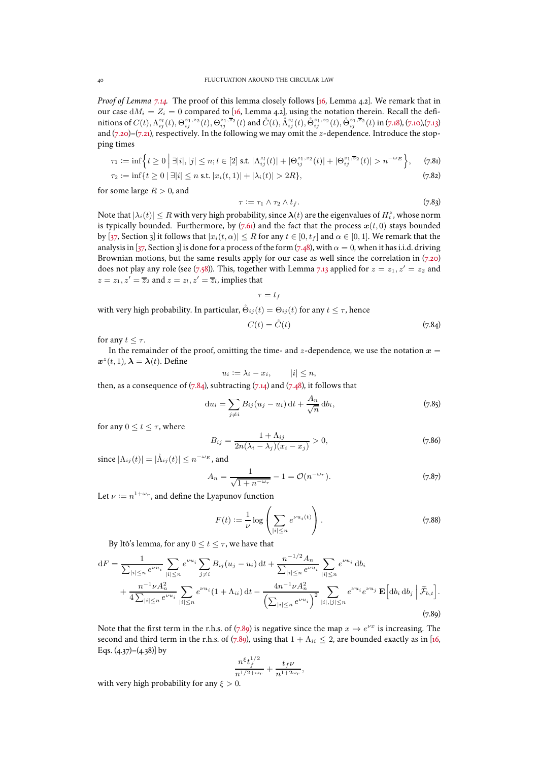*Proof of Lemma [7.14.](#page-38-0)* The proof of this lemma closely follows [\[16,](#page-47-10) Lemma 4.2]. We remark that in our case  $dM_i = Z_i = 0$  compared to [\[16](#page-47-10), Lemma 4.2], using the notation therein. Recall the definitions of  $C(t), \Lambda_{ij}^{z_1}(t),\Theta_{ij}^{z_1,z_2}(t),\Theta_{ij}^{z_1,\overline{z}_2}(t)$  and  $\mathring{C}(t),\mathring{\Lambda}_{ij}^{z_1}(t),\mathring{\Theta}_{ij}^{z_1,z_2}(t),\mathring{\Theta}_{ij}^{z_1,\overline{z}_2}(t)$  in [\(7.18\)](#page-26-3), [\(7.10\)](#page-25-11),[\(7.13\)](#page-25-8) and  $(7.20)$ – $(7.21)$ , respectively. In the following we may omit the *z*-dependence. Introduce the stopping times

$$
\tau_1 := \inf \Big\{ t \ge 0 \; \Big| \; \exists |i|, |j| \le n; l \in [2] \text{ s.t. } |\Lambda_{ij}^{z_l}(t)| + |\Theta_{ij}^{z_1,z_2}(t)| + |\Theta_{ij}^{z_1,\overline{z}_2}(t)| > n^{-\omega_E} \Big\}, \qquad (7.81)
$$

$$
\tau_2 := \inf\{t \ge 0 \mid \exists |i| \le n \text{ s.t. } |x_i(t, 1)| + |\lambda_i(t)| > 2R\},\tag{7.82}
$$

for some large  $R > 0$ , and

<span id="page-39-4"></span><span id="page-39-2"></span>
$$
\tau := \tau_1 \wedge \tau_2 \wedge t_f. \tag{7.83}
$$

Note that  $|\lambda_i(t)| \leq R$  with very high probability, since  $\bm{\lambda}(t)$  are the eigenvalues of  $H_t^z$ , whose norm is typically bounded. Furthermore, by  $(7.61)$  and the fact that the process  $x(t, 0)$  stays bounded by [\[37,](#page-48-25) Section 3] it follows that  $|x_i(t, \alpha)| \leq R$  for any  $t \in [0, t_f]$  and  $\alpha \in [0, 1]$ . We remark that the analysis in [\[37](#page-48-25), Section 3] is done for a process of the form [\(7.48\)](#page-33-0), with  $\alpha = 0$ , when it has i.i.d. driving Brownian motions, but the same results apply for our case as well since the correlation in [\(7.20\)](#page-27-3) does not play any role (see [\(7.58\)](#page-35-1)). This, together with Lemma [7.13](#page-36-0) applied for  $z = z_1, z' = z_2$  and  $z = z_1, z' = \overline{z}_2$  and  $z = z_l, z' = \overline{z}_l$ , implies that

 $\tau = t_f$ 

with very high probability. In particular, 
$$
\dot{\Theta}_{ij}(t)=\Theta_{ij}(t)
$$
 for any  $t\leq \tau,$  hence

<span id="page-39-0"></span>
$$
C(t) = \mathring{C}(t) \tag{7.84}
$$

for any  $t \leq \tau$ .

In the remainder of the proof, omitting the time- and  $z$ -dependence, we use the notation  $x =$  $\boldsymbol{x}^z(t,1)$ ,  $\boldsymbol{\lambda} = \boldsymbol{\lambda}(t)$ . Define

$$
u_i := \lambda_i - x_i, \qquad |i| \leq n,
$$

then, as a consequence of  $(7.84)$ , subtracting  $(7.14)$  and  $(7.48)$ , it follows that

$$
\mathrm{d}u_i = \sum_{j \neq i} B_{ij}(u_j - u_i) \, \mathrm{d}t + \frac{A_n}{\sqrt{n}} \, \mathrm{d}b_i,\tag{7.85}
$$

for any  $0 \le t \le \tau$ , where

<span id="page-39-3"></span>
$$
B_{ij} = \frac{1 + \Lambda_{ij}}{2n(\lambda_i - \lambda_j)(x_i - x_j)} > 0,
$$
\n(7.86)

since  $|\Lambda_{ij}(t)| = |\mathring{\Lambda}_{ij}(t)| \leq n^{-\omega_E}$ , and

<span id="page-39-5"></span>
$$
A_n = \frac{1}{\sqrt{1 + n^{-\omega_r}}} - 1 = \mathcal{O}(n^{-\omega_r}).
$$
\n(7.87)

Let  $\nu := n^{1+\omega_r}$ , and define the Lyapunov function

$$
F(t) := \frac{1}{\nu} \log \left( \sum_{|i| \le n} e^{\nu u_i(t)} \right).
$$
 (7.88)

By Itô's lemma, for any  $0 \le t \le \tau$ , we have that

<span id="page-39-1"></span>
$$
dF = \frac{1}{\sum_{|i| \le n} e^{\nu u_i}} \sum_{|i| \le n} e^{\nu u_i} \sum_{j \ne i} B_{ij}(u_j - u_i) dt + \frac{n^{-1/2} A_n}{\sum_{|i| \le n} e^{\nu u_i}} \sum_{|i| \le n} e^{\nu u_i} db_i
$$
  
+ 
$$
\frac{n^{-1} \nu A_n^2}{4 \sum_{|i| \le n} e^{\nu u_i}} \sum_{|i| \le n} e^{\nu u_i} (1 + \Lambda_{ii}) dt - \frac{4n^{-1} \nu A_n^2}{\left(\sum_{|i| \le n} e^{\nu u_i}\right)^2} \sum_{|i|, |j| \le n} e^{\nu u_i} e^{\nu u_j} \mathbf{E} \Big[ db_i db_j \Big| \widetilde{\mathcal{F}}_{b,t} \Big].
$$
(7.89)

Note that the first term in the r.h.s. of [\(7.89\)](#page-39-1) is negative since the map  $x \mapsto e^{\nu x}$  is increasing. The second and third term in the r.h.s. of [\(7.89\)](#page-39-1), using that  $1 + \Lambda_{ii} \leq 2$ , are bounded exactly as in [\[16](#page-47-10), Eqs.  $(4.37)$ – $(4.38)$ ] by

$$
\frac{n^{\xi}t_f^{1/2}}{n^{1/2+\omega_r}}+\frac{t_f\nu}{n^{1+2\omega_r}},
$$

with very high probability for any  $\xi > 0$ .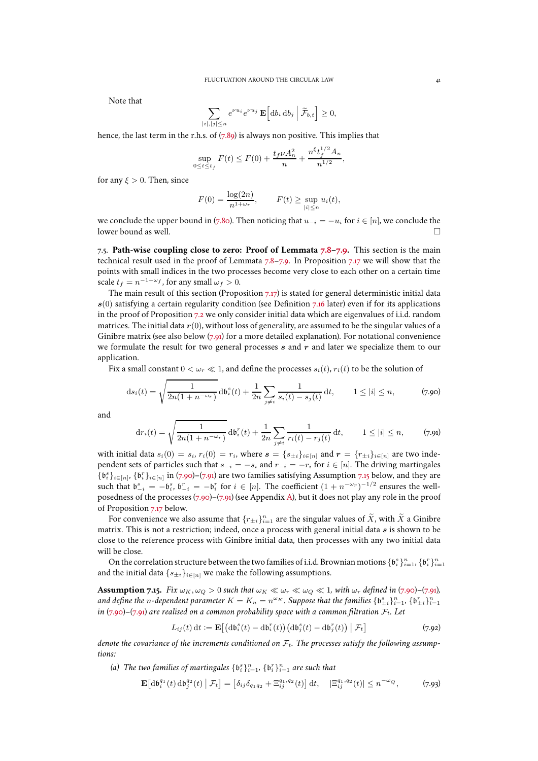Note that

$$
\sum_{|i|,|j|
$$

hence, the last term in the r.h.s. of  $(7.89)$  is always non positive. This implies that

$$
\sup_{0 \le t \le t_f} F(t) \le F(0) + \frac{t_f \nu A_n^2}{n} + \frac{n^{\xi} t_f^{1/2} A_n}{n^{1/2}},
$$

for any  $\xi > 0$ . Then, since

$$
F(0) = \frac{\log(2n)}{n^{1+\omega_r}}, \qquad F(t) \ge \sup_{|i| \le n} u_i(t),
$$

we conclude the upper bound in [\(7.80\)](#page-38-4). Then noticing that  $u_{-i} = -u_i$  for  $i \in [n]$ , we conclude the lower bound as well.

<span id="page-40-0"></span>7.5. **Path-wise coupling close to zero: Proof of Lemmata [7.8](#page-28-2)[–7.9.](#page-29-1)** This section is the main technical result used in the proof of Lemmata [7.8–](#page-28-2)[7.9.](#page-29-1) In Proposition [7.17](#page-41-0) we will show that the points with small indices in the two processes become very close to each other on a certain time scale  $t_f = n^{-1 + \omega_f}$ , for any small  $\omega_f > 0$ .

The main result of this section (Proposition [7.17\)](#page-41-0) is stated for general deterministic initial data  $s(0)$  satisfying a certain regularity condition (see Definition [7.16](#page-41-1) later) even if for its applications in the proof of Proposition [7.2](#page-23-1) we only consider initial data which are eigenvalues of i.i.d. random matrices. The initial data  $r(0)$ , without loss of generality, are assumed to be the singular values of a Ginibre matrix (see also below  $(7.91)$  for a more detailed explanation). For notational convenience we formulate the result for two general processes  $s$  and  $r$  and later we specialize them to our application.

Fix a small constant  $0 < \omega_r \ll 1$ , and define the processes  $s_i(t)$ ,  $r_i(t)$  to be the solution of

<span id="page-40-2"></span>
$$
ds_i(t) = \sqrt{\frac{1}{2n(1 + n^{-\omega_r})}} \, db_i^s(t) + \frac{1}{2n} \sum_{j \neq i} \frac{1}{s_i(t) - s_j(t)} \, dt, \qquad 1 \leq |i| \leq n,
$$
 (7.90)

and

<span id="page-40-1"></span>
$$
dr_i(t) = \sqrt{\frac{1}{2n(1 + n^{-\omega_r})}} d\mathfrak{b}_i^r(t) + \frac{1}{2n} \sum_{j \neq i} \frac{1}{r_i(t) - r_j(t)} dt, \qquad 1 \leq |i| \leq n,
$$
 (7.91)

with initial data  $s_i(0) = s_i$ ,  $r_i(0) = r_i$ , where  $\mathbf{s} = \{s_{\pm i}\}_{i \in [n]}$  and  $\mathbf{r} = \{r_{\pm i}\}_{i \in [n]}$  are two independent sets of particles such that  $s_{-i} = -s_i$  and  $r_{-i} = -r_i$  for  $i \in [n]$ . The driving martingales  $\{b_i^s\}_{i\in[n]}, \{b_i^r\}_{i\in[n]}$  in [\(7.90\)](#page-40-2)–[\(7.91\)](#page-40-1) are two families satisfying Assumption [7.15](#page-40-3) below, and they are such that  $\mathfrak{b}_{-i}^s = -\mathfrak{b}_i^s$ ,  $\mathfrak{b}_{-i}^r = -\mathfrak{b}_i^r$  for  $i \in [n]$ . The coefficient  $(1 + n^{-\omega_r})^{-1/2}$  ensures the wellposedness of the processes [\(7.90\)](#page-40-2)–[\(7.91\)](#page-40-1) (see Appendix [A\)](#page-43-0), but it does not play any role in the proof of Proposition [7.17](#page-41-0) below.

For convenience we also assume that  $\{r_{\pm i}\}_{i=1}^n$  are the singular values of  $\widetilde{X}$ , with  $\widetilde{X}$  a Ginibre matrix. This is not a restriction; indeed, once a process with general initial data  $s$  is shown to be close to the reference process with Ginibre initial data, then processes with any two initial data will be close.

On the correlation structure between the two families of i.i.d. Brownian motions  $\{\mathfrak{b}_i^s\}_{i=1}^n, \{\mathfrak{b}_i^r\}_{i=1}^n$ and the initial data  $\{s_{\pm i}\}_{i\in[n]}$  we make the following assumptions.

<span id="page-40-3"></span>**Assumption 7.15.** *Fix*  $\omega_K$ ,  $\omega_Q > 0$  *such that*  $\omega_K \ll \omega_r \ll \omega_Q \ll 1$ *, with*  $\omega_r$  *defined in* [\(7.90\)](#page-40-2)–[\(7.91\)](#page-40-1)*,* and define the n-dependent parameter  $K = K_n = n^{\omega_K}$ . Suppose that the families  $\{\mathfrak{b}_{\pm i}^s\}_{i=1}^n$ ,  $\{\mathfrak{b}_{\pm i}^r\}_{i=1}^n$ *in* [\(7.90\)](#page-40-2)–[\(7.91\)](#page-40-1) are realised on a common probability space with a common filtration  $\mathcal{F}_t$ . Let

$$
L_{ij}(t) dt := \mathbf{E}\left[\left(\mathrm{d}\mathfrak{b}_i^s(t) - \mathrm{d}\mathfrak{b}_i^r(t)\right)\left(\mathrm{d}\mathfrak{b}_j^s(t) - \mathrm{d}\mathfrak{b}_j^r(t)\right) \big| \mathcal{F}_t\right] \tag{7.92}
$$

<span id="page-40-5"></span>denote the covariance of the increments conditioned on  $\mathcal{F}_t$ . The processes satisfy the following assump*tions:*

(a) The two families of martingales  $\{\mathfrak{b}_{i}^{s}\}_{i=1}^{n},$   $\{\mathfrak{b}_{i}^{r}\}_{i=1}^{n}$  are such that

<span id="page-40-4"></span>
$$
\mathbf{E}\big[\mathrm{d}\mathfrak{b}_{i}^{q_1}(t)\,\mathrm{d}\mathfrak{b}_{j}^{q_2}(t)\,\big|\,\mathcal{F}_{t}\big] = \big[\delta_{ij}\delta_{q_1q_2} + \Xi_{ij}^{q_1,q_2}(t)\big]\,\mathrm{d}t, \quad |\Xi_{ij}^{q_1,q_2}(t)| \le n^{-\omega_Q},\tag{7.93}
$$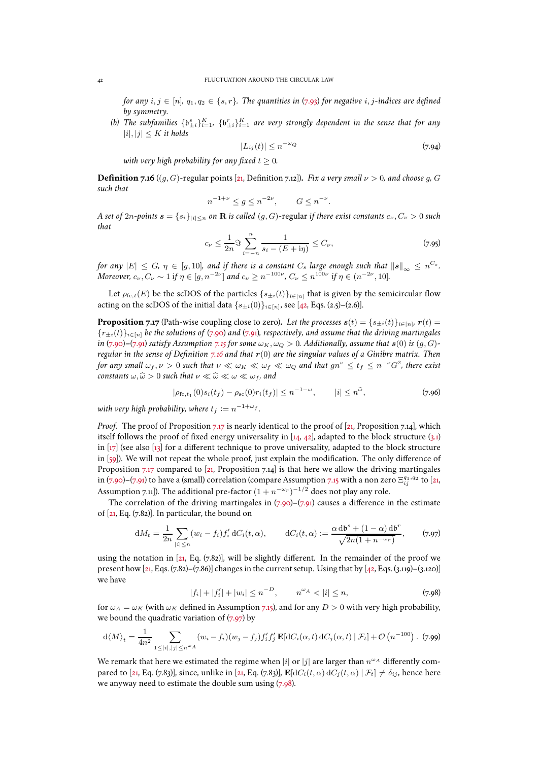*for any*  $i, j \in [n]$ ,  $q_1, q_2 \in \{s, r\}$ . The quantities in [\(7.93\)](#page-40-4) for negative i, j-indices are defined *by symmetry.*

<span id="page-41-4"></span>(b) The subfamilies  $\{b_{\pm i}^s\}_{i=1}^K$ ,  $\{b_{\pm i}^r\}_{i=1}^K$  are very strongly dependent in the sense that for any  $|i|, |j| \leq K$  *it holds* 

<span id="page-41-6"></span>
$$
|L_{ij}(t)| \le n^{-\omega_Q} \tag{7.94}
$$

*with very high probability for any fixed*  $t \geq 0$ *.* 

<span id="page-41-1"></span>**Definition 7.16** ((g, G)-regular points [\[21,](#page-47-0) Definition [7.12\]](#page-34-0)). *Fix a very small*  $\nu > 0$ *, and choose g, G such that*

$$
n^{-1+\nu} \le g \le n^{-2\nu}, \qquad G \le n^{-\nu}.
$$

*A set of* 2n-points  $\mathbf{s} = \{s_i\}_{|i| \leq n}$  on **R** is called  $(g, G)$ -regular if there exist constants  $c_\nu, C_\nu > 0$  such *that*

$$
c_{\nu} \le \frac{1}{2n} \Im \sum_{i=-n}^{n} \frac{1}{s_i - (E + \mathrm{i}\eta)} \le C_{\nu},\tag{7.95}
$$

*for any*  $|E| \le G$ ,  $\eta \in [g, 10]$ , and if there is a constant  $C_s$  large enough such that  $\left\| \bm{s} \right\|_\infty \le n^{C_s}.$ *Moreover,*  $c_{\nu}, C_{\nu} \sim 1$  *if*  $\eta \in [g, n^{-2\nu}]$  *and*  $c_{\nu} \ge n^{-100\nu}$ ,  $C_{\nu} \le n^{100\nu}$  *if*  $\eta \in (n^{-2\nu}, 10]$ *.* 

Let  $\rho_{\text{fc},t}(E)$  be the scDOS of the particles  $\{s_{\pm i}(t)\}_{i\in[n]}$  that is given by the semicircular flow acting on the scDOS of the initial data  $\{s_{\pm i}(0)\}_{i\in[n]}$ , see [\[42,](#page-48-24) Eqs. (2.5)–(2.6)].

<span id="page-41-0"></span>**Proposition 7.17** (Path-wise coupling close to zero). Let the processes  $s(t) = \{s_{\pm i}(t)\}_{i \in [n]}, r(t) =$ {r±i(t)}i∈[n] *be the solutions of* [\(7.90\)](#page-40-2) *and* [\(7.91\)](#page-40-1)*, respectively, and assume that the driving martingales in* [\(7.90\)](#page-40-2)–[\(7.91\)](#page-40-1) *satisfy Assumption* [7.15](#page-40-3) *for some*  $\omega_K$ ,  $\omega_Q > 0$ *. Additionally, assume that*  $s(0)$  *is* (g, G)*regular in the sense of Definition [7.16](#page-41-1) and that* r(0) *are the singular values of a Ginibre matrix. Then for any small*  $\omega_f, \nu > 0$  *such that*  $\nu \ll \omega_K \ll \omega_f \ll \omega_Q$  *and that*  $gn^{\nu} \leq t_f \leq n^{-\nu}G^2$ *, there exist constants*  $\omega, \widehat{\omega} > 0$  *such that*  $\nu \ll \widehat{\omega} \ll \omega \ll \omega_f$ *, and* 

$$
|\rho_{\text{fc},t_1}(0)s_i(t_f) - \rho_{\text{sc}}(0)r_i(t_f)| \le n^{-1-\omega}, \qquad |i| \le n^{\hat{\omega}}, \tag{7.96}
$$

with very high probability, where  $t_f:=n^{-1+\omega_f}$  *.* 

*Proof.* The proof of Proposition [7.17](#page-41-0) is nearly identical to the proof of [\[21,](#page-47-0) Proposition [7.14\]](#page-38-0), which itself follows the proof of fixed energy universality in [\[14](#page-47-22), [42](#page-48-24)], adapted to the block structure [\(3.1\)](#page-7-2) in  $\left[\frac{17}{2}\right]$  (see also  $\left[\frac{13}{2}\right]$  for a different technique to prove universality, adapted to the block structure in [\[59\]](#page-49-5)). We will not repeat the whole proof, just explain the modification. The only difference of Proposition [7.17](#page-41-0) compared to [\[21,](#page-47-0) Proposition [7.14\]](#page-38-0) is that here we allow the driving martingales in [\(7.90\)](#page-40-2)–[\(7.91\)](#page-40-1) to have a (small) correlation (compare Assumption [7.15](#page-40-3) with a non zero  $\Xi^{q_1,q_2}_{ij}$  to [\[21](#page-47-0), Assumption [7.11\]](#page-32-4)). The additional pre-factor  $(1+n^{-\omega_r})^{-1/2}$  does not play any role.

The correlation of the driving martingales in  $(7.90)$ – $(7.91)$  causes a difference in the estimate of [\[21,](#page-47-0) Eq. [\(7.82\)](#page-39-2)]. In particular, the bound on

<span id="page-41-2"></span>
$$
dM_t = \frac{1}{2n} \sum_{|i| \le n} (w_i - f_i) f'_i dC_i(t, \alpha), \qquad dC_i(t, \alpha) := \frac{\alpha d b^s + (1 - \alpha) d b^r}{\sqrt{2n(1 + n^{-\omega_r})}}, \qquad (7.97)
$$

using the notation in [\[21](#page-47-0), Eq. [\(7.82\)](#page-39-2)], will be slightly different. In the remainder of the proof we present how  $[z_1, Eqs. (7.82)$  $[z_1, Eqs. (7.82)$ – $(7.86)$ ] changes in the current setup. Using that by  $[z_2, Eqs. (3.119)$ – $(3.120)$ ] we have

<span id="page-41-3"></span>
$$
|f_i| + |f'_i| + |w_i| \le n^{-D}, \qquad n^{\omega_A} < |i| \le n,\tag{7.98}
$$

for  $\omega_A = \omega_K$  (with  $\omega_K$  defined in Assumption [7.15\)](#page-40-3), and for any  $D > 0$  with very high probability, we bound the quadratic variation of  $(7.97)$  by

<span id="page-41-5"></span>
$$
\mathrm{d}\langle M\rangle_t = \frac{1}{4n^2} \sum_{1 \leq |i|, |j| \leq n^{\omega}A} (w_i - f_i)(w_j - f_j)f'_i f'_j \mathbf{E}[\mathrm{d}C_i(\alpha, t) \, \mathrm{d}C_j(\alpha, t) \, | \, \mathcal{F}_t] + \mathcal{O}\left(n^{-100}\right). \tag{7.99}
$$

We remark that here we estimated the regime when  $|i|$  or  $|j|$  are larger than  $n^{\omega_A}$  differently com-pared to [\[21,](#page-47-0) Eq. [\(7.83\)](#page-39-4)], since, unlike in [\[21](#page-47-0), Eq. (7.83)],  $\mathbf{E}[dC_i(t, \alpha) dC_j(t, \alpha) | \mathcal{F}_t] \neq \delta_{ij}$ , hence here we anyway need to estimate the double sum using [\(7.98\)](#page-41-3).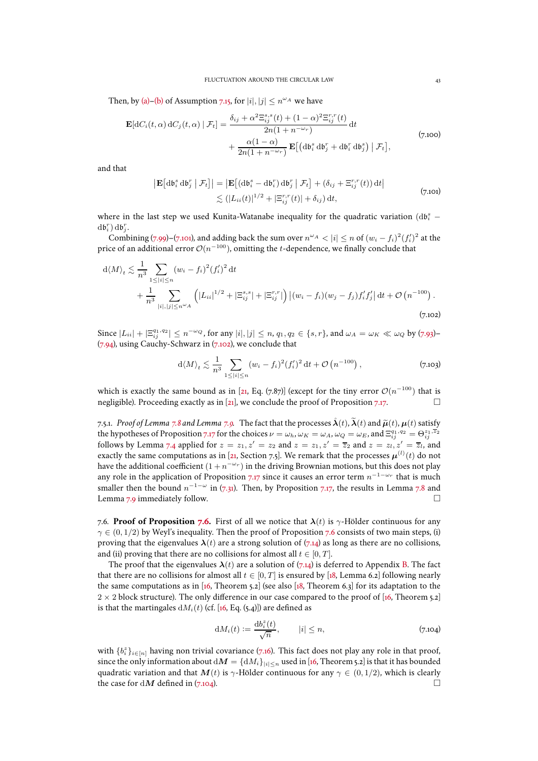Then, by [\(a\)](#page-40-5)[–\(b\)](#page-41-4) of Assumption [7.15,](#page-40-3) for  $|i|, |j| \le n^{\omega_A}$  we have

$$
\mathbf{E}[dC_i(t,\alpha)\,dC_j(t,\alpha)\,|\,\mathcal{F}_t] = \frac{\delta_{ij} + \alpha^2 \Xi_{ij}^{s,s}(t) + (1-\alpha)^2 \Xi_{ij}^{r,r}(t)}{2n(1+n^{-\omega_r})} dt + \frac{\alpha(1-\alpha)}{2n(1+n^{-\omega_r})} \mathbf{E}[(d\mathfrak{b}_i^s d\mathfrak{b}_j^r + d\mathfrak{b}_i^s d\mathfrak{b}_j^s) | \,\mathcal{F}_t],
$$
\n
$$
(7.100)
$$

<span id="page-42-2"></span>and that

$$
\left| \mathbf{E} \left[ \mathrm{d} \mathbf{b}_{i}^{s} \mathrm{d} \mathbf{b}_{j}^{r} \mid \mathcal{F}_{t} \right] \right| = \left| \mathbf{E} \left[ \left( \mathrm{d} \mathbf{b}_{i}^{s} - \mathrm{d} \mathbf{b}_{i}^{r} \right) \mathrm{d} \mathbf{b}_{j}^{r} \mid \mathcal{F}_{t} \right] + \left( \delta_{ij} + \Xi_{ij}^{r,r}(t) \right) \mathrm{d} t \right|
$$
  
 
$$
\lesssim \left( |L_{ii}(t)|^{1/2} + |\Xi_{ij}^{r,r}(t)| + \delta_{ij} \right) \mathrm{d} t, \tag{7.101}
$$

where in the last step we used Kunita-Watanabe inequality for the quadratic variation  $(\text{d}\mathfrak{b}_i^s$  –  $d\mathfrak{b}_i^r$   $d\mathfrak{b}_j^r$ .

Combining [\(7.99\)](#page-41-5)–[\(7.101\)](#page-42-2), and adding back the sum over  $n^{\omega_A} < |i| \le n$  of  $(w_i - f_i)^2 (f'_i)^2$  at the price of an additional error  $\mathcal{O}(n^{-100})$ , omitting the  $t$ -dependence, we finally conclude that

<span id="page-42-3"></span>
$$
d\langle M \rangle_t \lesssim \frac{1}{n^3} \sum_{1 \leq |i| \leq n} (w_i - f_i)^2 (f'_i)^2 dt + \frac{1}{n^3} \sum_{|i|, |j| \leq n^{\omega_A}} \left( |L_{ii}|^{1/2} + |\Xi_{ij}^{s,s}| + |\Xi_{ij}^{r,r}| \right) \left| (w_i - f_i)(w_j - f_j) f'_i f'_j \right| dt + \mathcal{O}\left(n^{-100}\right).
$$
\n(7.102)

Since  $|L_{ii}| + |\Xi_{ij}^{q_1,q_2}| \le n^{-\omega_Q}$ , for any  $|i|,|j| \le n$ ,  $q_1, q_2 \in \{s, r\}$ , and  $\omega_A = \omega_K \ll \omega_Q$  by [\(7.93\)](#page-40-4)- $(7.94)$ , using Cauchy-Schwarz in  $(7.102)$ , we conclude that

$$
d\langle M \rangle_t \lesssim \frac{1}{n^3} \sum_{1 \leq |i| \leq n} (w_i - f_i)^2 (f'_i)^2 dt + \mathcal{O}\left(n^{-100}\right),
$$
 (7.103)

which is exactly the same bound as in [\[21](#page-47-0), Eq. [\(7.87\)](#page-39-5)] (except for the tiny error  $\mathcal{O}(n^{-100})$  that is negligible). Proceeding exactly as in [\[21\]](#page-47-0), we conclude the proof of Proposition [7.17.](#page-41-0)

<span id="page-42-1"></span>7.5.1. *Proof of Lemma* [7.8](#page-28-2) *and Lemma* [7.9.](#page-29-1) The fact that the processes  $\hat{\lambda}(t)$ ,  $\tilde{\lambda}(t)$  and  $\tilde{\mu}(t)$ ,  $\mu(t)$  satisfy the hypotheses of Proposition [7.17](#page-41-0) for the choices  $\nu = \omega_h$ ,  $\omega_K = \omega_A$ ,  $\omega_Q = \omega_E$ , and  $\Xi_{ij}^{q_1,q_2} = \Theta_{ij}^{z_1,\overline{z}_2}$ <br>follows by Lemma [7.4](#page-25-5) applied for  $z = z_1$ ,  $z' = z_2$  and  $z = z_1$ ,  $z' = \overline{z}_2$  and  $z = z_l$ ,  $z' = \overline{z}_l$ exactly the same computations as in [\[21](#page-47-0), Section [7.5\]](#page-40-0). We remark that the processes  $\boldsymbol{\mu}^{(l)}(t)$  do not have the additional coefficient  $(1+n^{-\omega_r})$  in the driving Brownian motions, but this does not play any role in the application of Proposition [7.17](#page-41-0) since it causes an error term  $n^{-1-\omega_r}$  that is much smaller then the bound  $n^{-1-\omega}$  in [\(7.31\)](#page-29-6). Then, by Proposition [7.17,](#page-41-0) the results in Lemma [7.8](#page-28-2) and Lemma [7.9](#page-29-1) immediately follow.  $\square$ 

<span id="page-42-0"></span>[7.6.](#page-26-2) **Proof of Proposition 7.6.** First of all we notice that  $\lambda(t)$  is  $\gamma$ -Hölder continuous for any  $\gamma \in (0, 1/2)$  by Weyl's inequality. Then the proof of Proposition [7.6](#page-26-2) consists of two main steps, (i) proving that the eigenvalues  $\lambda(t)$  are a strong solution of [\(7.14\)](#page-25-0) as long as there are no collisions, and (ii) proving that there are no collisions for almost all  $t \in [0, T]$ .

The proof that the eigenvalues  $\lambda(t)$  are a solution of [\(7.14\)](#page-25-0) is deferred to Appendix [B.](#page-45-0) The fact that there are no collisions for almost all  $t \in [0, T]$  is ensured by [\[18](#page-47-11), Lemma 6.2] following nearly the same computations as in  $[16,$  Theorem 5.2] (see also  $[18,$  Theorem 6.3] for its adaptation to the  $2 \times 2$  block structure). The only difference in our case compared to the proof of [\[16,](#page-47-10) Theorem 5.2] is that the martingales  $dM_i(t)$  (cf. [\[16](#page-47-10), Eq. (5.4)]) are defined as

<span id="page-42-4"></span>
$$
dM_i(t) := \frac{db_i^z(t)}{\sqrt{n}}, \qquad |i| \le n,
$$
\n(7.104)

with  $\{b_i^z\}_{i\in[n]}$  having non trivial covariance [\(7.16\)](#page-26-4). This fact does not play any role in that proof, since the only information about  $dM = \{dM_i\}_{|i| \leq n}$  used in [\[16](#page-47-10), Theorem 5.2] is that it has bounded quadratic variation and that  $M(t)$  is  $\gamma$ -Hölder continuous for any  $\gamma \in (0, 1/2)$ , which is clearly the case for d $M$  defined in (7.104). the case for dM defined in  $(7.104)$ .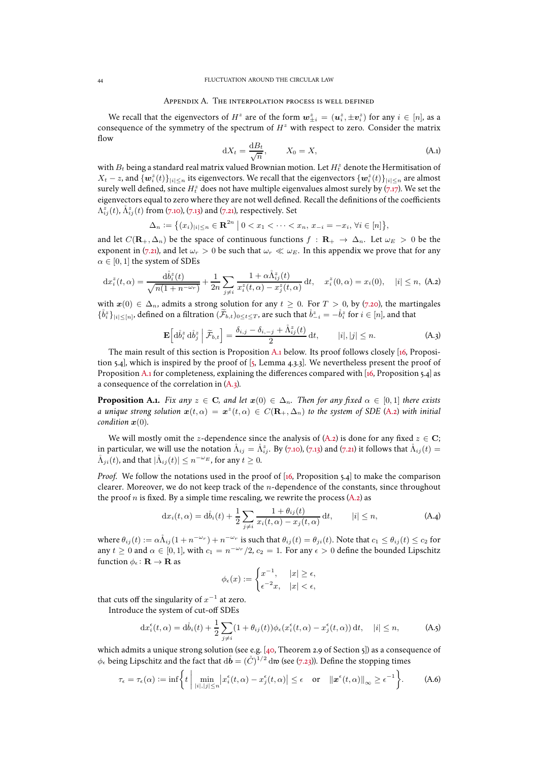#### Appendix A. The interpolation process is well defined

<span id="page-43-0"></span>We recall that the eigenvectors of  $H^z$  are of the form  $\mathbf{w}_{\pm i}^z = (\mathbf{u}_i^z, \pm \mathbf{v}_i^z)$  for any  $i \in [n]$ , as a consequence of the symmetry of the spectrum of  $H<sup>z</sup>$  with respect to zero. Consider the matrix flow

<span id="page-43-5"></span>
$$
dX_t = \frac{dB_t}{\sqrt{n}}, \qquad X_0 = X,\tag{A.1}
$$

with  $B_t$  being a standard real matrix valued Brownian motion. Let  $H_t^z$  denote the Hermitisation of  $X_t-z$ , and  $\{\bm{w}_i^z(t)\}_{|i|\leq n}$  its eigenvectors. We recall that the eigenvectors  $\{\bm{w}_i^z(t)\}_{|i|\leq n}$  are almost surely well defined, since  $H_t^z$  does not have multiple eigenvalues almost surely by [\(7.17\)](#page-26-0). We set the eigenvectors equal to zero where they are not well defined. Recall the definitions of the coefficients  $\Lambda^z_{ij}(t)$ ,  $\mathring{\Lambda}^z_{ij}(t)$  from [\(7.10\)](#page-25-11), [\(7.13\)](#page-25-8) and [\(7.21\)](#page-27-2), respectively. Set

$$
\Delta_n := \{(x_i)_{|i| \le n} \in \mathbf{R}^{2n} \mid 0 < x_1 < \cdots < x_n, x_{-i} = -x_i, \forall i \in [n]\},\
$$

and let  $C(\mathbf{R}_{+}, \Delta_{n})$  be the space of continuous functions  $f : \mathbf{R}_{+} \to \Delta_{n}$ . Let  $\omega_{E} > 0$  be the exponent in [\(7.21\)](#page-27-2), and let  $\omega_r > 0$  be such that  $\omega_r \ll \omega_E$ . In this appendix we prove that for any  $\alpha \in [0, 1]$  the system of SDEs

<span id="page-43-3"></span>
$$
dx_i^z(t,\alpha) = \frac{d\mathring{b}_i^z(t)}{\sqrt{n(1+n^{-\omega_r})}} + \frac{1}{2n} \sum_{j \neq i} \frac{1 + \alpha \mathring{\Lambda}_{ij}^z(t)}{x_i^z(t,\alpha) - x_j^z(t,\alpha)} dt, \quad x_i^z(0,\alpha) = x_i(0), \quad |i| \leq n, \text{ (A.2)}
$$

with  $x(0) \in \Delta_n$ , admits a strong solution for any  $t > 0$ . For  $T > 0$ , by [\(7.20\)](#page-27-3), the martingales  $\{\mathring{b}_i^z\}_{|i|\leq [n]},$  defined on a filtration  $(\widetilde{\mathcal{F}}_{b,t})_{0\leq t\leq T}$ , are such that  $\mathring{b}_{-i}^z=-\mathring{b}_i^z$  for  $i\in [n]$ , and that

<span id="page-43-2"></span>
$$
\mathbf{E}\left[\mathrm{d}\mathring{b}_{i}^{z}\mathrm{d}\mathring{b}_{j}^{z}\,\middle|\,\widetilde{\mathcal{F}}_{b,t}\right]=\frac{\delta_{i,j}-\delta_{i,-j}+\mathring{\Lambda}_{ij}^{z}(t)}{2}\,\mathrm{d}t,\qquad |i|,|j|\leq n.\tag{A.3}
$$

The main result of this section is Proposition [A.1](#page-43-1) below. Its proof follows closely [\[16,](#page-47-10) Proposition 5.4], which is inspired by the proof of [\[5,](#page-47-25) Lemma 4.3.3]. We nevertheless present the proof of Proposition [A.1](#page-43-1) for completeness, explaining the differences compared with [\[16,](#page-47-10) Proposition 5.4] as a consequence of the correlation in [\(A.3\)](#page-43-2).

<span id="page-43-1"></span>**Proposition A.1.** *Fix any*  $z \in \mathbb{C}$ *, and let*  $x(0) \in \Delta_n$ *. Then for any fixed*  $\alpha \in [0,1]$  *there exists a* unique strong solution  $x(t, \alpha) = x^z(t, \alpha) \in C(\mathbf{R}_+, \Delta_n)$  to the system of SDE [\(A.2\)](#page-43-3) with initial *condition*  $x(0)$ *.* 

We will mostly omit the z-dependence since the analysis of [\(A.2\)](#page-43-3) is done for any fixed  $z \in \mathbb{C}$ ; in particular, we will use the notation  $\mathring{\Lambda}_{ij}=\mathring{\Lambda}_{ij}^z.$  By [\(7.10\)](#page-25-11), [\(7.13\)](#page-25-8) and [\(7.21\)](#page-27-2) it follows that  $\mathring{\Lambda}_{ij}(t)=0$  $\mathring{\Lambda}_{ji}(t)$ , and that  $|\mathring{\Lambda}_{ij}(t)| \leq n^{-\omega_E}$ , for any  $t \geq 0$ .

*Proof.* We follow the notations used in the proof of [\[16](#page-47-10), Proposition 5.4] to make the comparison clearer. Moreover, we do not keep track of the  $n$ -dependence of the constants, since throughout the proof  $n$  is fixed. By a simple time rescaling, we rewrite the process [\(A.2\)](#page-43-3) as

<span id="page-43-4"></span>
$$
\mathrm{d}x_i(t,\alpha) = \mathrm{d}\mathring{b}_i(t) + \frac{1}{2} \sum_{j \neq i} \frac{1 + \theta_{ij}(t)}{x_i(t,\alpha) - x_j(t,\alpha)} \, \mathrm{d}t, \qquad |i| \leq n,\tag{A.4}
$$

where  $\theta_{ij}(t) := \alpha \mathring{\Lambda}_{ij} (1 + n^{-\omega_r}) + n^{-\omega_r}$  is such that  $\theta_{ij}(t) = \theta_{ji}(t)$ . Note that  $c_1 \le \theta_{ij}(t) \le c_2$  for any  $t \geq 0$  and  $\alpha \in [0, 1]$ , with  $c_1 = n^{-\omega_r}/2$ ,  $c_2 = 1$ . For any  $\epsilon > 0$  define the bounded Lipschitz function  $\phi_{\epsilon} : \mathbf{R} \to \mathbf{R}$  as

$$
\phi_{\epsilon}(x) := \begin{cases} x^{-1}, & |x| \ge \epsilon, \\ \epsilon^{-2}x, & |x| < \epsilon, \end{cases}
$$

that cuts off the singularity of  $x^{-1}$  at zero.

Introduce the system of cut-off SDEs

$$
\mathrm{d}x_i^{\epsilon}(t,\alpha) = \mathrm{d}\mathring{b}_i(t) + \frac{1}{2} \sum_{j \neq i} (1 + \theta_{ij}(t)) \phi_{\epsilon}(x_i^{\epsilon}(t,\alpha) - x_j^{\epsilon}(t,\alpha)) \,\mathrm{d}t, \quad |i| \leq n,\tag{A.5}
$$

which admits a unique strong solution (see e.g. [\[40,](#page-48-26) Theorem 2.9 of Section 5]) as a consequence of  $\phi_\epsilon$  being Lipschitz and the fact that  ${\rm d}\mathring{b}= (\mathring{C})^{1/2}\,{\rm d}\mathfrak{w}$  (see [\(7.23\)](#page-27-4)). Define the stopping times

$$
\tau_{\epsilon} = \tau_{\epsilon}(\alpha) := \inf \left\{ t \mid \min_{|i|, |j| \le n} \left| x_i^{\epsilon}(t, \alpha) - x_j^{\epsilon}(t, \alpha) \right| \le \epsilon \quad \text{or} \quad \left\| x^{\epsilon}(t, \alpha) \right\|_{\infty} \ge \epsilon^{-1} \right\}.
$$
 (A.6)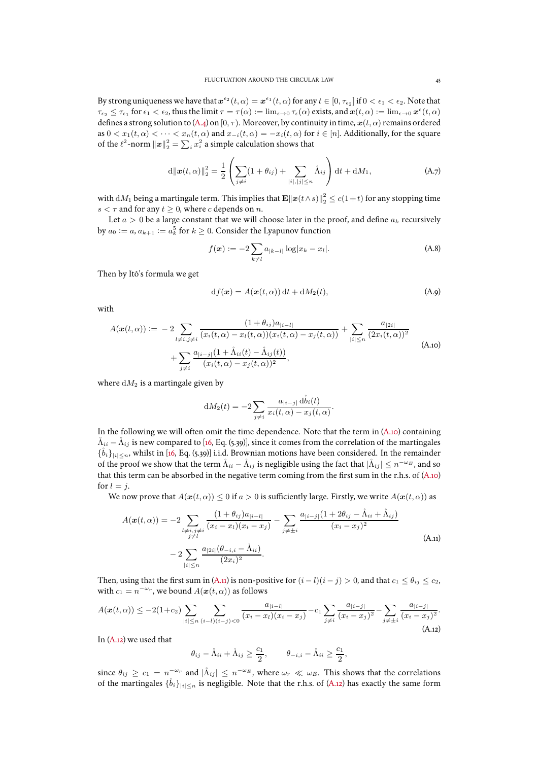By strong uniqueness we have that  $x^{e_2}(t, \alpha) = x^{e_1}(t, \alpha)$  for any  $t \in [0, \tau_{e_2}]$  if  $0 < \epsilon_1 < \epsilon_2$ . Note that  $\tau_{\epsilon_2}\leq \tau_{\epsilon_1}$  for  $\epsilon_1<\epsilon_2$ , thus the limit  $\tau=\tau(\alpha)\mathrel{\mathop:}= \lim_{\epsilon\to 0}\tau_\epsilon(\alpha)$  exists, and  $\bm{x}(t,\alpha)\mathrel{\mathop:}= \lim_{\epsilon\to 0}\bm{x}^\epsilon(t,\alpha)$ defines a strong solution to [\(A.4\)](#page-43-4) on [0,  $\tau$ ). Moreover, by continuity in time,  $x(t, \alpha)$  remains ordered as  $0 < x_1(t, \alpha) < \cdots < x_n(t, \alpha)$  and  $x_{-i}(t, \alpha) = -x_i(t, \alpha)$  for  $i \in [n]$ . Additionally, for the square of the  $\ell^2$ -norm  $\|\boldsymbol{x}\|_2^2 = \sum_i x_i^2$  a simple calculation shows that

$$
d\|\bm{x}(t,\alpha)\|_{2}^{2} = \frac{1}{2} \left( \sum_{j \neq i} (1 + \theta_{ij}) + \sum_{|i|, |j| \leq n} \hat{\Lambda}_{ij} \right) dt + dM_{1}, \tag{A.7}
$$

with  $\mathrm{d}M_1$  being a martingale term. This implies that  $\mathbf{E} \|\bm{x}(t\wedge s)\|_2^2 \leq c(1+t)$  for any stopping time  $s<\tau$  and for any  $t\geq 0,$  where  $c$  depends on  $n.$ 

Let  $a > 0$  be a large constant that we will choose later in the proof, and define  $a_k$  recursively by  $a_0 := a, a_{k+1} := a_k^5$  for  $k \ge 0$ . Consider the Lyapunov function

$$
f(\boldsymbol{x}) := -2 \sum_{k \neq l} a_{|k-l|} \log |x_k - x_l|.
$$
 (A.8)

Then by Itô's formula we get

$$
df(\boldsymbol{x}) = A(\boldsymbol{x}(t,\alpha)) dt + dM_2(t), \qquad (A.9)
$$

with

<span id="page-44-0"></span>
$$
A(\boldsymbol{x}(t,\alpha)) := -2 \sum_{l \neq i, j \neq i} \frac{(1+\theta_{ij})a_{|i-l|}}{(x_i(t,\alpha) - x_i(t,\alpha))(x_i(t,\alpha) - x_j(t,\alpha))} + \sum_{|i| \leq n} \frac{a_{|2i|}}{(2x_i(t,\alpha))^2} + \sum_{j \neq i} \frac{a_{|i-j|}(1+\mathring{\Lambda}_{ii}(t) - \mathring{\Lambda}_{ij}(t))}{(x_i(t,\alpha) - x_j(t,\alpha))^2},
$$
(A.10)

where  $dM_2$  is a martingale given by

$$
dM_2(t) = -2\sum_{j\neq i} \frac{a_{|i-j|} d\mathring{b}_i(t)}{x_i(t,\alpha) - x_j(t,\alpha)}.
$$

In the following we will often omit the time dependence. Note that the term in  $(A_{.10})$  containing  $\hat{\Lambda}_{ii} - \hat{\Lambda}_{ij}$  is new compared to [\[16](#page-47-10), Eq. (5.39)], since it comes from the correlation of the martingales  ${\{\hat{b}_i\}}_{|i| \leq n}$ , whilst in [\[16](#page-47-10), Eq. (5.39)] i.i.d. Brownian motions have been considered. In the remainder of the proof we show that the term  $\mathring{\Lambda}_{ii}-\mathring{\Lambda}_{ij}$  is negligible using the fact that  $|\mathring{\Lambda}_{ij}|\leq n^{-\omega_E}$ , and so that this term can be absorbed in the negative term coming from the first sum in the r.h.s. of [\(A.10\)](#page-44-0) for  $l = j$ .

We now prove that  $A(\mathbf{x}(t, \alpha)) \leq 0$  if  $a > 0$  is sufficiently large. Firstly, we write  $A(\mathbf{x}(t, \alpha))$  as

<span id="page-44-1"></span>
$$
A(\boldsymbol{x}(t,\alpha)) = -2 \sum_{\substack{l \neq i, j \neq i \\ j \neq l}} \frac{(1+\theta_{ij})a_{|i-l|}}{(x_i - x_l)(x_i - x_j)} - \sum_{j \neq \pm i} \frac{a_{|i-j|}(1 + 2\theta_{ij} - \mathring{\Lambda}_{ii} + \mathring{\Lambda}_{ij})}{(x_i - x_j)^2} - 2 \sum_{|i| \leq n} \frac{a_{|2i|}(\theta_{-i,i} - \mathring{\Lambda}_{ii})}{(2x_i)^2}.
$$
\n(A.11)

Then, using that the first sum in [\(A.11\)](#page-44-1) is non-positive for  $(i - l)(i - j) > 0$ , and that  $c_1 \le \theta_{ij} \le c_2$ , with  $c_1 = n^{-\omega_r}$ , we bound  $A(\boldsymbol{x}(t, \alpha))$  as follows

<span id="page-44-2"></span>
$$
A(\boldsymbol{x}(t,\alpha)) \leq -2(1+c_2) \sum_{|i| \leq n} \sum_{(i-l)(i-j) < 0} \frac{a_{|i-l|}}{(x_i - x_l)(x_i - x_j)} - c_1 \sum_{j \neq i} \frac{a_{|i-j|}}{(x_i - x_j)^2} - \sum_{j \neq \pm i} \frac{a_{|i-j|}}{(x_i - x_j)^2}.
$$
\n(A.12)

In [\(A.12\)](#page-44-2) we used that

$$
\theta_{ij} - \mathring{\Lambda}_{ii} + \mathring{\Lambda}_{ij} \ge \frac{c_1}{2}, \qquad \theta_{-i,i} - \mathring{\Lambda}_{ii} \ge \frac{c_1}{2},
$$

since  $\theta_{ij} \ge c_1 = n^{-\omega_r}$  and  $|\mathring{\Lambda}_{ij}| \le n^{-\omega_E}$ , where  $\omega_r \ll \omega_E$ . This shows that the correlations of the martingales  $\{\hat{b}_i\}_{|i|\leq n}$  is negligible. Note that the r.h.s. of [\(A.12\)](#page-44-2) has exactly the same form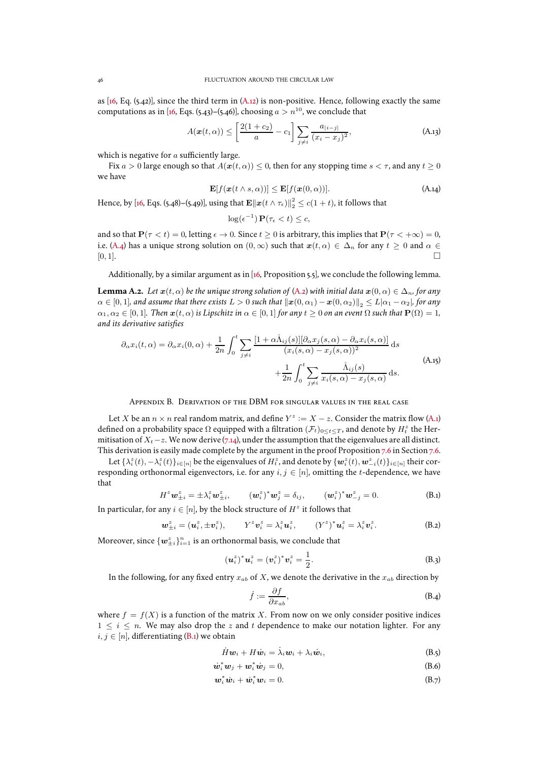as  $[16, Eq. (5.42)]$ , since the third term in  $(A.12)$  is non-positive. Hence, following exactly the same computations as in [\[16](#page-47-10), Eqs. (5.43)–(5.46)], choosing  $a > n^{10}$ , we conclude that

$$
A(\boldsymbol{x}(t,\alpha)) \le \left[\frac{2(1+c_2)}{a} - c_1\right] \sum_{j \ne i} \frac{a_{|i-j|}}{(x_i - x_j)^2},\tag{A.13}
$$

which is negative for  $a$  sufficiently large.

Fix  $a > 0$  large enough so that  $A(\mathbf{x}(t, \alpha)) \leq 0$ , then for any stopping time  $s < \tau$ , and any  $t \geq 0$ we have

$$
\mathbf{E}[f(\mathbf{x}(t \wedge s, \alpha))] \leq \mathbf{E}[f(\mathbf{x}(0, \alpha))]. \tag{A.14}
$$

Hence, by [\[16](#page-47-10), Eqs. (5.48)–(5.49)], using that  $\mathbf{E} \|\boldsymbol{x}(t \wedge \tau_{\epsilon})\|_2^2 \leq c(1+t)$ , it follows that

$$
\log(\epsilon^{-1}) \mathbf{P}(\tau_{\epsilon} < t) \leq c,
$$

and so that  $P(\tau \leq t) = 0$ , letting  $\epsilon \to 0$ . Since  $t > 0$  is arbitrary, this implies that  $P(\tau \leq +\infty) = 0$ , i.e. [\(A.4\)](#page-43-4) has a unique strong solution on  $(0, \infty)$  such that  $x(t, \alpha) \in \Delta_n$  for any  $t \ge 0$  and  $\alpha \in [0, 1]$ .  $[0, 1].$ 

Additionally, by a similar argument as in [\[16,](#page-47-10) Proposition 5.5], we conclude the following lemma.

<span id="page-45-1"></span>**Lemma A.2.** *Let*  $x(t, \alpha)$  *be the unique strong solution of* [\(A.2\)](#page-43-3) *with initial data*  $x(0, \alpha) \in \Delta_n$ *, for any*  $\alpha \in [0, 1]$ *, and assume that there exists*  $L > 0$  *such that*  $\|\boldsymbol{x}(0, \alpha_1) - \boldsymbol{x}(0, \alpha_2)\|_{2} \le L|\alpha_1 - \alpha_2|$ *, for any*  $\alpha_1, \alpha_2 \in [0, 1]$ *. Then*  $\mathbf{x}(t, \alpha)$  *is Lipschitz in*  $\alpha \in [0, 1]$  *for any*  $t \geq 0$  *on an event*  $\Omega$  *such that*  $\mathbf{P}(\Omega) = 1$ *, and its derivative satisfies*

$$
\partial_{\alpha} x_i(t,\alpha) = \partial_{\alpha} x_i(0,\alpha) + \frac{1}{2n} \int_0^t \sum_{j\neq i} \frac{[1 + \alpha \mathring{\Lambda}_{ij}(s)][\partial_{\alpha} x_j(s,\alpha) - \partial_{\alpha} x_i(s,\alpha)]}{(x_i(s,\alpha) - x_j(s,\alpha))^2} ds + \frac{1}{2n} \int_0^t \sum_{j\neq i} \frac{\mathring{\Lambda}_{ij}(s)}{x_i(s,\alpha) - x_j(s,\alpha)} ds.
$$
\n(A.15)

Appendix B. Derivation of the DBM for singular values in the real case

<span id="page-45-0"></span>Let X be an  $n \times n$  real random matrix, and define  $Y^z := X - z$ . Consider the matrix flow [\(A.1\)](#page-43-5) defined on a probability space  $\Omega$  equipped with a filtration  $(\mathcal{F}_t)_{0\leq t\leq T}$ , and denote by  $H^z_t$  the Hermitisation of  $X_t$  − z. We now derive [\(7.14\)](#page-25-0), under the assumption that the eigenvalues are all distinct. This derivation is easily made complete by the argument in the proof Proposition [7.6](#page-26-2) in Section [7.6.](#page-42-0)

Let  $\{\lambda^z_i(t),-\lambda^z_i(t)\}_{i\in[n]}$  be the eigenvalues of  $H^z_t$ , and denote by  $\{\bm w^z_i(t),\bm w^z_{-i}(t)\}_{i\in[n]}$  their corresponding orthonormal eigenvectors, i.e. for any  $i, j \in [n]$ , omitting the t-dependence, we have that

<span id="page-45-2"></span>
$$
H^{z} \mathbf{w}_{\pm i}^{z} = \pm \lambda_{i}^{z} \mathbf{w}_{\pm i}^{z}, \qquad (\mathbf{w}_{i}^{z})^{*} \mathbf{w}_{j}^{z} = \delta_{ij}, \qquad (\mathbf{w}_{i}^{z})^{*} \mathbf{w}_{-j}^{z} = 0.
$$
 (B.1)

In particular, for any  $i \in [n]$  by the block structure of  $H^z$  it follows that

$$
\boldsymbol{w}_{\pm i}^z = (\boldsymbol{u}_i^z, \pm \boldsymbol{v}_i^z), \qquad Y^z \boldsymbol{v}_i^z = \lambda_i^z \boldsymbol{u}_i^z, \qquad (Y^z)^* \boldsymbol{u}_i^z = \lambda_i^z \boldsymbol{v}_i^z.
$$
 (B.2)

Moreover, since  $\{\boldsymbol{w}_{\pm i}^z\}_{i=1}^n$  is an orthonormal basis, we conclude that

$$
(\boldsymbol{u}_i^z)^* \boldsymbol{u}_i^z = (\boldsymbol{v}_i^z)^* \boldsymbol{v}_i^z = \frac{1}{2}.
$$
 (B.3)

In the following, for any fixed entry  $x_{ab}$  of X, we denote the derivative in the  $x_{ab}$  direction by

<span id="page-45-4"></span><span id="page-45-3"></span>
$$
\dot{f} := \frac{\partial f}{\partial x_{ab}},\tag{B.4}
$$

where  $f = f(X)$  is a function of the matrix X. From now on we only consider positive indices  $1 \leq i \leq n$ . We may also drop the z and t dependence to make our notation lighter. For any  $i, j \in [n]$ , differentiating [\(B.1\)](#page-45-2) we obtain

$$
\dot{H}\boldsymbol{w}_i + H\dot{\boldsymbol{w}}_i = \dot{\lambda}_i \boldsymbol{w}_i + \lambda_i \dot{\boldsymbol{w}}_i, \tag{B.5}
$$

$$
\dot{\boldsymbol{w}}_i^* \boldsymbol{w}_j + \boldsymbol{w}_i^* \dot{\boldsymbol{w}}_j = 0, \tag{B.6}
$$

$$
\boldsymbol{w}_i^* \dot{\boldsymbol{w}}_i + \dot{\boldsymbol{w}}_i^* \boldsymbol{w}_i = 0. \tag{B.7}
$$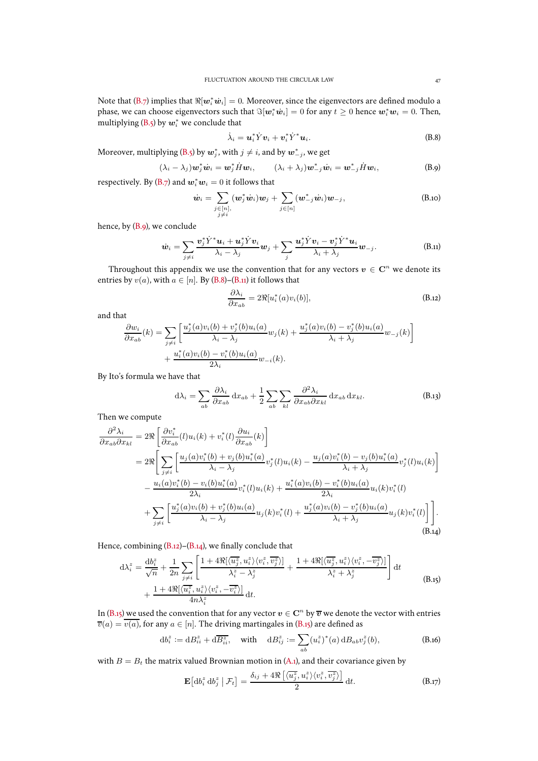Note that [\(B.7\)](#page-45-3) implies that  $\Re[\bm{w}_i^*\dot{\bm{w}}_i]=0.$  Moreover, since the eigenvectors are defined modulo a phase, we can choose eigenvectors such that  $\Im[w_i^*\dot w_i]=0$  for any  $t\geq 0$  hence  $\bm w_i^*\bm w_i=0$ . Then, multiplying [\(B.5\)](#page-45-4) by  $\boldsymbol{w}_i^*$  we conclude that

<span id="page-46-4"></span>
$$
\dot{\lambda}_i = \boldsymbol{u}_i^* \dot{Y} \boldsymbol{v}_i + \boldsymbol{v}_i^* \dot{Y}^* \boldsymbol{u}_i.
$$
 (B.8)

Moreover, multiplying [\(B.5\)](#page-45-4) by  $\boldsymbol{w}_j^*$ , with  $j\neq i$ , and by  $\boldsymbol{w}_{-j}^*$ , we get

<span id="page-46-3"></span>
$$
(\lambda_i - \lambda_j) \mathbf{w}_j^* \dot{\mathbf{w}}_i = \mathbf{w}_j^* \dot{H} \mathbf{w}_i, \qquad (\lambda_i + \lambda_j) \mathbf{w}_{-j}^* \dot{\mathbf{w}}_i = \mathbf{w}_{-j}^* \dot{H} \mathbf{w}_i,
$$
 (B.9)

respectively. By [\(B.7\)](#page-45-3) and  $\mathbf{w}_i^*\mathbf{w}_i = 0$  it follows that

$$
\dot{\boldsymbol{w}}_i = \sum_{\substack{j \in [n], \\ j \neq i}} (\boldsymbol{w}_j^* \dot{\boldsymbol{w}}_i) \boldsymbol{w}_j + \sum_{j \in [n]} (\boldsymbol{w}_{-j}^* \dot{\boldsymbol{w}}_i) \boldsymbol{w}_{-j},
$$
\n(B.10)

hence, by [\(B.9\)](#page-46-3), we conclude

<span id="page-46-5"></span>
$$
\dot{\boldsymbol{w}}_i = \sum_{j \neq i} \frac{\boldsymbol{v}_j^* \dot{Y}^* \boldsymbol{u}_i + \boldsymbol{u}_j^* \dot{Y} \boldsymbol{v}_i}{\lambda_i - \lambda_j} \boldsymbol{w}_j + \sum_j \frac{\boldsymbol{u}_j^* \dot{Y} \boldsymbol{v}_i - \boldsymbol{v}_j^* \dot{Y}^* \boldsymbol{u}_i}{\lambda_i + \lambda_j} \boldsymbol{w}_{-j}.
$$
 (B.11)

Throughout this appendix we use the convention that for any vectors  $v \in \mathbb{C}^n$  we denote its entries by  $v(a)$ , with  $a \in [n]$ . By [\(B.8\)](#page-46-4)–[\(B.11\)](#page-46-5) it follows that

<span id="page-46-6"></span>
$$
\frac{\partial \lambda_i}{\partial x_{ab}} = 2\Re[u_i^*(a)v_i(b)],\tag{B.12}
$$

and that

$$
\frac{\partial w_i}{\partial x_{ab}}(k) = \sum_{j \neq i} \left[ \frac{u_j^*(a)v_i(b) + v_j^*(b)u_i(a)}{\lambda_i - \lambda_j} w_j(k) + \frac{u_j^*(a)v_i(b) - v_j^*(b)u_i(a)}{\lambda_i + \lambda_j} w_{-j}(k) \right] + \frac{u_i^*(a)v_i(b) - v_i^*(b)u_i(a)}{2\lambda_i} w_{-i}(k).
$$

By Ito's formula we have that

$$
d\lambda_i = \sum_{ab} \frac{\partial \lambda_i}{\partial x_{ab}} dx_{ab} + \frac{1}{2} \sum_{ab} \sum_{kl} \frac{\partial^2 \lambda_i}{\partial x_{ab} \partial x_{kl}} dx_{ab} dx_{kl}.
$$
 (B.13)

Then we compute

<span id="page-46-7"></span>
$$
\frac{\partial^2 \lambda_i}{\partial x_{ab} \partial x_{kl}} = 2 \Re \left[ \frac{\partial v_i^*}{\partial x_{ab}}(l) u_i(k) + v_i^*(l) \frac{\partial u_i}{\partial x_{ab}}(k) \right]
$$
\n
$$
= 2 \Re \left[ \sum_{j \neq i} \left[ \frac{u_j(a)v_i^*(b) + v_j(b)u_i^*(a)}{\lambda_i - \lambda_j} v_j^*(l) u_i(k) - \frac{u_j(a)v_i^*(b) - v_j(b)u_i^*(a)}{\lambda_i + \lambda_j} v_j^*(l) u_i(k) \right] \right]
$$
\n
$$
- \frac{u_i(a)v_i^*(b) - v_i(b)u_i^*(a)}{2\lambda_i} v_i^*(l) u_i(k) + \frac{u_i^*(a)v_i(b) - v_i^*(b)u_i(a)}{2\lambda_i} u_i(k) v_i^*(l)
$$
\n
$$
+ \sum_{j \neq i} \left[ \frac{u_j^*(a)v_i(b) + v_j^*(b)u_i(a)}{\lambda_i - \lambda_j} u_j(k) v_i^*(l) + \frac{u_j^*(a)v_i(b) - v_j^*(b)u_i(a)}{\lambda_i + \lambda_j} u_j(k) v_i^*(l) \right] \right].
$$
\n(B.14)

Hence, combining [\(B.12\)](#page-46-6)–[\(B.14\)](#page-46-7), we finally conclude that

<span id="page-46-0"></span>
$$
d\lambda_i^z = \frac{db_i^z}{\sqrt{n}} + \frac{1}{2n} \sum_{j \neq i} \left[ \frac{1 + 4\Re[\langle \overline{u_j^z}, u_i^z \rangle \langle v_i^z, \overline{v_j^z} \rangle]}{\lambda_i^z - \lambda_j^z} + \frac{1 + 4\Re[\langle \overline{u_j^z}, u_i^z \rangle \langle v_i^z, -\overline{v_j^z} \rangle]}{\lambda_i^z + \lambda_j^z} \right] dt
$$
  
+ 
$$
\frac{1 + 4\Re[\langle \overline{u_i^z}, u_i^z \rangle \langle v_i^z, -\overline{v_i^z} \rangle]}{4n\lambda_i^z} dt.
$$
 (B.15)

In [\(B.15\)](#page-46-0) we used the convention that for any vector  $v \in {\bf C}^n$  by  $\overline{v}$  we denote the vector with entries  $\overline{v}(a) = \overline{v(a)}$ , for any  $a \in [n]$ . The driving martingales in [\(B.15\)](#page-46-0) are defined as

<span id="page-46-1"></span>
$$
db_i^z := dB_{ii}^z + d\overline{B_{ii}^z}, \quad \text{with} \quad dB_{ij}^z := \sum_{ab} (u_i^z)^*(a) dB_{ab} v_j^z(b), \tag{B.16}
$$

with  $B = B_t$  the matrix valued Brownian motion in [\(A.1\)](#page-43-5), and their covariance given by

<span id="page-46-2"></span>
$$
\mathbf{E}\left[\mathrm{d}b_i^z \mathrm{d}b_j^z \mid \mathcal{F}_t\right] = \frac{\delta_{ij} + 4\Re\left[\langle \overline{u_j^z}, u_i^z \rangle \langle v_i^z, \overline{v_j^z} \rangle\right]}{2} \mathrm{d}t. \tag{B.17}
$$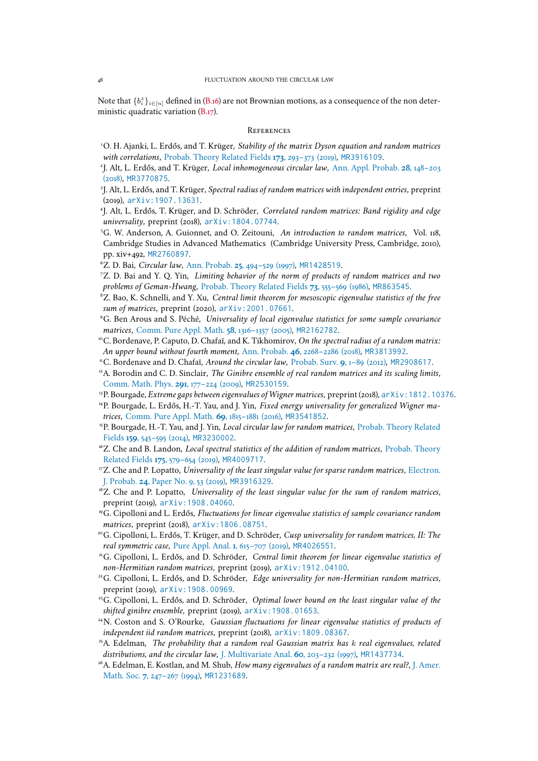Note that  $\{b_i^z\}_{i\in [n]}$  defined in [\(B.16\)](#page-46-1) are not Brownian motions, as a consequence of the non deter-ministic quadratic variation [\(B.17\)](#page-46-2).

#### **REFERENCES**

- <span id="page-47-15"></span><sup>1</sup>O. H. Ajanki, L. Erdős, and T. Krüger, *Stability of the matrix Dyson equation and random matrices with correlations*, [Probab. Theory Related Fields](http://dx.doi.org/10.1007/s00440-018-0835-z) **173**, 293–373 (2019), [MR3916109](http://www.ams.org/mathscinet-getitem?mr=3916109).
- <span id="page-47-8"></span><span id="page-47-7"></span>2 J. Alt, L. Erdős, and T. Krüger, *Local inhomogeneous circular law*, Ann. Appl. Probab. **28**, 148–203 (2018), [MR3770875](http://www.ams.org/mathscinet-getitem?mr=3770875).
- <span id="page-47-19"></span>3 J. Alt, L. Erdős, and T. Krüger, *Spectral radius of random matrices with independent entries*, preprint (2019), [arXiv:1907.13631](https://arxiv.org/abs/1907.13631).
- 4 J. Alt, L. Erdős, T. Krüger, and D. Schröder, *Correlated random matrices: Band rigidity and edge universality*, preprint (2018), [arXiv:1804.07744](https://arxiv.org/abs/1804.07744).
- <span id="page-47-25"></span><sup>5</sup>G. W. Anderson, A. Guionnet, and O. Zeitouni, *An introduction to random matrices*, Vol. 118, Cambridge Studies in Advanced Mathematics (Cambridge University Press, Cambridge, 2010), pp. xiv+492, [MR2760897](http://www.ams.org/mathscinet-getitem?mr=2760897).
- <span id="page-47-12"></span><span id="page-47-1"></span><sup>6</sup>Z. D. Bai, *Circular law*, Ann. Probab. **25**[, 494–529 \(1997\),](http://dx.doi.org/10.1214/aop/1024404298) [MR1428519](http://www.ams.org/mathscinet-getitem?mr=1428519).
- <sup>7</sup>Z. D. Bai and Y. Q. Yin, *Limiting behavior of the norm of products of random matrices and two problems of Geman-Hwang*, [Probab. Theory Related Fields](http://dx.doi.org/10.1007/BF00324852) **73**, 555–569 (1986), [MR863545](http://www.ams.org/mathscinet-getitem?mr=863545).
- <span id="page-47-18"></span><sup>8</sup>Z. Bao, K. Schnelli, and Y. Xu, *Central limit theorem for mesoscopic eigenvalue statistics of the free sum of matrices*, preprint (2020), [arXiv:2001.07661](https://arxiv.org/abs/2001.07661).
- <span id="page-47-14"></span><sup>9</sup>G. Ben Arous and S. Péché, *Universality of local eigenvalue statistics for some sample covariance matrices*, [Comm. Pure Appl. Math.](http://dx.doi.org/10.1002/cpa.20070) **58**, 1316–1357 (2005), [MR2162782](http://www.ams.org/mathscinet-getitem?mr=2162782).
- <span id="page-47-13"></span><sup>10</sup>C. Bordenave, P. Caputo, D. Chafaï, and K. Tikhomirov, *On the spectral radius of a random matrix: An upper bound without fourth moment*, Ann. Probab. **46**[, 2268–2286 \(2018\),](http://dx.doi.org/10.1214/17-AOP1228) [MR3813992](http://www.ams.org/mathscinet-getitem?mr=3813992).
- <span id="page-47-6"></span><span id="page-47-2"></span><sup>11</sup>C. Bordenave and D. Chafaï, *Around the circular law*, [Probab. Surv.](http://dx.doi.org/10.1214/11-PS183) **9**, 1–89 (2012), [MR2908617](http://www.ams.org/mathscinet-getitem?mr=2908617).
- <sup>12</sup>A. Borodin and C. D. Sinclair, *The Ginibre ensemble of real random matrices and its scaling limits,* [Comm. Math. Phys.](http://dx.doi.org/10.1007/s00220-009-0874-5) **291**, 177–224 (2009), [MR2530159](http://www.ams.org/mathscinet-getitem?mr=2530159).
- <span id="page-47-24"></span><span id="page-47-22"></span><sup>13</sup>P. Bourgade, *Extreme gaps between eigenvalues of Wigner matrices*, preprint (2018), [arXiv:1812.10376](https://arxiv.org/abs/1812.10376).
- <sup>14</sup>P. Bourgade, L. Erdős, H.-T. Yau, and J. Yin, *Fixed energy universality for generalized Wigner matrices*, [Comm. Pure Appl. Math.](http://dx.doi.org/10.1002/cpa.21624) **69**, 1815–1881 (2016), [MR3541852](http://www.ams.org/mathscinet-getitem?mr=3541852).
- <span id="page-47-16"></span><sup>15</sup>P. Bourgade, H.-T. Yau, and J. Yin, *Local circular law for random matrices*, Probab. Theory Related Fields **159**, 545–595 (2014), [MR3230002](http://www.ams.org/mathscinet-getitem?mr=3230002).
- <span id="page-47-10"></span><sup>16</sup>Z. Che and B. Landon, *Local spectral statistics of the addition of random matrices*, Probab. Theory Related Fields **175**, 579–654 (2019), [MR4009717](http://www.ams.org/mathscinet-getitem?mr=4009717).
- <span id="page-47-9"></span><sup>17</sup>Z. Che and P. Lopatto, *Universality of the least singular value for sparse random matrices*, Electron. J. Probab. **24**, Paper No. 9, 53 (2019), [MR3916329](http://www.ams.org/mathscinet-getitem?mr=3916329).
- <span id="page-47-11"></span><sup>18</sup>Z. Che and P. Lopatto, *Universality of the least singular value for the sum of random matrices*, preprint (2019), [arXiv:1908.04060](https://arxiv.org/abs/1908.04060).
- <span id="page-47-17"></span><sup>19</sup>G. Cipolloni and L. Erdős, *Fluctuations for linear eigenvalue statistics of sample covariance random matrices*, preprint (2018), [arXiv:1806.08751](https://arxiv.org/abs/1806.08751).
- <span id="page-47-23"></span><sup>20</sup>G. Cipolloni, L. Erdős, T. Krüger, and D. Schröder, *Cusp universality for random matrices, II: The real symmetric case*, [Pure Appl. Anal.](http://dx.doi.org/10.2140/paa.2019.1.615) **1**, 615–707 (2019), [MR4026551](http://www.ams.org/mathscinet-getitem?mr=4026551).
- <span id="page-47-0"></span><sup>21</sup>G. Cipolloni, L. Erdős, and D. Schröder, *Central limit theorem for linear eigenvalue statistics of non-Hermitian random matrices*, preprint (2019), [arXiv:1912.04100](https://arxiv.org/abs/1912.04100).
- <span id="page-47-20"></span><sup>22</sup>G. Cipolloni, L. Erdős, and D. Schröder, *Edge universality for non-Hermitian random matrices*, preprint (2019), [arXiv:1908.00969](https://arxiv.org/abs/1908.00969).
- <span id="page-47-21"></span><sup>23</sup>G. Cipolloni, L. Erdős, and D. Schröder, *Optimal lower bound on the least singular value of the shifted ginibre ensemble*, preprint (2019), [arXiv:1908.01653](https://arxiv.org/abs/1908.01653).
- <span id="page-47-5"></span><sup>24</sup>N. Coston and S. O'Rourke, *Gaussian fluctuations for linear eigenvalue statistics of products of independent iid random matrices*, preprint (2018), [arXiv:1809.08367](https://arxiv.org/abs/1809.08367).
- <span id="page-47-4"></span><sup>25</sup>A. Edelman, *The probability that a random real Gaussian matrix has* k *real eigenvalues, related distributions, and the circular law*, [J. Multivariate Anal.](http://dx.doi.org/10.1006/jmva.1996.1653) **60**, 203–232 (1997), [MR1437734](http://www.ams.org/mathscinet-getitem?mr=1437734).
- <span id="page-47-3"></span><sup>26</sup>A. Edelman, E. Kostlan, and M. Shub, *How many eigenvalues of a random matrix are real?*, J. Amer. Math. Soc. **7**, 247–267 (1994), [MR1231689](http://www.ams.org/mathscinet-getitem?mr=1231689).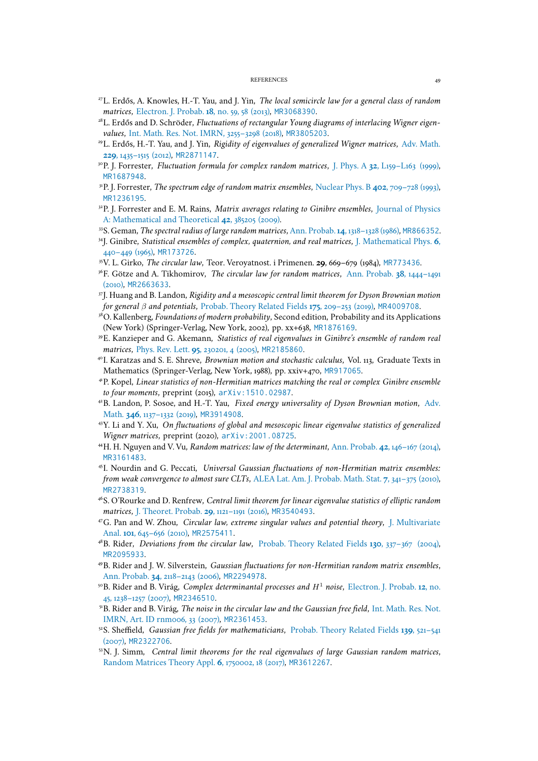#### REFERENCES 49

- <span id="page-48-21"></span><span id="page-48-19"></span><sup>27</sup>L. Erdős, A. Knowles, H.-T. Yau, and J. Yin, *The local semicircle law for a general class of random matrices*, [Electron. J. Probab.](http://dx.doi.org/10.1214/EJP.v18-2473) **18**, no. 59, 58 (2013), [MR3068390](http://www.ams.org/mathscinet-getitem?mr=3068390).
- <span id="page-48-22"></span><sup>28</sup>L. Erdős and D. Schröder, *Fluctuations of rectangular Young diagrams of interlacing Wigner eigenvalues*, [Int. Math. Res. Not. IMRN, 3255–3298 \(2018\),](http://dx.doi.org/10.1093/imrn/rnw330) [MR3805203](http://www.ams.org/mathscinet-getitem?mr=3805203).
- <sup>29</sup>L. Erdős, H.-T. Yau, and J. Yin, *Rigidity of eigenvalues of generalized Wigner matrices*, Adv. Math. **229**, 1435–1515 (2012), [MR2871147](http://www.ams.org/mathscinet-getitem?mr=2871147).
- <span id="page-48-18"></span><span id="page-48-6"></span><sup>30</sup>P. J. Forrester, *Fluctuation formula for complex random matrices*, J. Phys. A **32**[, L159–L163 \(1999\),](http://dx.doi.org/10.1088/0305-4470/32/13/003) [MR1687948](http://www.ams.org/mathscinet-getitem?mr=1687948).
- <span id="page-48-17"></span><sup>31</sup>P. J. Forrester, *The spectrum edge of random matrix ensembles*, [Nuclear Phys. B](http://dx.doi.org/10.1016/0550-3213(93)90126-A) **402**, 709–728 (1993), [MR1236195](http://www.ams.org/mathscinet-getitem?mr=1236195).
- <span id="page-48-15"></span><sup>32</sup>P. J. Forrester and E. M. Rains, *Matrix averages relating to Ginibre ensembles*, Journal of Physics A: Mathematical and Theoretical **42**, 385205 (2009).
- <span id="page-48-12"></span><sup>33</sup>S. Geman, *The spectral radius of large random matrices*, Ann. Probab.**14**[, 1318–1328 \(1986\),](http://links.jstor.org/sici?sici=0091-1798(198610)14:4%3C1318:TSROLR%3E2.0.CO;2-O&origin=MSN) [MR866352](http://www.ams.org/mathscinet-getitem?mr=866352).
- <sup>34</sup>J. Ginibre, *Statistical ensembles of complex, quaternion, and real matrices*, J. Mathematical Phys. **6**, 440–449 (1965), [MR173726](http://www.ams.org/mathscinet-getitem?mr=173726).
- <span id="page-48-14"></span><span id="page-48-2"></span><sup>35</sup>V. L. Girko, *The circular law*, Teor. Veroyatnost. i Primenen. **29**, 669–679 (1984), [MR773436](http://www.ams.org/mathscinet-getitem?mr=773436).
- <span id="page-48-25"></span><sup>36</sup>F. Götze and A. Tikhomirov, *The circular law for random matrices*, Ann. Probab. **38**, 1444–1491 (2010), [MR2663633](http://www.ams.org/mathscinet-getitem?mr=2663633).
- <sup>37</sup>J. Huang and B. Landon, *Rigidity and a mesoscopic central limit theorem for Dyson Brownian motion for general* β *and potentials*, [Probab. Theory Related Fields](http://dx.doi.org/10.1007/s00440-018-0889-y) **175**, 209–253 (2019), [MR4009708](http://www.ams.org/mathscinet-getitem?mr=4009708).
- <span id="page-48-23"></span><sup>38</sup>O. Kallenberg, *Foundations of modern probability*, Second edition, Probability and its Applications (New York) (Springer-Verlag, New York, 2002), pp. xx+638, [MR1876169](http://www.ams.org/mathscinet-getitem?mr=1876169).
- <span id="page-48-13"></span><sup>39</sup>E. Kanzieper and G. Akemann, *Statistics of real eigenvalues in Ginibre's ensemble of random real matrices*, Phys. Rev. Lett. **95**[, 230201, 4 \(2005\),](http://dx.doi.org/10.1103/PhysRevLett.95.230201) [MR2185860](http://www.ams.org/mathscinet-getitem?mr=2185860).
- <span id="page-48-26"></span><sup>40</sup>I. Karatzas and S. E. Shreve, *Brownian motion and stochastic calculus*, Vol. 113, Graduate Texts in Mathematics (Springer-Verlag, New York, 1988), pp. xxiv+470, [MR917065](http://www.ams.org/mathscinet-getitem?mr=917065).
- <span id="page-48-1"></span><sup>41</sup>P. Kopel, *Linear statistics of non-Hermitian matrices matching the real or complex Ginibre ensemble to four moments*, preprint (2015), [arXiv:1510.02987](https://arxiv.org/abs/1510.02987).
- <span id="page-48-24"></span><sup>42</sup>B. Landon, P. Sosoe, and H.-T. Yau, *Fixed energy universality of Dyson Brownian motion*, Adv. Math. **346**, 1137–1332 (2019), [MR3914908](http://www.ams.org/mathscinet-getitem?mr=3914908).
- <span id="page-48-20"></span><sup>43</sup>Y. Li and Y. Xu, *On fluctuations of global and mesoscopic linear eigenvalue statistics of generalized Wigner matrices*, preprint (2020), [arXiv:2001.08725](https://arxiv.org/abs/2001.08725).
- <span id="page-48-8"></span><span id="page-48-7"></span><sup>44</sup>H. H. Nguyen and V. Vu, *Random matrices: law of the determinant*, Ann. Probab. **42**[, 146–167 \(2014\),](http://dx.doi.org/10.1214/12-AOP791) [MR3161483](http://www.ams.org/mathscinet-getitem?mr=3161483).
- <sup>45</sup>I. Nourdin and G. Peccati, *Universal Gaussian fluctuations of non-Hermitian matrix ensembles: from weak convergence to almost sure CLTs*, [ALEA Lat. Am. J. Probab. Math. Stat.](http://alea.math.cnrs.fr/articles/v7/07-18.pdf) **7**, 341–375 (2010), [MR2738319](http://www.ams.org/mathscinet-getitem?mr=2738319).
- <span id="page-48-0"></span><sup>46</sup>S. O'Rourke and D. Renfrew, *Central limit theorem for linear eigenvalue statistics of elliptic random matrices*, [J. Theoret. Probab.](http://dx.doi.org/10.1007/s10959-015-0609-9) **29**, 1121–1191 (2016), [MR3540493](http://www.ams.org/mathscinet-getitem?mr=3540493).
- <span id="page-48-16"></span><sup>47</sup>G. Pan and W. Zhou, *Circular law, extreme singular values and potential theory*, J. Multivariate Anal. **101**, 645–656 (2010), [MR2575411](http://www.ams.org/mathscinet-getitem?mr=2575411).
- <span id="page-48-10"></span><span id="page-48-9"></span><sup>48</sup>B. Rider, *Deviations from the circular law*, [Probab. Theory Related Fields](http://dx.doi.org/10.1007/s00440-004-0355-x) **130**, 337–367 (2004), [MR2095933](http://www.ams.org/mathscinet-getitem?mr=2095933).
- <sup>49</sup>B. Rider and J. W. Silverstein, *Gaussian fluctuations for non-Hermitian random matrix ensembles*, Ann. Probab. **34**[, 2118–2143 \(2006\),](http://dx.doi.org/10.1214/009117906000000403) [MR2294978](http://www.ams.org/mathscinet-getitem?mr=2294978).
- <span id="page-48-4"></span><sup>50</sup>B. Rider and B. Virág, *Complex determinantal processes and* H 1 *noise*, Electron. J. Probab. **12**, no. 45, 1238–1257 (2007), [MR2346510](http://www.ams.org/mathscinet-getitem?mr=2346510).
- <span id="page-48-11"></span><sup>51</sup>B. Rider and B. Virág, *The noise in the circular law and the Gaussian free field*, Int. Math. Res. Not. IMRN, Art. ID rnm006, 33 (2007), [MR2361453](http://www.ams.org/mathscinet-getitem?mr=2361453).
- <span id="page-48-5"></span><sup>52</sup>S. Sheffield, *Gaussian free fields for mathematicians*, Probab. Theory Related Fields **139**, 521–541 (2007), [MR2322706](http://www.ams.org/mathscinet-getitem?mr=2322706).
- <span id="page-48-3"></span><sup>53</sup>N. J. Simm, *Central limit theorems for the real eigenvalues of large Gaussian random matrices*, [Random Matrices Theory Appl.](http://dx.doi.org/10.1142/S2010326317500022) **6**, 1750002, 18 (2017), [MR3612267](http://www.ams.org/mathscinet-getitem?mr=3612267).